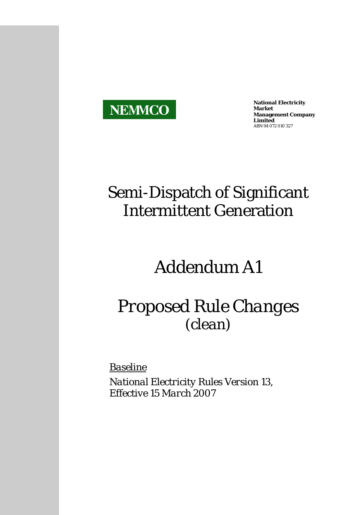

**National Electricity Market Management Company Limited**  ABN 94 072 010 327

# Semi-Dispatch of Significant Intermittent Generation

# *Addendum A1*

# *Proposed Rule Changes (clean)*

*Baseline*

*National Electricity Rules Version 13, Effective 15 March 2007*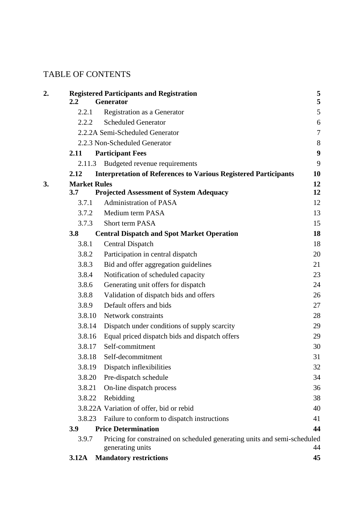# TABLE OF CONTENTS

|         | <b>Registered Participants and Registration</b>                                              | 5                |
|---------|----------------------------------------------------------------------------------------------|------------------|
| $2.2\,$ | Generator                                                                                    | 5                |
| 2.2.1   | Registration as a Generator                                                                  | $\mathfrak{S}$   |
| 2.2.2   | <b>Scheduled Generator</b>                                                                   | 6                |
|         | 2.2.2A Semi-Scheduled Generator                                                              | $\tau$           |
|         | 2.2.3 Non-Scheduled Generator                                                                | 8                |
| 2.11    | <b>Participant Fees</b>                                                                      | $\boldsymbol{9}$ |
| 2.11.3  | Budgeted revenue requirements                                                                | 9                |
| 2.12    | <b>Interpretation of References to Various Registered Participants</b>                       | 10               |
|         | <b>Market Rules</b>                                                                          | 12               |
| 3.7     | <b>Projected Assessment of System Adequacy</b>                                               | 12               |
| 3.7.1   | <b>Administration of PASA</b>                                                                | 12               |
| 3.7.2   | Medium term PASA                                                                             | 13               |
| 3.7.3   | <b>Short term PASA</b>                                                                       | 15               |
| 3.8     | <b>Central Dispatch and Spot Market Operation</b>                                            | 18               |
| 3.8.1   | <b>Central Dispatch</b>                                                                      | 18               |
| 3.8.2   | Participation in central dispatch                                                            | 20               |
| 3.8.3   | Bid and offer aggregation guidelines                                                         | 21               |
| 3.8.4   | Notification of scheduled capacity                                                           | 23               |
| 3.8.6   | Generating unit offers for dispatch                                                          | 24               |
| 3.8.8   | Validation of dispatch bids and offers                                                       | 26               |
| 3.8.9   | Default offers and bids                                                                      | 27               |
| 3.8.10  | Network constraints                                                                          | 28               |
| 3.8.14  | Dispatch under conditions of supply scarcity                                                 | 29               |
| 3.8.16  | Equal priced dispatch bids and dispatch offers                                               | 29               |
| 3.8.17  | Self-commitment                                                                              | 30               |
| 3.8.18  | Self-decommitment                                                                            | 31               |
| 3.8.19  | Dispatch inflexibilities                                                                     | 32               |
| 3.8.20  | Pre-dispatch schedule                                                                        | 34               |
| 3.8.21  | On-line dispatch process                                                                     | 36               |
| 3.8.22  | Rebidding                                                                                    | 38               |
|         | 3.8.22A Variation of offer, bid or rebid                                                     | 40               |
| 3.8.23  | Failure to conform to dispatch instructions                                                  | 41               |
| 3.9     | <b>Price Determination</b>                                                                   | 44               |
| 3.9.7   | Pricing for constrained on scheduled generating units and semi-scheduled<br>generating units | 44               |
| 3.12A   | <b>Mandatory restrictions</b>                                                                | 45               |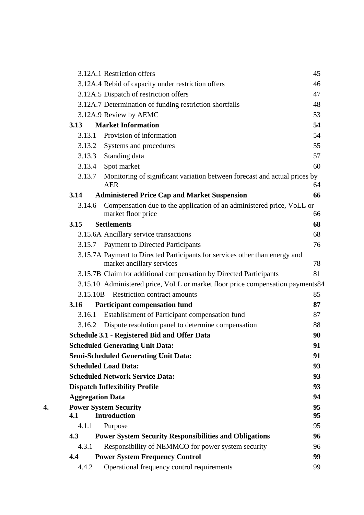|    | 3.12A.1 Restriction offers                                                                               | 45 |
|----|----------------------------------------------------------------------------------------------------------|----|
|    | 3.12A.4 Rebid of capacity under restriction offers                                                       | 46 |
|    | 3.12A.5 Dispatch of restriction offers                                                                   | 47 |
|    | 3.12A.7 Determination of funding restriction shortfalls                                                  | 48 |
|    | 3.12A.9 Review by AEMC                                                                                   | 53 |
|    | <b>Market Information</b><br>3.13                                                                        | 54 |
|    | Provision of information<br>3.13.1                                                                       | 54 |
|    | Systems and procedures<br>3.13.2                                                                         | 55 |
|    | 3.13.3<br>Standing data                                                                                  | 57 |
|    | 3.13.4<br>Spot market                                                                                    | 60 |
|    | 3.13.7<br>Monitoring of significant variation between forecast and actual prices by<br><b>AER</b>        | 64 |
|    | <b>Administered Price Cap and Market Suspension</b><br>3.14                                              | 66 |
|    | Compensation due to the application of an administered price, VoLL or<br>3.14.6                          |    |
|    | market floor price                                                                                       | 66 |
|    | 3.15<br><b>Settlements</b>                                                                               | 68 |
|    | 3.15.6A Ancillary service transactions                                                                   | 68 |
|    | 3.15.7 Payment to Directed Participants                                                                  | 76 |
|    | 3.15.7A Payment to Directed Participants for services other than energy and<br>market ancillary services | 78 |
|    | 3.15.7B Claim for additional compensation by Directed Participants                                       | 81 |
|    | 3.15.10 Administered price, VoLL or market floor price compensation payments84                           |    |
|    | <b>Restriction contract amounts</b><br>3.15.10B                                                          | 85 |
|    | 3.16<br><b>Participant compensation fund</b>                                                             | 87 |
|    | Establishment of Participant compensation fund<br>3.16.1                                                 | 87 |
|    | 3.16.2 Dispute resolution panel to determine compensation                                                | 88 |
|    | <b>Schedule 3.1 - Registered Bid and Offer Data</b>                                                      | 90 |
|    | <b>Scheduled Generating Unit Data:</b>                                                                   | 91 |
|    | <b>Semi-Scheduled Generating Unit Data:</b>                                                              | 91 |
|    | <b>Scheduled Load Data:</b>                                                                              | 93 |
|    | <b>Scheduled Network Service Data:</b>                                                                   | 93 |
|    | <b>Dispatch Inflexibility Profile</b>                                                                    | 93 |
|    | <b>Aggregation Data</b>                                                                                  | 94 |
| 4. | <b>Power System Security</b>                                                                             | 95 |
|    | <b>Introduction</b><br>4.1                                                                               | 95 |
|    | 4.1.1<br>Purpose<br>4.3                                                                                  | 95 |
|    | <b>Power System Security Responsibilities and Obligations</b>                                            | 96 |
|    | Responsibility of NEMMCO for power system security<br>4.3.1                                              | 96 |
|    | 4.4<br><b>Power System Frequency Control</b>                                                             | 99 |
|    | Operational frequency control requirements<br>4.4.2                                                      | 99 |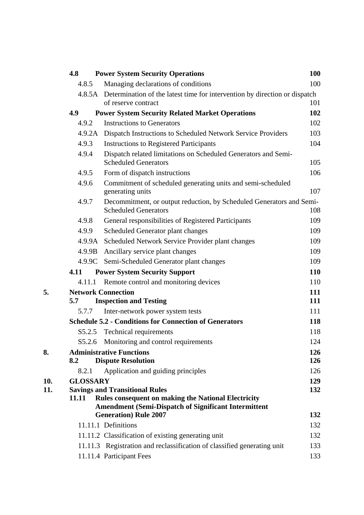| 4.8             | <b>Power System Security Operations</b>                                                             | <b>100</b> |
|-----------------|-----------------------------------------------------------------------------------------------------|------------|
| 4.8.5           | Managing declarations of conditions                                                                 | 100        |
|                 | 4.8.5A Determination of the latest time for intervention by direction or dispatch                   |            |
|                 | of reserve contract                                                                                 | 101        |
| 4.9             | <b>Power System Security Related Market Operations</b>                                              | 102        |
| 4.9.2           | <b>Instructions to Generators</b>                                                                   | 102        |
|                 | 4.9.2A Dispatch Instructions to Scheduled Network Service Providers                                 | 103        |
| 4.9.3           | <b>Instructions to Registered Participants</b>                                                      | 104        |
| 4.9.4           | Dispatch related limitations on Scheduled Generators and Semi-<br><b>Scheduled Generators</b>       | 105        |
| 4.9.5           | Form of dispatch instructions                                                                       | 106        |
| 4.9.6           | Commitment of scheduled generating units and semi-scheduled<br>generating units                     | 107        |
| 4.9.7           | Decommitment, or output reduction, by Scheduled Generators and Semi-<br><b>Scheduled Generators</b> | 108        |
| 4.9.8           | General responsibilities of Registered Participants                                                 | 109        |
| 4.9.9           | Scheduled Generator plant changes                                                                   | 109        |
| 4.9.9A          | Scheduled Network Service Provider plant changes                                                    | 109        |
| 4.9.9B          | Ancillary service plant changes                                                                     | 109        |
|                 | 4.9.9C Semi-Scheduled Generator plant changes                                                       | 109        |
| 4.11            | <b>Power System Security Support</b>                                                                | 110        |
| 4.11.1          | Remote control and monitoring devices                                                               | 110        |
|                 | <b>Network Connection</b>                                                                           | 111        |
| 5.7             | <b>Inspection and Testing</b>                                                                       | 111        |
| 5.7.7           | Inter-network power system tests                                                                    | 111        |
|                 | <b>Schedule 5.2 - Conditions for Connection of Generators</b>                                       | 118        |
|                 | S5.2.5 Technical requirements                                                                       | 118        |
| S5.2.6          | Monitoring and control requirements                                                                 | 124        |
|                 | <b>Administrative Functions</b>                                                                     | 126        |
| 8.2             | <b>Dispute Resolution</b>                                                                           | 126        |
| 8.2.1           | Application and guiding principles                                                                  | 126        |
| <b>GLOSSARY</b> |                                                                                                     | 129        |
| 11.11           | <b>Savings and Transitional Rules</b><br><b>Rules consequent on making the National Electricity</b> | 132        |
|                 | <b>Amendment (Semi-Dispatch of Significant Intermittent</b>                                         |            |
|                 | <b>Generation</b> ) Rule 2007                                                                       | 132        |
|                 | 11.11.1 Definitions                                                                                 | 132        |
|                 | 11.11.2 Classification of existing generating unit                                                  | 132        |
|                 | 11.11.3 Registration and reclassification of classified generating unit                             | 133        |
|                 | 11.11.4 Participant Fees                                                                            | 133        |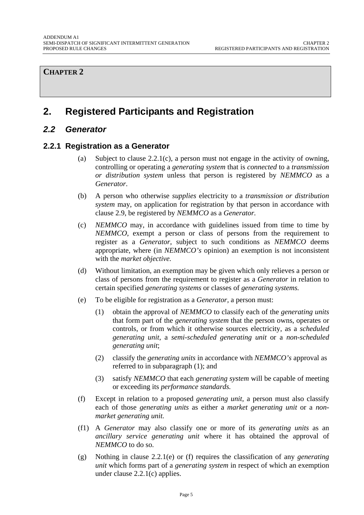#### <span id="page-4-0"></span>**CHAPTER 2**

# **2. Registered Participants and Registration**

## *2.2 Generator*

#### **2.2.1 Registration as a Generator**

- (a) Subject to clause 2.2.1(c), a person must not engage in the activity of owning, controlling or operating a *generating system* that is *connected* to a *transmission or distribution system* unless that person is registered by *NEMMCO* as a *Generator*.
- (b) A person who otherwise *supplies* electricity to a *transmission or distribution system* may, on application for registration by that person in accordance with clause 2.9, be registered by *NEMMCO* as a *Generator.*
- (c) *NEMMCO* may, in accordance with guidelines issued from time to time by *NEMMCO*, exempt a person or class of persons from the requirement to register as a *Generator*, subject to such conditions as *NEMMCO* deems appropriate, where (in *NEMMCO's* opinion) an exemption is not inconsistent with the *market objective.*
- (d) Without limitation, an exemption may be given which only relieves a person or class of persons from the requirement to register as a *Generator* in relation to certain specified *generating systems* or classes of *generating systems.*
- (e) To be eligible for registration as a *Generator,* a person must:
	- (1) obtain the approval of *NEMMCO* to classify each of the *generating units* that form part of the *generating system* that the person owns, operates or controls, or from which it otherwise sources electricity, as a *scheduled generating unit*, a *semi-scheduled generating unit* or a *non-scheduled generating unit*;
	- (2) classify the *generating units* in accordance with *NEMMCO's* approval as referred to in subparagraph (1); and
	- (3) satisfy *NEMMCO* that each *generating system* will be capable of meeting or exceeding its *performance standards.*
- (f) Except in relation to a proposed *generating unit,* a person must also classify each of those *generating units* as either a *market generating unit* or a *nonmarket generating unit.*
- (f1) A *Generator* may also classify one or more of its *generating units* as an *ancillary service generating unit* where it has obtained the approval of *NEMMCO* to do so.
- (g) Nothing in clause 2.2.1(e) or (f) requires the classification of any *generating unit* which forms part of a *generating system* in respect of which an exemption under clause 2.2.1(c) applies.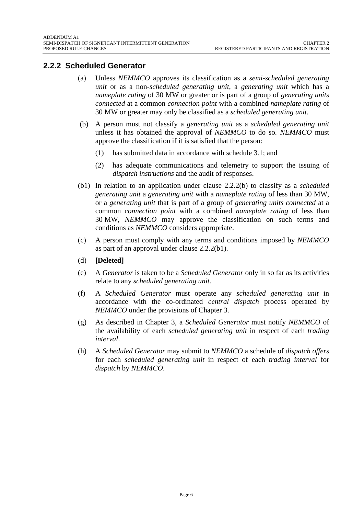# <span id="page-5-0"></span>**2.2.2 Scheduled Generator**

- (a) Unless *NEMMCO* approves its classification as a *semi-scheduled generating unit* or as a non*-scheduled generating unit*, a *generating unit* which has a *nameplate rating* of 30 MW or greater or is part of a group of *generating units connected* at a common *connection point* with a combined *nameplate rating* of 30 MW or greater may only be classified as a *scheduled generating unit*.
- (b) A person must not classify a *generating unit* as a *scheduled generating unit*  unless it has obtained the approval of *NEMMCO* to do so*. NEMMCO* must approve the classification if it is satisfied that the person:
	- (1) has submitted data in accordance with schedule 3.1; and
	- (2) has adequate communications and telemetry to support the issuing of *dispatch instructions* and the audit of responses.
- (b1) In relation to an application under clause 2.2.2(b) to classify as a *scheduled generating unit* a *generating unit* with a *nameplate rating* of less than 30 MW, or a *generating unit* that is part of a group of *generating units connected* at a common *connection point* with a combined *nameplate rating* of less than 30 MW, *NEMMCO* may approve the classification on such terms and conditions as *NEMMCO* considers appropriate.
- (c) A person must comply with any terms and conditions imposed by *NEMMCO* as part of an approval under clause 2.2.2(b1).
- (d) **[Deleted]**
- (e) A *Generator* is taken to be a *Scheduled Generator* only in so far as its activities relate to any *scheduled generating unit.*
- (f) A *Scheduled Generator* must operate any *scheduled generating unit* in accordance with the co-ordinated *central dispatch* process operated by *NEMMCO* under the provisions of Chapter 3.
- (g) As described in Chapter 3, a *Scheduled Generator* must notify *NEMMCO* of the availability of each *scheduled generating unit* in respect of each *trading interval*.
- (h) A *Scheduled Generator* may submit to *NEMMCO* a schedule of *dispatch offers*  for each *scheduled generating unit* in respect of each *trading interval* for *dispatch* by *NEMMCO*.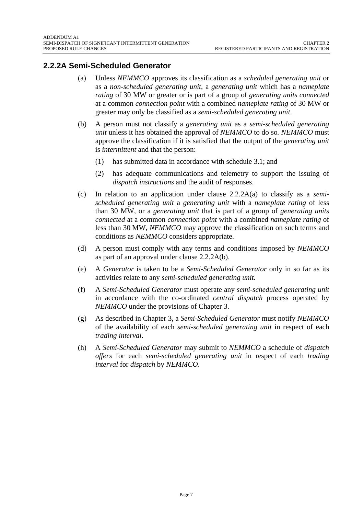# <span id="page-6-0"></span>**2.2.2A Semi-Scheduled Generator**

- (a) Unless *NEMMCO* approves its classification as a *scheduled generating unit* or as a *non-scheduled generating unit*, a *generating unit* which has a *nameplate rating* of 30 MW or greater or is part of a group of *generating units connected* at a common *connection point* with a combined *nameplate rating* of 30 MW or greater may only be classified as a *semi-scheduled generating unit*.
- (b) A person must not classify a *generating unit* as a *semi-scheduled generating unit* unless it has obtained the approval of *NEMMCO* to do so*. NEMMCO* must approve the classification if it is satisfied that the output of the *generating unit*  is *intermittent* and that the person:
	- (1) has submitted data in accordance with schedule 3.1; and
	- (2) has adequate communications and telemetry to support the issuing of *dispatch instructions* and the audit of responses.
- (c) In relation to an application under clause 2.2.2A(a) to classify as a *semischeduled generating unit* a *generating unit* with a *nameplate rating* of less than 30 MW, or a *generating unit* that is part of a group of *generating units connected* at a common *connection point* with a combined *nameplate rating* of less than 30 MW, *NEMMCO* may approve the classification on such terms and conditions as *NEMMCO* considers appropriate.
- (d) A person must comply with any terms and conditions imposed by *NEMMCO* as part of an approval under clause 2.2.2A(b).
- (e) A *Generator* is taken to be a *Semi-Scheduled Generator* only in so far as its activities relate to any *semi-scheduled generating unit.*
- (f) A *Semi-Scheduled Generator* must operate any *semi-scheduled generating unit* in accordance with the co-ordinated *central dispatch* process operated by *NEMMCO* under the provisions of Chapter 3.
- (g) As described in Chapter 3, a *Semi-Scheduled Generator* must notify *NEMMCO* of the availability of each *semi-scheduled generating unit* in respect of each *trading interval*.
- (h) A *Semi-Scheduled Generator* may submit to *NEMMCO* a schedule of *dispatch offers* for each *semi-scheduled generating unit* in respect of each *trading interval* for *dispatch* by *NEMMCO*.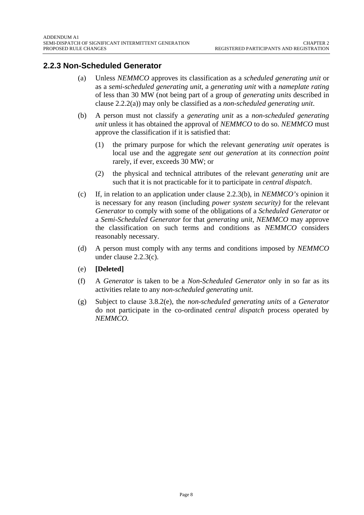# <span id="page-7-0"></span>**2.2.3 Non-Scheduled Generator**

- (a) Unless *NEMMCO* approves its classification as a *scheduled generating unit* or as a *semi-scheduled generating unit*, a *generating unit* with a *nameplate rating* of less than 30 MW (not being part of a group of *generating units* described in clause 2.2.2(a)) may only be classified as a *non-scheduled generating unit*.
- (b) A person must not classify a *generating unit* as a *non-scheduled generating unit* unless it has obtained the approval of *NEMMCO* to do so. *NEMMCO* must approve the classification if it is satisfied that:
	- (1) the primary purpose for which the relevant *generating unit* operates is local use and the aggregate *sent out generation* at its *connection point* rarely, if ever, exceeds 30 MW; or
	- (2) the physical and technical attributes of the relevant *generating unit* are such that it is not practicable for it to participate in *central dispatch*.
- (c) If, in relation to an application under clause 2.2.3(b), in *NEMMCO's* opinion it is necessary for any reason (including *power system security)* for the relevant *Generator* to comply with some of the obligations of a *Scheduled Generator* or a *Semi-Scheduled Generator* for that *generating unit, NEMMCO* may approve the classification on such terms and conditions as *NEMMCO* considers reasonably necessary.
- (d) A person must comply with any terms and conditions imposed by *NEMMCO* under clause 2.2.3(c).
- (e) **[Deleted]**
- (f) A *Generator* is taken to be a *Non-Scheduled Generator* only in so far as its activities relate to any *non-scheduled generating unit*.
- (g) Subject to clause 3.8.2(e), the *non-scheduled generating units* of a *Generator*  do not participate in the co-ordinated *central dispatch* process operated by *NEMMCO.*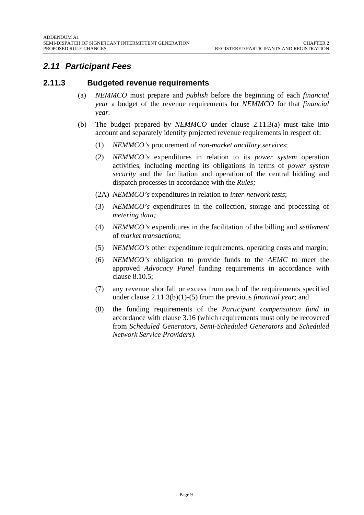# <span id="page-8-0"></span>*2.11 Participant Fees*

## **2.11.3 Budgeted revenue requirements**

- (a) *NEMMCO* must prepare and *publish* before the beginning of each *financial year* a budget of the revenue requirements for *NEMMCO* for that *financial year.*
- (b) The budget prepared by *NEMMCO* under clause 2.11.3(a) must take into account and separately identify projected revenue requirements in respect of:
	- (1) *NEMMCO's* procurement of *non-market ancillary services*;
	- (2) *NEMMCO's* expenditures in relation to its *power system* operation activities*,* including meeting its obligations in terms of *power system security* and the facilitation and operation of the central bidding and dispatch processes in accordance with the *Rules;*
	- (2A) *NEMMCO's* expenditures in relation to *inter-network tests*;
	- (3) *NEMMCO's* expenditures in the collection, storage and processing of *metering data;*
	- (4) *NEMMCO's* expenditures in the facilitation of the billing and *settlement*  of *market transactions*;
	- (5) *NEMMCO'*s other expenditure requirements, operating costs and margin;
	- (6) *NEMMCO's* obligation to provide funds to the *AEMC* to meet the approved *Advocacy Panel* funding requirements in accordance with clause 8.10.5;
	- (7) any revenue shortfall or excess from each of the requirements specified under clause 2.11.3(b)(1)-(5) from the previous *financial year*; and
	- (8) the funding requirements of the *Participant compensation fund* in accordance with clause 3.16 (which requirements must only be recovered from *Scheduled Generators, Semi-Scheduled Generators* and *Scheduled Network Service Providers).*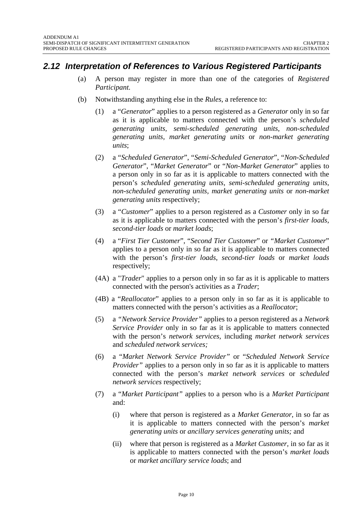# <span id="page-9-0"></span>*2.12 Interpretation of References to Various Registered Participants*

- (a) A person may register in more than one of the categories of *Registered Participant.*
- (b) Notwithstanding anything else in the *Rules*, a reference to:
	- (1) a "*Generator*" applies to a person registered as a *Generator* only in so far as it is applicable to matters connected with the person's *scheduled generating units, semi-scheduled generating units, non-scheduled generating units, market generating units* or *non-market generating units*;
	- (2) a "*Scheduled Generator*", "*Semi-Scheduled Generator*", "*Non-Scheduled Generator*", "*Market Generator*" or "*Non-Market Generator*" applies to a person only in so far as it is applicable to matters connected with the person's *scheduled generating units*, *semi-scheduled generating units*, *non-scheduled generating units, market generating units* or *non-market generating units* respectively;
	- (3) a "*Customer*" applies to a person registered as a *Customer* only in so far as it is applicable to matters connected with the person's *first-tier loads, second-tier loads* or *market loads*;
	- (4) a "*First Tier Customer*", "*Second Tier Customer*" or *"Market Customer*" applies to a person only in so far as it is applicable to matters connected with the person's *first-tier loads*, *second-tier loads* or *market loads* respectively;
	- (4A) a "*Trader*" applies to a person only in so far as it is applicable to matters connected with the person's activities as a *Trader*;
	- (4B) a "*Reallocator*" applies to a person only in so far as it is applicable to matters connected with the person's activities as a *Reallocator*;
	- (5) a *"Network Service Provider"* applies to a person registered as a *Network Service Provider* only in so far as it is applicable to matters connected with the person's *network services,* including *market network services* and *scheduled network services;*
	- (6) a "*Market Network Service Provider"* or "*Scheduled Network Service Provider*" applies to a person only in so far as it is applicable to matters connected with the person's *market network services* or *scheduled network services* respectively;
	- (7) a "*Market Participant"* applies to a person who is a *Market Participant* and:
		- (i) where that person is registered as a *Market Generator*, in so far as it is applicable to matters connected with the person's *market generating units* or *ancillary services generating units;* and
		- (ii) where that person is registered as a *Market Customer,* in so far as it is applicable to matters connected with the person's *market loads*  or *market ancillary service loads*; and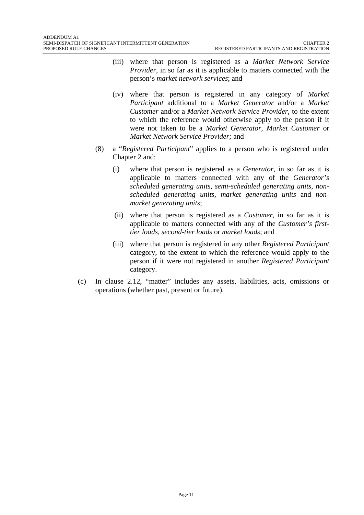- (iii) where that person is registered as a *Market Network Service Provider*, in so far as it is applicable to matters connected with the person's *market network services*; and
- (iv) where that person is registered in any category of *Market Participant* additional to a *Market Generator* and/or a *Market Customer* and/or a *Market Network Service Provider*, to the extent to which the reference would otherwise apply to the person if it were not taken to be a *Market Generator*, *Market Customer* or *Market Network Service Provider;* and
- (8) a "*Registered Participant*" applies to a person who is registered under Chapter 2 and:
	- (i) where that person is registered as a *Generator,* in so far as it is applicable to matters connected with any of the *Generator's scheduled generating units, semi-scheduled generating units, nonscheduled generating units, market generating units* and *nonmarket generating units*;
	- (ii) where that person is registered as a *Customer*, in so far as it is applicable to matters connected with any of the *Customer's firsttier loads, second-tier loads* or *market loads*; and
	- (iii) where that person is registered in any other *Registered Participant* category, to the extent to which the reference would apply to the person if it were not registered in another *Registered Participant* category.
- (c) In clause 2.12, "matter" includes any assets, liabilities, acts, omissions or operations (whether past, present or future).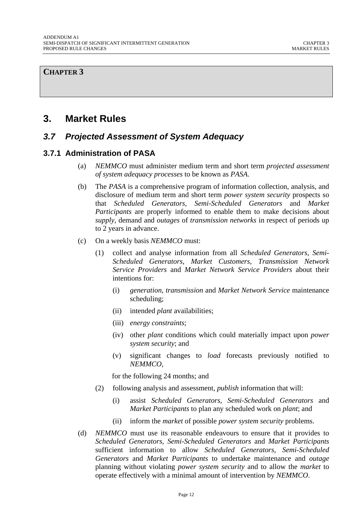#### <span id="page-11-0"></span>**CHAPTER 3**

# **3. Market Rules**

## *3.7 Projected Assessment of System Adequacy*

#### **3.7.1 Administration of PASA**

- (a) *NEMMCO* must administer medium term and short term *projected assessment of system adequacy processes* to be known as *PASA*.
- (b) The *PASA* is a comprehensive program of information collection, analysis, and disclosure of medium term and short term *power system security* prospects so that *Scheduled Generators*, *Semi-Scheduled Generators* and *Market Participants* are properly informed to enable them to make decisions about *supply*, demand and *outages* of *transmission networks* in respect of periods up to 2 years in advance.
- (c) On a weekly basis *NEMMCO* must:
	- (1) collect and analyse information from all *Scheduled Generators*, *Semi-Scheduled Generators*, *Market Customers*, *Transmission Network Service Providers* and *Market Network Service Providers* about their intentions for:
		- (i) *generation, transmission* and *Market Network Service* maintenance scheduling;
		- (ii) intended *plant* availabilities;
		- (iii) *energy constraints*;
		- (iv) other *plant* conditions which could materially impact upon *power system security*; and
		- (v) significant changes to *load* forecasts previously notified to *NEMMCO*,

for the following 24 months; and

- (2) following analysis and assessment, *publish* information that will:
	- (i) assist *Scheduled Generators*, *Semi-Scheduled Generators* and *Market Participants* to plan any scheduled work on *plant*; and
	- (ii) inform the *market* of possible *power system security* problems.
- (d) *NEMMCO* must use its reasonable endeavours to ensure that it provides to *Scheduled Generators*, *Semi-Scheduled Generators* and *Market Participants* sufficient information to allow *Scheduled Generators*, *Semi-Scheduled Generators* and *Market Participants* to undertake maintenance and *outage* planning without violating *power system security* and to allow the *market* to operate effectively with a minimal amount of intervention by *NEMMCO*.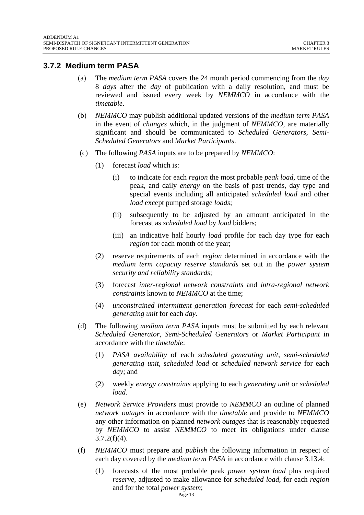#### <span id="page-12-0"></span>**3.7.2 Medium term PASA**

- (a) The *medium term PASA* covers the 24 month period commencing from the *day*  8 *days* after the *day* of publication with a daily resolution, and must be reviewed and issued every week by *NEMMCO* in accordance with the *timetable*.
- (b) *NEMMCO* may publish additional updated versions of the *medium term PASA* in the event of *changes* which, in the judgment of *NEMMCO*, are materially significant and should be communicated to *Scheduled Generators*, *Semi-Scheduled Generators* and *Market Participants*.
- (c) The following *PASA* inputs are to be prepared by *NEMMCO*:
	- (1) forecast *load* which is:
		- (i) to indicate for each *region* the most probable *peak load*, time of the peak, and daily *energy* on the basis of past trends, day type and special events including all anticipated *scheduled load* and other *load* except pumped storage *loads*;
		- (ii) subsequently to be adjusted by an amount anticipated in the forecast as *scheduled load* by *load* bidders;
		- (iii) an indicative half hourly *load* profile for each day type for each *region* for each month of the year;
	- (2) reserve requirements of each *region* determined in accordance with the *medium term capacity reserve standards* set out in the *power system security and reliability standards*;
	- (3) forecast *inter-regional network constraints* and *intra-regional network constraints* known to *NEMMCO* at the time;
	- (4) *unconstrained intermittent generation forecast* for each *semi-scheduled generating unit* for each *day*.
- (d) The following *medium term PASA* inputs must be submitted by each relevant *Scheduled Generator*, *Semi-Scheduled Generators* or *Market Participant* in accordance with the *timetable*:
	- (1) *PASA availability* of each *scheduled generating unit*, *semi-scheduled generating unit, scheduled load* or *scheduled network service* for each *day*; and
	- (2) weekly *energy constraints* applying to each *generating unit* or *scheduled load*.
- (e) *Network Service Providers* must provide to *NEMMCO* an outline of planned *network outages* in accordance with the *timetable* and provide to *NEMMCO* any other information on planned *network outages* that is reasonably requested by *NEMMCO* to assist *NEMMCO* to meet its obligations under clause  $3.7.2(f)(4)$ .
- (f) *NEMMCO* must prepare and *publish* the following information in respect of each day covered by the *medium term PASA* in accordance with clause 3.13.4:
	- (1) forecasts of the most probable peak *power system load* plus required *reserve*, adjusted to make allowance for *scheduled load*, for each *region* and for the total *power system*;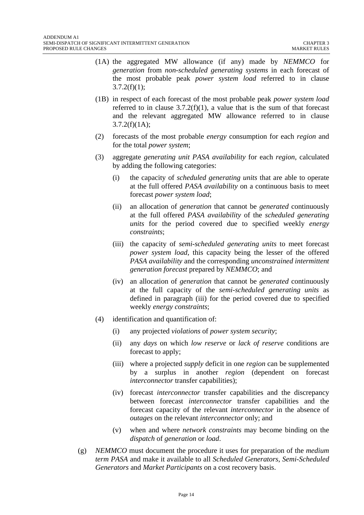- (1A) the aggregated MW allowance (if any) made by *NEMMCO* for *generation* from *non-scheduled generating systems* in each forecast of the most probable peak *power system load* referred to in clause  $3.7.2(f)(1);$
- (1B) in respect of each forecast of the most probable peak *power system load* referred to in clause  $3.7.2(f)(1)$ , a value that is the sum of that forecast and the relevant aggregated MW allowance referred to in clause  $3.7.2(f)(1A);$
- (2) forecasts of the most probable *energy* consumption for each *region* and for the total *power system*;
- (3) aggregate *generating unit PASA availability* for each *region*, calculated by adding the following categories:
	- (i) the capacity of *scheduled generating units* that are able to operate at the full offered *PASA availability* on a continuous basis to meet forecast *power system load*;
	- (ii) an allocation of *generation* that cannot be *generated* continuously at the full offered *PASA availability* of the *scheduled generating units* for the period covered due to specified weekly *energy constraints*;
	- (iii) the capacity of *semi-scheduled generating units* to meet forecast *power system load*, this capacity being the lesser of the offered *PASA availability* and the corresponding *unconstrained intermittent generation forecast* prepared by *NEMMCO*; and
	- (iv) an allocation of *generation* that cannot be *generated* continuously at the full capacity of the *semi-scheduled generating units* as defined in paragraph (iii) for the period covered due to specified weekly *energy constraints*;
- (4) identification and quantification of:
	- (i) any projected *violations* of *power system security*;
	- (ii) any *days* on which *low reserve* or *lack of reserve* conditions are forecast to apply;
	- (iii) where a projected *supply* deficit in one *region* can be supplemented by a surplus in another *region* (dependent on forecast *interconnector* transfer capabilities);
	- (iv) forecast *interconnector* transfer capabilities and the discrepancy between forecast *interconnector* transfer capabilities and the forecast capacity of the relevant *interconnector* in the absence of *outages* on the relevant *interconnector* only; and
	- (v) when and where *network constraints* may become binding on the *dispatch* of *generation* or *load*.
- (g) *NEMMCO* must document the procedure it uses for preparation of the *medium term PASA* and make it available to all *Scheduled Generators*, *Semi-Scheduled Generators* and *Market Participants* on a cost recovery basis.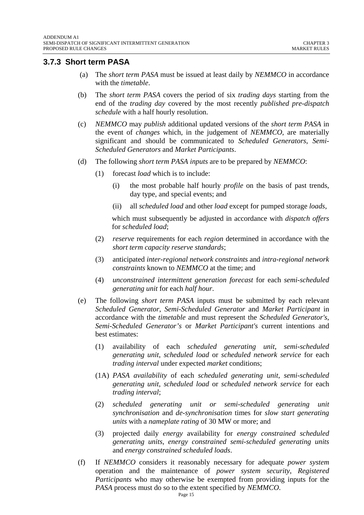#### <span id="page-14-0"></span>**3.7.3 Short term PASA**

- (a) The *short term PASA* must be issued at least daily by *NEMMCO* in accordance with the *timetable*.
- (b) The *short term PASA* covers the period of six *trading days* starting from the end of the *trading day* covered by the most recently *published pre-dispatch schedule* with a half hourly resolution.
- (c) *NEMMCO* may *publish* additional updated versions of the *short term PASA* in the event of *changes* which, in the judgement of *NEMMCO*, are materially significant and should be communicated to *Scheduled Generators*, *Semi-Scheduled Generators* and *Market Participants*.
- (d) The following *short term PASA inputs* are to be prepared by *NEMMCO*:
	- (1) forecast *load* which is to include:
		- (i) the most probable half hourly *profile* on the basis of past trends, day type, and special events; and
		- (ii) all *scheduled load* and other *load* except for pumped storage *loads*,

which must subsequently be adjusted in accordance with *dispatch offers*  for *scheduled load*;

- (2) *reserve* requirements for each *region* determined in accordance with the *short term capacity reserve standards*;
- (3) anticipated *inter-regional network constraints* and *intra-regional network constraints* known to *NEMMCO* at the time; and
- (4) *unconstrained intermittent generation forecast* for each *semi-scheduled generating unit* for each *half hour*.
- (e) The following *short term PASA* inputs must be submitted by each relevant *Scheduled Generator*, *Semi-Scheduled Generator* and *Market Participant* in accordance with the *timetable* and must represent the *Scheduled Generator's*, *Semi-Scheduled Generator's* or *Market Participant's* current intentions and best estimates:
	- (1) availability of each *scheduled generating unit*, *semi-scheduled generating unit*, *scheduled load* or *scheduled network service* for each *trading interval* under expected *market* conditions;
	- (1A) *PASA availability* of each *scheduled generating unit*, *semi-scheduled generating unit*, *scheduled load* or *scheduled network service* for each *trading interval*;
	- (2) *scheduled generating unit or semi-scheduled generating unit synchronisation* and *de-synchronisation* times for *slow start generating units* with a *nameplate rating* of 30 MW or more; and
	- (3) projected daily *energy* availability for *energy constrained scheduled generating units*, *energy constrained semi-scheduled generating units* and *energy constrained scheduled loads*.
- (f) If *NEMMCO* considers it reasonably necessary for adequate *power system* operation and the maintenance of *power system security*, *Registered Participants* who may otherwise be exempted from providing inputs for the *PASA* process must do so to the extent specified by *NEMMCO*.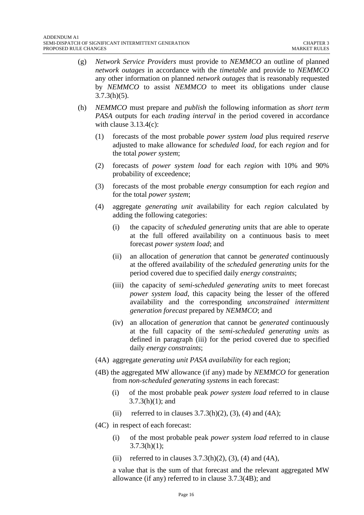- (g) *Network Service Providers* must provide to *NEMMCO* an outline of planned *network outages* in accordance with the *timetable* and provide to *NEMMCO* any other information on planned *network outages* that is reasonably requested by *NEMMCO* to assist *NEMMCO* to meet its obligations under clause  $3.7.3(h)(5)$ .
- (h) *NEMMCO* must prepare and *publish* the following information as *short term PASA* outputs for each *trading interval* in the period covered in accordance with clause  $3.13.4(c)$ :
	- (1) forecasts of the most probable *power system load* plus required *reserve* adjusted to make allowance for *scheduled load*, for each *region* and for the total *power system*;
	- (2) forecasts of *power system load* for each *region* with 10% and 90% probability of exceedence;
	- (3) forecasts of the most probable *energy* consumption for each *region* and for the total *power system*;
	- (4) aggregate *generating unit* availability for each *region* calculated by adding the following categories:
		- (i) the capacity of *scheduled generating units* that are able to operate at the full offered availability on a continuous basis to meet forecast *power system load*; and
		- (ii) an allocation of *generation* that cannot be *generated* continuously at the offered availability of the *scheduled generating units* for the period covered due to specified daily *energy constraints*;
		- (iii) the capacity of *semi-scheduled generating units* to meet forecast *power system load*, this capacity being the lesser of the offered availability and the corresponding *unconstrained intermittent generation forecast* prepared by *NEMMCO*; and
		- (iv) an allocation of *generation* that cannot be *generated* continuously at the full capacity of the *semi-scheduled generating units* as defined in paragraph (iii) for the period covered due to specified daily *energy constraints*;
	- (4A) aggregate *generating unit PASA availability* for each region;
	- (4B) the aggregated MW allowance (if any) made by *NEMMCO* for generation from *non-scheduled generating systems* in each forecast:
		- (i) of the most probable peak *power system load* referred to in clause 3.7.3(h)(1); and
		- (ii) referred to in clauses  $3.7.3(h)(2)$ ,  $(3)$ ,  $(4)$  and  $(4A)$ ;
	- (4C) in respect of each forecast:
		- (i) of the most probable peak *power system load* referred to in clause  $3.7.3(h)(1)$ :
		- (ii) referred to in clauses  $3.7.3(h)(2)$ ,  $(3)$ ,  $(4)$  and  $(4A)$ ,

a value that is the sum of that forecast and the relevant aggregated MW allowance (if any) referred to in clause 3.7.3(4B); and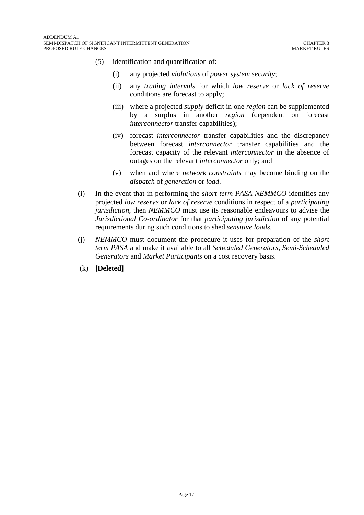- (5) identification and quantification of:
	- (i) any projected *violations* of *power system security*;
	- (ii) any *trading intervals* for which *low reserve* or *lack of reserve* conditions are forecast to apply;
	- (iii) where a projected *supply* deficit in one *region* can be supplemented by a surplus in another *region* (dependent on forecast *interconnector* transfer capabilities);
	- (iv) forecast *interconnector* transfer capabilities and the discrepancy between forecast *interconnector* transfer capabilities and the forecast capacity of the relevant *interconnector* in the absence of outages on the relevant *interconnector* only; and
	- (v) when and where *network constraints* may become binding on the *dispatch* of *generation* or *load*.
- (i) In the event that in performing the *short-term PASA NEMMCO* identifies any projected *low reserve* or *lack of reserve* conditions in respect of a *participating jurisdiction*, then *NEMMCO* must use its reasonable endeavours to advise the *Jurisdictional Co-ordinator* for that *participating jurisdiction* of any potential requirements during such conditions to shed *sensitive loads*.
- (j) *NEMMCO* must document the procedure it uses for preparation of the *short term PASA* and make it available to all *Scheduled Generators*, *Semi-Scheduled Generators* and *Market Participants* on a cost recovery basis.
- (k) **[Deleted]**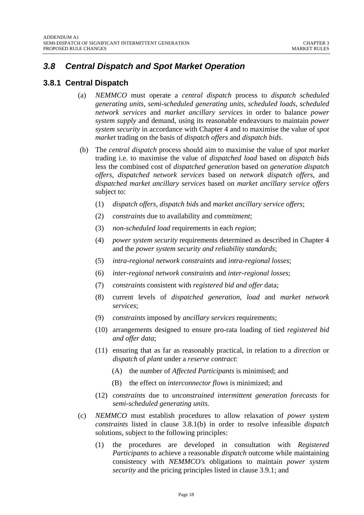# <span id="page-17-0"></span>*3.8 Central Dispatch and Spot Market Operation*

## **3.8.1 Central Dispatch**

- (a) *NEMMCO* must operate a *central dispatch* process to *dispatch scheduled generating units*, *semi-scheduled generating units*, *scheduled loads*, *scheduled network services* and *market ancillary services* in order to balance *power system supply* and demand, using its reasonable endeavours to maintain *power system security* in accordance with Chapter 4 and to maximise the value of *spot market* trading on the basis of *dispatch offers* and *dispatch bids*.
- (b) The *central dispatch* process should aim to maximise the value of *spot market* trading i.e. to maximise the value of *dispatched load* based on *dispatch bids* less the combined cost of *dispatched generation* based on *generation dispatch offers*, *dispatched network services* based on *network dispatch offers*, and *dispatched market ancillary services* based on *market ancillary service offers* subject to:
	- (1) *dispatch offers*, *dispatch bids* and *market ancillary service offers*;
	- (2) *constraints* due to availability and *commitment*;
	- (3) *non-scheduled load* requirements in each *region*;
	- (4) *power system security* requirements determined as described in Chapter 4 and the *power system security and reliability standards*;
	- (5) *intra-regional network constraints* and *intra-regional losses*;
	- (6) *inter-regional network constraints* and *inter-regional losses*;
	- (7) *constraints* consistent with *registered bid and offer* data;
	- (8) current levels of *dispatched generation, load* and *market network services*;
	- (9) *constraints* imposed by *ancillary services* requirements;
	- (10) arrangements designed to ensure pro-rata loading of tied *registered bid and offer data*;
	- (11) ensuring that as far as reasonably practical, in relation to a *direction* or *dispatch* of *plant* under a *reserve contract*:
		- (A) the number of *Affected Participants* is minimised; and
		- (B) the effect on *interconnector flows* is minimized; and
	- (12) *constraints* due to *unconstrained intermittent generation forecasts* for *semi-scheduled generating units*.
- (c) *NEMMCO* must establish procedures to allow relaxation of *power system constraints* listed in clause 3.8.1(b) in order to resolve infeasible *dispatch* solutions, subject to the following principles:
	- (1) the procedures are developed in consultation with *Registered Participants* to achieve a reasonable *dispatch* outcome while maintaining consistency with *NEMMCO's* obligations to maintain *power system security* and the pricing principles listed in clause 3.9.1; and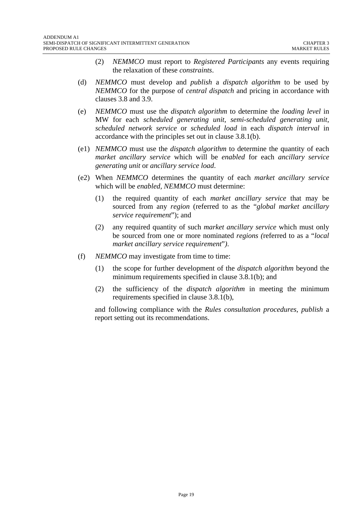- (2) *NEMMCO* must report to *Registered Participants* any events requiring the relaxation of these *constraints*.
- (d) *NEMMCO* must develop and *publish* a *dispatch algorithm* to be used by *NEMMCO* for the purpose of *central dispatch* and pricing in accordance with clauses 3.8 and 3.9.
- (e) *NEMMCO* must use the *dispatch algorithm* to determine the *loading level* in MW for each *scheduled generating unit*, *semi-scheduled generating unit*, *scheduled network service* or *scheduled load* in each *dispatch interval* in accordance with the principles set out in clause 3.8.1(b).
- (e1) *NEMMCO* must use the *dispatch algorithm* to determine the quantity of each *market ancillary service* which will be *enabled* for each *ancillary service generating unit* or *ancillary service load*.
- (e2) When *NEMMCO* determines the quantity of each *market ancillary service*  which will be *enabled, NEMMCO* must determine:
	- (1) the required quantity of each *market ancillary service* that may be sourced from any *region* (referred to as the "*global market ancillary service requirement*"); and
	- (2) any required quantity of such *market ancillary service* which must only be sourced from one or more nominated *regions (*referred to as a "*local market ancillary service requirement*"*)*.
- (f) *NEMMCO* may investigate from time to time:
	- (1) the scope for further development of the *dispatch algorithm* beyond the minimum requirements specified in clause 3.8.1(b); and
	- (2) the sufficiency of the *dispatch algorithm* in meeting the minimum requirements specified in clause 3.8.1(b),

and following compliance with the *Rules consultation procedures*, *publish* a report setting out its recommendations.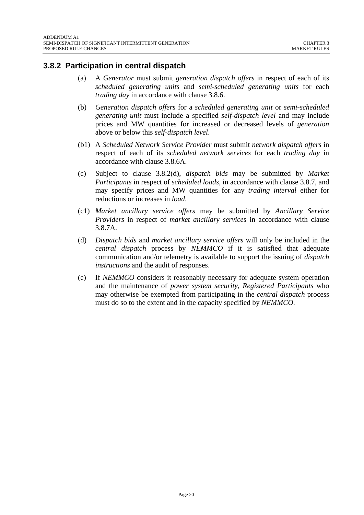## <span id="page-19-0"></span>**3.8.2 Participation in central dispatch**

- (a) A *Generator* must submit *generation dispatch offers* in respect of each of its *scheduled generating units* and *semi-scheduled generating units* for each *trading day* in accordance with clause 3.8.6.
- (b) *Generation dispatch offers* for a *scheduled generating unit* or *semi-scheduled generating unit* must include a specified *self-dispatch level* and may include prices and MW quantities for increased or decreased levels of *generation*  above or below this *self-dispatch level*.
- (b1) A *Scheduled Network Service Provider* must submit *network dispatch offers* in respect of each of its *scheduled network services* for each *trading day* in accordance with clause 3.8.6A.
- (c) Subject to clause 3.8.2(d), *dispatch bids* may be submitted by *Market Participants* in respect of *scheduled loads*, in accordance with clause 3.8.7, and may specify prices and MW quantities for any *trading interval* either for reductions or increases in *load*.
- (c1) *Market ancillary service offers* may be submitted by *Ancillary Service Providers* in respect of *market ancillary service*s in accordance with clause 3.8.7A.
- (d) *Dispatch bids* and *market ancillary service offers* will only be included in the *central dispatch* process by *NEMMCO* if it is satisfied that adequate communication and/or telemetry is available to support the issuing of *dispatch instructions* and the audit of responses.
- (e) If *NEMMCO* considers it reasonably necessary for adequate system operation and the maintenance of *power system security*, *Registered Participants* who may otherwise be exempted from participating in the *central dispatch* process must do so to the extent and in the capacity specified by *NEMMCO*.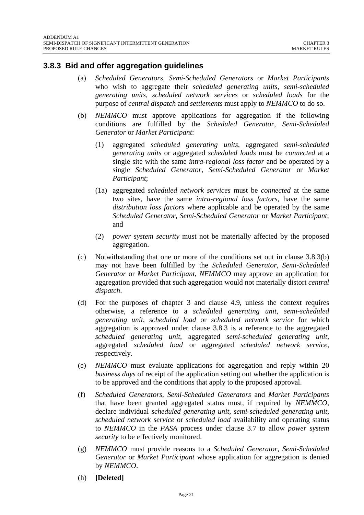#### <span id="page-20-0"></span>**3.8.3 Bid and offer aggregation guidelines**

- (a) *Scheduled Generators*, *Semi-Scheduled Generators* or *Market Participants* who wish to aggregate their *scheduled generating units*, *semi-scheduled generating units*, *scheduled network services* or *scheduled loads* for the purpose of *central dispatch* and *settlements* must apply to *NEMMCO* to do so.
- (b) *NEMMCO* must approve applications for aggregation if the following conditions are fulfilled by the *Scheduled Generator*, *Semi-Scheduled Generator* or *Market Participant*:
	- (1) aggregated *scheduled generating units*, aggregated *semi-scheduled generating units* or aggregated *scheduled loads* must be *connected* at a single site with the same *intra-regional loss factor* and be operated by a single *Scheduled Generator*, *Semi-Scheduled Generator* or *Market Participant*;
	- (1a) aggregated *scheduled network services* must be *connected* at the same two sites, have the same *intra-regional loss factors*, have the same *distribution loss factors* where applicable and be operated by the same *Scheduled Generator*, *Semi-Scheduled Generator* or *Market Participant*; and
	- (2) *power system security* must not be materially affected by the proposed aggregation.
- (c) Notwithstanding that one or more of the conditions set out in clause 3.8.3(b) may not have been fulfilled by the *Scheduled Generator*, *Semi-Scheduled Generator* or *Market Participant*, *NEMMCO* may approve an application for aggregation provided that such aggregation would not materially distort *central dispatch*.
- (d) For the purposes of chapter 3 and clause 4.9, unless the context requires otherwise, a reference to a *scheduled generating unit*, *semi-scheduled generating unit*, *scheduled load* or *scheduled network service* for which aggregation is approved under clause 3.8.3 is a reference to the aggregated *scheduled generating unit*, aggregated *semi-scheduled generating unit*, aggregated *scheduled load* or aggregated *scheduled network service*, respectively.
- (e) *NEMMCO* must evaluate applications for aggregation and reply within 20 *business days* of receipt of the application setting out whether the application is to be approved and the conditions that apply to the proposed approval.
- (f) *Scheduled Generators*, *Semi-Scheduled Generators* and *Market Participants*  that have been granted aggregated status must, if required by *NEMMCO,* declare individual *scheduled generating unit, semi-scheduled generating unit, scheduled network service* or *scheduled load* availability and operating status to *NEMMCO* in the *PASA* process under clause 3.7 to allow *power system security* to be effectively monitored.
- (g) *NEMMCO* must provide reasons to a *Scheduled Generator*, *Semi-Scheduled Generator* or *Market Participant* whose application for aggregation is denied by *NEMMCO*.
- (h) **[Deleted]**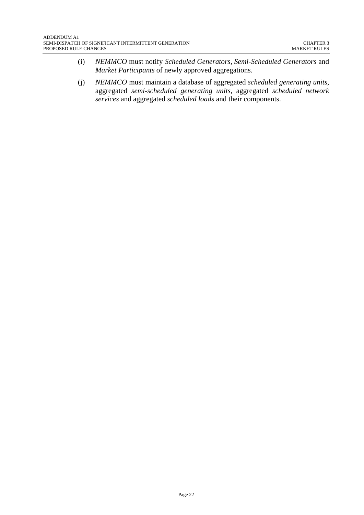- (i) *NEMMCO* must notify *Scheduled Generators*, *Semi-Scheduled Generators* and *Market Participants* of newly approved aggregations.
- (j) *NEMMCO* must maintain a database of aggregated *scheduled generating units*, aggregated *semi-scheduled generating units*, aggregated *scheduled network services* and aggregated *scheduled loads* and their components.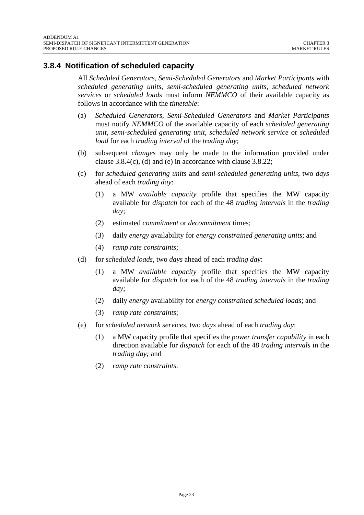## <span id="page-22-0"></span>**3.8.4 Notification of scheduled capacity**

All *Scheduled Generators*, *Semi-Scheduled Generators* and *Market Participants* with *scheduled generating units*, *semi-scheduled generating units*, *scheduled network services* or *scheduled loads* must inform *NEMMCO* of their available capacity as follows in accordance with the *timetable*:

- (a) *Scheduled Generators*, *Semi-Scheduled Generators* and *Market Participants* must notify *NEMMCO* of the available capacity of each *scheduled generating unit*, *semi-scheduled generating unit*, *scheduled network service* or *scheduled load* for each *trading interval* of the *trading day*;
- (b) subsequent *changes* may only be made to the information provided under clause 3.8.4(c), (d) and (e) in accordance with clause 3.8.22;
- (c) for *scheduled generating units* and *semi-scheduled generating units*, two *days* ahead of each *trading day*:
	- (1) a MW *available capacity* profile that specifies the MW capacity available for *dispatch* for each of the 48 *trading intervals* in the *trading day*;
	- (2) estimated *commitment* or *decommitment* times;
	- (3) daily *energy* availability for *energy constrained generating units*; and
	- (4) *ramp rate constraints*;
- (d) for *scheduled loads*, two *days* ahead of each *trading day*:
	- (1) a MW *available capacity* profile that specifies the MW capacity available for *dispatch* for each of the 48 *trading intervals* in the *trading day*;
	- (2) daily *energy* availability for *energy constrained scheduled loads*; and
	- (3) *ramp rate constraints*;
- (e) for *scheduled network services*, two *days* ahead of each *trading day*:
	- (1) a MW capacity profile that specifies the *power transfer capability* in each direction available for *dispatch* for each of the 48 *trading intervals* in the *trading day;* and
	- (2) *ramp rate constraints*.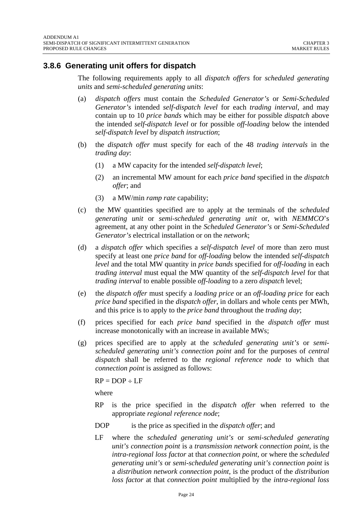## <span id="page-23-0"></span>**3.8.6 Generating unit offers for dispatch**

The following requirements apply to all *dispatch offers* for *scheduled generating units* and *semi-scheduled generating units*:

- (a) *dispatch offers* must contain the *Scheduled Generator's* or *Semi-Scheduled Generator's* intended *self-dispatch level* for each *trading interval*, and may contain up to 10 *price bands* which may be either for possible *dispatch* above the intended *self-dispatch level* or for possible *off-loading* below the intended *self-dispatch level* by *dispatch instruction*;
- (b) the *dispatch offer* must specify for each of the 48 *trading intervals* in the *trading day*:
	- (1) a MW capacity for the intended *self-dispatch level*;
	- (2) an incremental MW amount for each *price band* specified in the *dispatch offer*; and
	- (3) a MW/min *ramp rate* capability;
- (c) the MW quantities specified are to apply at the terminals of the *scheduled generating unit* or *semi-scheduled generating unit* or, with *NEMMCO*'s agreement, at any other point in the *Scheduled Generator's* or *Semi-Scheduled Generator's* electrical installation or on the *network*;
- (d) a *dispatch offer* which specifies a *self-dispatch level* of more than zero must specify at least one *price band* for *off-loading* below the intended *self-dispatch level* and the total MW quantity in *price bands* specified for *off-loading* in each *trading interval* must equal the MW quantity of the *self-dispatch level* for that *trading interval* to enable possible *off-loading* to a zero *dispatch* level;
- (e) the *dispatch offer* must specify a *loading price* or an *off-loading price* for each *price band* specified in the *dispatch offer*, in dollars and whole cents per MWh, and this price is to apply to the *price band* throughout the *trading day*;
- (f) prices specified for each *price band* specified in the *dispatch offer* must increase monotonically with an increase in available MWs;
- (g) prices specified are to apply at the *scheduled generating unit's* or *semischeduled generating unit's connection point* and for the purposes of *central dispatch* shall be referred to the *regional reference node* to which that *connection point* is assigned as follows:

 $RP = DOP \div LF$ 

where

- RP is the price specified in the *dispatch offer* when referred to the appropriate *regional reference node*;
- DOP is the price as specified in the *dispatch offer*; and
- LF where the *scheduled generating unit's* or *semi-scheduled generating unit's connection point* is a *transmission network connection point*, is the *intra-regional loss factor* at that *connection point*, or where the *scheduled generating unit's* or *semi-scheduled generating unit's connection point* is a *distribution network connection point*, is the product of the *distribution loss factor* at that *connection point* multiplied by the *intra-regional loss*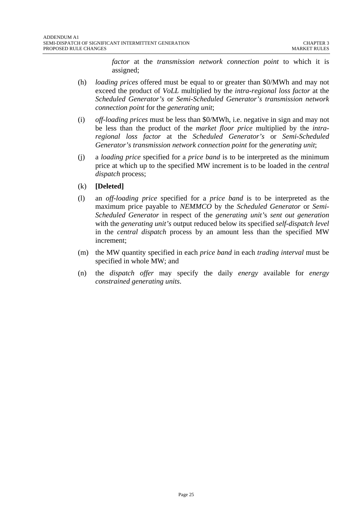*factor* at the *transmission network connection point* to which it is assigned;

- (h) *loading prices* offered must be equal to or greater than \$0/MWh and may not exceed the product of *VoLL* multiplied by the *intra-regional loss factor* at the *Scheduled Generator's* or *Semi-Scheduled Generator's transmission network connection point* for the *generating unit*;
- (i) *off-loading prices* must be less than \$0/MWh, i.e. negative in sign and may not be less than the product of the *market floor price* multiplied by the *intraregional loss factor* at the *Scheduled Generator's* or *Semi-Scheduled Generator's transmission network connection point* for the *generating unit*;
- (j) a *loading price* specified for a *price band* is to be interpreted as the minimum price at which up to the specified MW increment is to be loaded in the *central dispatch* process;
- (k) **[Deleted]**
- (l) an *off-loading price* specified for a *price band* is to be interpreted as the maximum price payable to *NEMMCO* by the *Scheduled Generator* or *Semi-Scheduled Generator* in respect of the *generating unit'*s *sent out generation* with the *generating unit's* output reduced below its specified *self-dispatch level*  in the *central dispatch* process by an amount less than the specified MW increment;
- (m) the MW quantity specified in each *price band* in each *trading interval* must be specified in whole MW; and
- (n) the *dispatch offer* may specify the daily *energy* available for *energy constrained generating units*.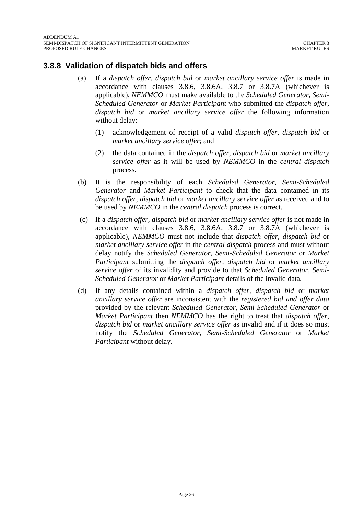#### <span id="page-25-0"></span>**3.8.8 Validation of dispatch bids and offers**

- (a) If a *dispatch offer*, *dispatch bid* or *market ancillary service offer* is made in accordance with clauses 3.8.6, 3.8.6A, 3.8.7 or 3.8.7A (whichever is applicable), *NEMMCO* must make available to the *Scheduled Generator*, *Semi-Scheduled Generator* or *Market Participant* who submitted the *dispatch offer*, *dispatch bid* or *market ancillary service offer* the following information without delay:
	- (1) acknowledgement of receipt of a valid *dispatch offer, dispatch bid* or *market ancillary service offer*; and
	- (2) the data contained in the *dispatch offer*, *dispatch bid* or *market ancillary service offer* as it will be used by *NEMMCO* in the *central dispatch* process.
- (b) It is the responsibility of each *Scheduled Generator*, *Semi-Scheduled Generator* and *Market Participant* to check that the data contained in its *dispatch offer*, *dispatch bid* or *market ancillary service offer* as received and to be used by *NEMMCO* in the *central dispatch* process is correct.
- (c) If a *dispatch offer, dispatch bid* or *market ancillary service offer* is not made in accordance with clauses 3.8.6, 3.8.6A, 3.8.7 or 3.8.7A (whichever is applicable), *NEMMCO* must not include that *dispatch offer, dispatch bid* or *market ancillary service offer* in the *central dispatch* process and must without delay notify the *Scheduled Generator*, *Semi-Scheduled Generator* or *Market Participant* submitting the *dispatch offer, dispatch bid* or *market ancillary service offer* of its invalidity and provide to that *Scheduled Generator*, *Semi-Scheduled Generator* or *Market Participant* details of the invalid data*.*
- (d) If any details contained within a *dispatch offer*, *dispatch bid* or *market ancillary service offer* are inconsistent with the *registered bid and offer data* provided by the relevant *Scheduled Generator*, *Semi-Scheduled Generator* or *Market Participant* then *NEMMCO* has the right to treat that *dispatch offer*, *dispatch bid* or *market ancillary service offer* as invalid and if it does so must notify the *Scheduled Generator*, *Semi-Scheduled Generator* or *Market Participant* without delay.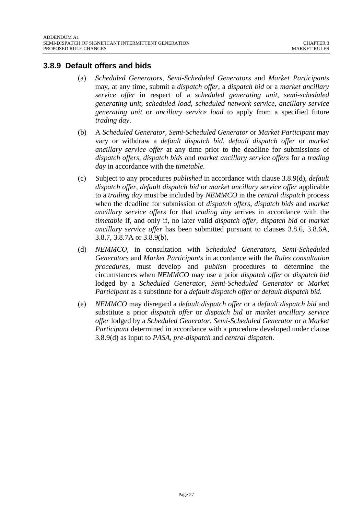#### <span id="page-26-0"></span>**3.8.9 Default offers and bids**

- (a) *Scheduled Generators*, *Semi-Scheduled Generators* and *Market Participants* may, at any time, submit a *dispatch offer*, a *dispatch bid* or a *market ancillary service offer* in respect of a *scheduled generating unit*, *semi-scheduled generating unit*, *scheduled load*, *scheduled network service*, *ancillary service generating unit* or *ancillary service load* to apply from a specified future *trading day*.
- (b) A *Scheduled Generator*, *Semi-Scheduled Generator* or *Market Participant* may vary or withdraw a *default dispatch bid*, *default dispatch offer* or *market ancillary service offer* at any time prior to the deadline for submissions of *dispatch offers*, *dispatch bids* and *market ancillary service offers* for a *trading day* in accordance with the *timetable*.
- (c) Subject to any procedures *published* in accordance with clause 3.8.9(d), *default dispatch offer*, *default dispatch bid* or *market ancillary service offer* applicable to a *trading day* must be included by *NEMMCO* in the *central dispatch* process when the deadline for submission of *dispatch offers, dispatch bids* and *market ancillary service offers* for that *trading day* arrives in accordance with the *timetable* if*,* and only if, no later valid *dispatch offer, dispatch bid* or *market ancillary service offer* has been submitted pursuant to clauses 3.8.6, 3.8.6A, 3.8.7, 3.8.7A or 3.8.9(b).
- (d) *NEMMCO*, in consultation with *Scheduled Generators*, *Semi-Scheduled Generators* and *Market Participants* in accordance with the *Rules consultation procedures,* must develop and *publish* procedures to determine the circumstances when *NEMMCO* may use a prior *dispatch offer* or *dispatch bid*  lodged by a *Scheduled Generator*, *Semi-Scheduled Generator* or *Market Participant* as a substitute for a *default dispatch offer* or *default dispatch bid*.
- (e) *NEMMCO* may disregard a *default dispatch offer* or a *default dispatch bid* and substitute a prior *dispatch offer* or *dispatch bid* or *market ancillary service offer* lodged by a *Scheduled Generator*, *Semi-Scheduled Generator* or a *Market Participant* determined in accordance with a procedure developed under clause 3.8.9(d) as input to *PASA, pre-dispatch* and *central dispatch*.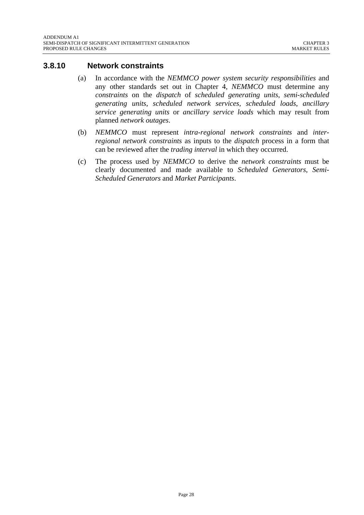#### <span id="page-27-0"></span>**3.8.10 Network constraints**

- (a) In accordance with the *NEMMCO power system security responsibilities* and any other standards set out in Chapter 4, *NEMMCO* must determine any *constraints* on the *dispatch* of *scheduled generating units*, *semi-scheduled generating units*, *scheduled network services*, *scheduled loads*, *ancillary service generating units* or *ancillary service loads* which may result from planned *network outages*.
- (b) *NEMMCO* must represent *intra-regional network constraints* and *interregional network constraints* as inputs to the *dispatch* process in a form that can be reviewed after the *trading interval* in which they occurred.
- (c) The process used by *NEMMCO* to derive the *network constraints* must be clearly documented and made available to *Scheduled Generators*, *Semi-Scheduled Generators* and *Market Participants*.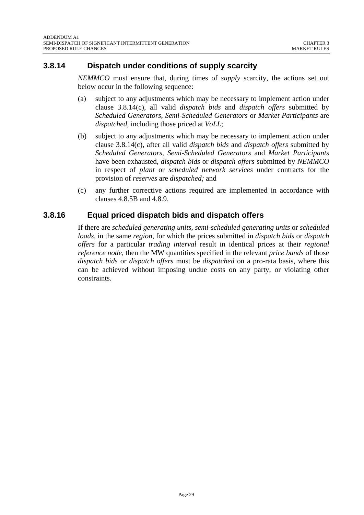# <span id="page-28-0"></span>**3.8.14 Dispatch under conditions of supply scarcity**

*NEMMCO* must ensure that, during times of *supply* scarcity, the actions set out below occur in the following sequence:

- (a) subject to any adjustments which may be necessary to implement action under clause 3.8.14(c), all valid *dispatch bids* and *dispatch offers* submitted by *Scheduled Generators*, *Semi-Scheduled Generators* or *Market Participants* are *dispatched*, including those priced at *VoLL*;
- (b) subject to any adjustments which may be necessary to implement action under clause 3.8.14(c), after all valid *dispatch bids* and *dispatch offers* submitted by *Scheduled Generators*, *Semi-Scheduled Generators* and *Market Participants*  have been exhausted, *dispatch bids* or *dispatch offers* submitted by *NEMMCO*  in respect of *plant* or *scheduled network services* under contracts for the provision of *reserves* are *dispatched;* and
- (c) any further corrective actions required are implemented in accordance with clauses 4.8.5B and 4.8.9.

# **3.8.16 Equal priced dispatch bids and dispatch offers**

If there are *scheduled generating units*, *semi-scheduled generating units* or *scheduled loads*, in the same *region*, for which the prices submitted in *dispatch bids* or *dispatch offers* for a particular *trading interval* result in identical prices at their *regional reference node*, then the MW quantities specified in the relevant *price bands* of those *dispatch bids* or *dispatch offers* must be *dispatched* on a pro-rata basis, where this can be achieved without imposing undue costs on any party, or violating other constraints.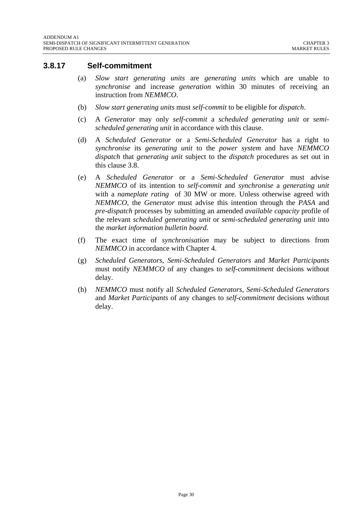#### <span id="page-29-0"></span>**3.8.17 Self-commitment**

- (a) *Slow start generating units* are *generating units* which are unable to *synchronise* and increase *generation* within 30 minutes of receiving an instruction from *NEMMCO*.
- (b) *Slow start generating units* must *self-commit* to be eligible for *dispatch*.
- (c) A *Generator* may only *self-commit* a *scheduled generating unit* or *semischeduled generating unit* in accordance with this clause.
- (d) A *Scheduled Generator* or a *Semi-Scheduled Generator* has a right to *synchronise* its *generating unit* to the *power system* and have *NEMMCO dispatch* that *generating unit* subject to the *dispatch* procedures as set out in this clause 3.8.
- (e) A *Scheduled Generator* or a *Semi-Scheduled Generator* must advise *NEMMCO* of its intention to *self-commit* and *synchronise* a *generating unit*  with a *nameplate rating* of 30 MW or more. Unless otherwise agreed with *NEMMCO,* the *Generator* must advise this intention through the *PASA* and *pre-dispatch* processes by submitting an amended *available capacity* profile of the relevant *scheduled generating unit* or *semi-scheduled generating unit* into the *market information bulletin board*.
- (f) The exact time of *synchronisation* may be subject to directions from *NEMMCO* in accordance with Chapter 4.
- (g) *Scheduled Generators*, *Semi-Scheduled Generators* and *Market Participants* must notify *NEMMCO* of any changes to *self-commitment* decisions without delay.
- (h) *NEMMCO* must notify all *Scheduled Generators*, *Semi-Scheduled Generators* and *Market Participants* of any changes to *self-commitment* decisions without delay.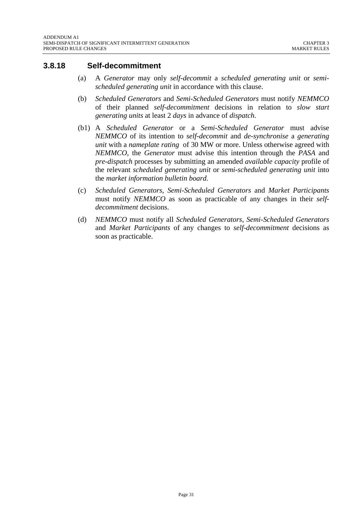#### <span id="page-30-0"></span>**3.8.18 Self-decommitment**

- (a) A *Generator* may only *self-decommit* a *scheduled generating unit* or *semischeduled generating unit* in accordance with this clause.
- (b) *Scheduled Generators* and *Semi-Scheduled Generators* must notify *NEMMCO* of their planned *self-decommitment* decisions in relation to *slow start generating units* at least 2 *days* in advance of *dispatch*.
- (b1) A *Scheduled Generator* or a *Semi-Scheduled Generator* must advise *NEMMCO* of its intention to *self-decommit* and *de-synchronise* a *generating unit* with a *nameplate rating* of 30 MW or more. Unless otherwise agreed with *NEMMCO*, the *Generator* must advise this intention through the *PASA* and *pre-dispatch* processes by submitting an amended *available capacity* profile of the relevant *scheduled generating unit* or *semi-scheduled generating unit* into the *market information bulletin board*.
- (c) *Scheduled Generators*, *Semi-Scheduled Generators* and *Market Participants* must notify *NEMMCO* as soon as practicable of any changes in their *selfdecommitment* decisions.
- (d) *NEMMCO* must notify all *Scheduled Generators*, *Semi-Scheduled Generators* and *Market Participants* of any changes to *self-decommitment* decisions as soon as practicable.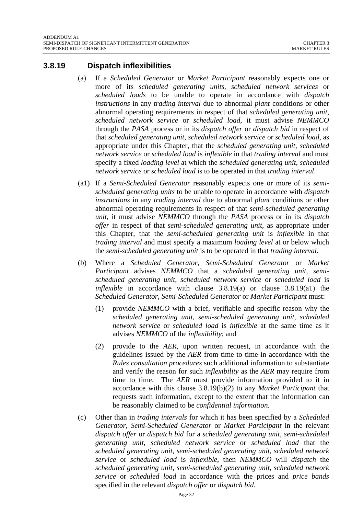#### <span id="page-31-0"></span>**3.8.19 Dispatch inflexibilities**

- (a) If a *Scheduled Generator* or *Market Participant* reasonably expects one or more of its *scheduled generating units*, *scheduled network services* or *scheduled loads* to be unable to operate in accordance with *dispatch instructions* in any *trading interval* due to abnormal *plant* conditions or other abnormal operating requirements in respect of that *scheduled generating unit*, *scheduled network service* or *scheduled load*, it must advise *NEMMCO* through the *PASA* process or in its *dispatch offer* or *dispatch bid* in respect of that *scheduled generating unit*, *scheduled network service* or *scheduled load*, as appropriate under this Chapter, that the *scheduled generating unit*, *scheduled network service* or *scheduled load* is *inflexible* in that *trading interval* and must specify a fixed *loading level* at which the *scheduled generating unit*, *scheduled network service* or *scheduled load* is to be operated in that *trading interval*.
- (a1) If a *Semi-Scheduled Generator* reasonably expects one or more of its *semischeduled generating units* to be unable to operate in accordance with *dispatch instructions* in any *trading interval* due to abnormal *plant* conditions or other abnormal operating requirements in respect of that *semi-scheduled generating unit*, it must advise *NEMMCO* through the *PASA* process or in its *dispatch offer* in respect of that *semi-scheduled generating unit*, as appropriate under this Chapter, that the *semi-scheduled generating unit* is *inflexible* in that *trading interval* and must specify a maximum *loading level* at or below which the *semi-scheduled generating unit* is to be operated in that *trading interval*.
- (b) Where a *Scheduled Generator*, *Semi-Scheduled Generator* or *Market Participant* advises *NEMMCO* that a *scheduled generating unit*, *semischeduled generating unit*, *scheduled network service* or *scheduled load* is *inflexible* in accordance with clause 3.8.19(a) or clause 3.8.19(a1) the *Scheduled Generator*, *Semi-Scheduled Generator* or *Market Participant* must:
	- (1) provide *NEMMCO* with a brief, verifiable and specific reason why the *scheduled generating unit*, *semi-scheduled generating unit, scheduled network service* or *scheduled load* is *inflexible* at the same time as it advises *NEMMCO* of the *inflexibility*; and
	- (2) provide to the *AER,* upon written request, in accordance with the guidelines issued by the *AER* from time to time in accordance with the *Rules consultation procedures* such additional information to substantiate and verify the reason for such *inflexibility* as the *AER* may require from time to time. The *AER* must provide information provided to it in accordance with this clause 3.8.19(b)(2) to any *Market Participant* that requests such information, except to the extent that the information can be reasonably claimed to be *confidential information.*
- (c) Other than in *trading intervals* for which it has been specified by a *Scheduled Generator*, *Semi-Scheduled Generator* or *Market Participant* in the relevant *dispatch offer* or *dispatch bid* for a *scheduled generating unit*, *semi-scheduled generating unit*, *scheduled network service* or *scheduled load* that the *scheduled generating unit*, *semi-scheduled generating unit, scheduled network service* or *scheduled load* is *inflexible*, then *NEMMCO* will *dispatch* the *scheduled generating unit*, *semi-scheduled generating unit*, *scheduled network service* or *scheduled load* in accordance with the prices and *price bands* specified in the relevant *dispatch offer* or *dispatch bid*.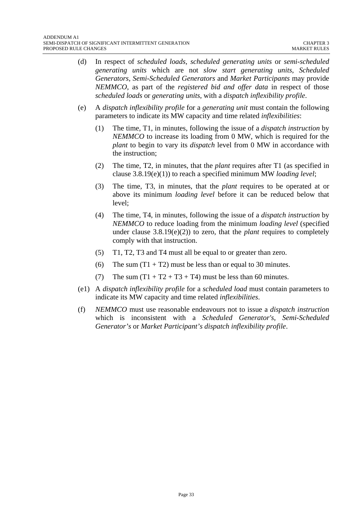- (d) In respect of *scheduled loads*, *scheduled generating units* or *semi-scheduled generating units* which are not *slow start generating units*, *Scheduled Generators*, *Semi-Scheduled Generators* and *Market Participants* may provide *NEMMCO*, as part of the *registered bid and offer data* in respect of those *scheduled loads* or *generating units*, with a *dispatch inflexibility profile*.
- (e) A *dispatch inflexibility profile* for a *generating unit* must contain the following parameters to indicate its MW capacity and time related *inflexibilities*:
	- (1) The time, T1, in minutes, following the issue of a *dispatch instruction* by *NEMMCO* to increase its loading from 0 MW, which is required for the *plant* to begin to vary its *dispatch* level from 0 MW in accordance with the instruction;
	- (2) The time, T2, in minutes, that the *plant* requires after T1 (as specified in clause 3.8.19(e)(1)) to reach a specified minimum MW *loading level*;
	- (3) The time, T3, in minutes, that the *plant* requires to be operated at or above its minimum *loading level* before it can be reduced below that level;
	- (4) The time, T4, in minutes, following the issue of a *dispatch instruction* by *NEMMCO* to reduce loading from the minimum *loading level* (specified under clause 3.8.19(e)(2)) to zero, that the *plant* requires to completely comply with that instruction.
	- (5) T1, T2, T3 and T4 must all be equal to or greater than zero.
	- (6) The sum  $(T1 + T2)$  must be less than or equal to 30 minutes.
	- (7) The sum  $(T1 + T2 + T3 + T4)$  must be less than 60 minutes.
- (e1) A *dispatch inflexibility profile* for a *scheduled load* must contain parameters to indicate its MW capacity and time related *inflexibilities*.
- (f) *NEMMCO* must use reasonable endeavours not to issue a *dispatch instruction* which is inconsistent with a *Scheduled Generator's*, *Semi-Scheduled Generator's* or *Market Participant's dispatch inflexibility profile*.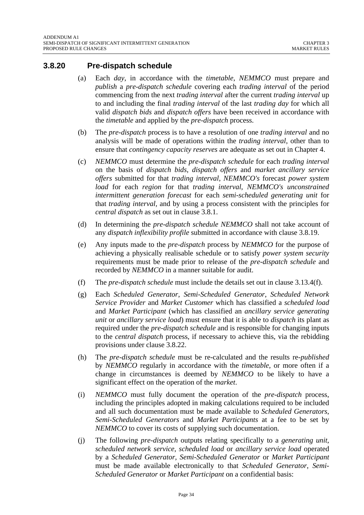#### <span id="page-33-0"></span>**3.8.20 Pre-dispatch schedule**

- (a) Each *day*, in accordance with the *timetable*, *NEMMCO* must prepare and *publish* a *pre-dispatch schedule* covering each *trading interval* of the period commencing from the next *trading interval* after the current *trading interval* up to and including the final *trading interval* of the last *trading day* for which all valid *dispatch bids* and *dispatch offers* have been received in accordance with the *timetable* and applied by the *pre-dispatch* process.
- (b) The *pre-dispatch* process is to have a resolution of one *trading interval* and no analysis will be made of operations within the *trading interval*, other than to ensure that *contingency capacity reserves* are adequate as set out in Chapter 4.
- (c) *NEMMCO* must determine the *pre-dispatch schedule* for each *trading interval* on the basis of *dispatch bids*, *dispatch offers* and *market ancillary service offers* submitted for that *trading interval, NEMMCO's* forecast *power system load* for each *region* for that *trading interval*, *NEMMCO's unconstrained intermittent generation forecast* for each *semi-scheduled generating unit* for that *trading interval,* and by using a process consistent with the principles for *central dispatch* as set out in clause 3.8.1.
- (d) In determining the *pre-dispatch schedule NEMMCO* shall not take account of any *dispatch inflexibility profile* submitted in accordance with clause 3.8.19.
- (e) Any inputs made to the *pre-dispatch* process by *NEMMCO* for the purpose of achieving a physically realisable schedule or to satisfy *power system security* requirements must be made prior to release of the *pre-dispatch schedule* and recorded by *NEMMCO* in a manner suitable for audit.
- (f) The *pre-dispatch schedule* must include the details set out in clause 3.13.4(f).
- (g) Each *Scheduled Generator*, *Semi-Scheduled Generator*, *Scheduled Network Service Provider* and *Market Customer* which has classified a *scheduled load* and *Market Participant* (which has classified an *ancillary service generating unit* or *ancillary service load*) must ensure that it is able to *dispatch* its plant as required under the *pre-dispatch schedule* and is responsible for changing inputs to the *central dispatch* process, if necessary to achieve this, via the rebidding provisions under clause 3.8.22.
- (h) The *pre-dispatch schedule* must be re-calculated and the results re-*published* by *NEMMCO* regularly in accordance with the *timetable*, or more often if a change in circumstances is deemed by *NEMMCO* to be likely to have a significant effect on the operation of the *market*.
- (i) *NEMMCO* must fully document the operation of the *pre-dispatch* process, including the principles adopted in making calculations required to be included and all such documentation must be made available to *Scheduled Generators*, *Semi-Scheduled Generators* and *Market Participants* at a fee to be set by *NEMMCO* to cover its costs of supplying such documentation.
- (j) The following *pre-dispatch* outputs relating specifically to a *generating unit*, *scheduled network service*, *scheduled load* or *ancillary service load* operated by a *Scheduled Generator*, *Semi-Scheduled Generator* or *Market Participant* must be made available electronically to that *Scheduled Generator*, *Semi-Scheduled Generator* or *Market Participant* on a confidential basis: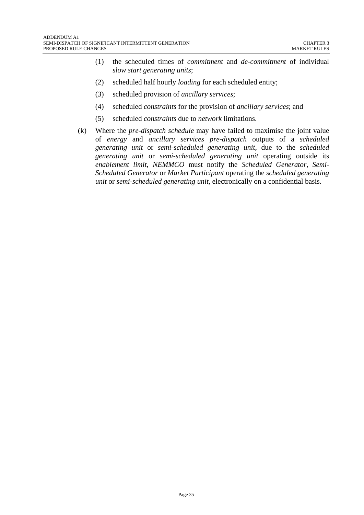- (1) the scheduled times of *commitment* and *de-commitment* of individual *slow start generating units*;
- (2) scheduled half hourly *loading* for each scheduled entity;
- (3) scheduled provision of *ancillary services*;
- (4) scheduled *constraints* for the provision of *ancillary services*; and
- (5) scheduled *constraints* due to *network* limitations.
- (k) Where the *pre-dispatch schedule* may have failed to maximise the joint value of *energy* and *ancillary services pre-dispatch* outputs of a *scheduled generating unit* or *semi-scheduled generating unit*, due to the *scheduled generating unit* or *semi-scheduled generating unit* operating outside its *enablement limit*, *NEMMCO* must notify the *Scheduled Generator*, *Semi-Scheduled Generator* or *Market Participant* operating the *scheduled generating unit* or *semi-scheduled generating unit*, electronically on a confidential basis.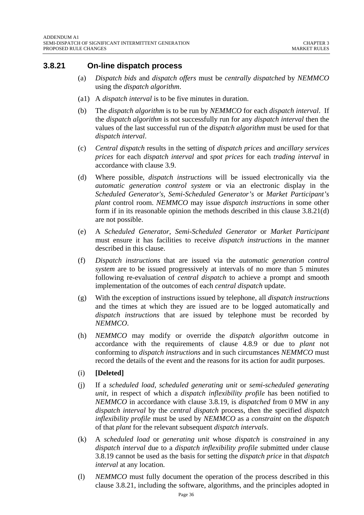#### <span id="page-35-0"></span>**3.8.21 On-line dispatch process**

- (a) *Dispatch bids* and *dispatch offers* must be *centrally dispatched* by *NEMMCO*  using the *dispatch algorithm*.
- (a1) A *dispatch interval* is to be five minutes in duration.
- (b) The *dispatch algorithm* is to be run by *NEMMCO* for each *dispatch interval*. If the *dispatch algorithm* is not successfully run for any *dispatch interval* then the values of the last successful run of the *dispatch algorithm* must be used for that *dispatch interval*.
- (c) *Central dispatch* results in the setting of *dispatch prices* and *ancillary services prices* for each *dispatch interval* and *spot prices* for each *trading interval* in accordance with clause 3.9.
- (d) Where possible, *dispatch instructions* will be issued electronically via the *automatic generation control system* or via an electronic display in the *Scheduled Generator's*, *Semi-Scheduled Generator's* or *Market Participant's plant* control room. *NEMMCO* may issue *dispatch instructions* in some other form if in its reasonable opinion the methods described in this clause 3.8.21(d) are not possible.
- (e) A *Scheduled Generator*, *Semi-Scheduled Generator* or *Market Participant* must ensure it has facilities to receive *dispatch instructions* in the manner described in this clause.
- (f) *Dispatch instructions* that are issued via the *automatic generation control system* are to be issued progressively at intervals of no more than 5 minutes following re-evaluation of *central dispatch* to achieve a prompt and smooth implementation of the outcomes of each *central dispatch* update.
- (g) With the exception of instructions issued by telephone, all *dispatch instructions* and the times at which they are issued are to be logged automatically and *dispatch instructions* that are issued by telephone must be recorded by *NEMMCO*.
- (h) *NEMMCO* may modify or override the *dispatch algorithm* outcome in accordance with the requirements of clause 4.8.9 or due to *plant* not conforming to *dispatch instructions* and in such circumstances *NEMMCO* must record the details of the event and the reasons for its action for audit purposes.
- (i) **[Deleted]**
- (j) If a *scheduled load*, *scheduled generating unit* or *semi-scheduled generating unit,* in respect of which a *dispatch inflexibility profile* has been notified to *NEMMCO* in accordance with clause 3.8.19, is *dispatched* from 0 MW in any *dispatch interval* by the *central dispatch* process, then the specified *dispatch inflexibility profile* must be used by *NEMMCO* as a *constraint* on the *dispatch* of that *plant* for the relevant subsequent *dispatch intervals*.
- (k) A *scheduled load* or *generating unit* whose *dispatch* is *constrained* in any *dispatch interval* due to a *dispatch inflexibility profile* submitted under clause 3.8.19 cannot be used as the basis for setting the *dispatch price* in that *dispatch interval* at any location.
- (l) *NEMMCO* must fully document the operation of the process described in this clause 3.8.21, including the software, algorithms, and the principles adopted in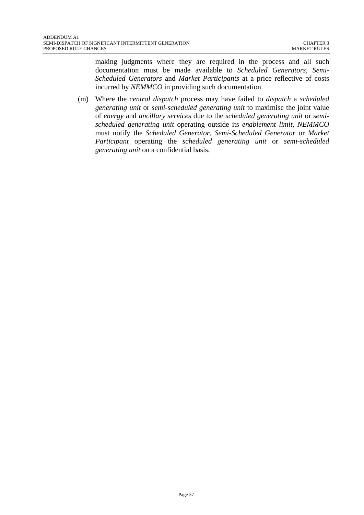making judgments where they are required in the process and all such documentation must be made available to *Scheduled Generators*, *Semi-Scheduled Generators* and *Market Participants* at a price reflective of costs incurred by *NEMMCO* in providing such documentation.

(m) Where the *central dispatch* process may have failed to *dispatch* a *scheduled generating unit* or *semi-scheduled generating unit* to maximise the joint value of *energy* and *ancillary services* due to the *scheduled generating unit* or *semischeduled generating unit* operating outside its *enablement limit*, *NEMMCO* must notify the *Scheduled Generator*, *Semi-Scheduled Generator* or *Market Participant* operating the *scheduled generating unit* or *semi-scheduled generating unit* on a confidential basis.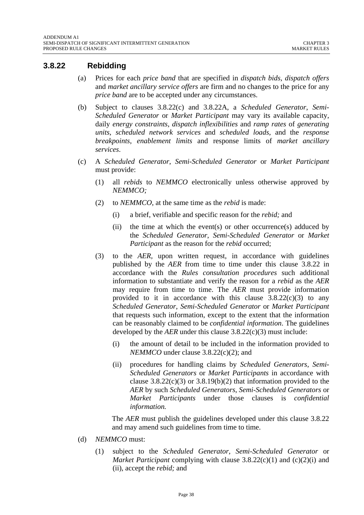#### **3.8.22 Rebidding**

- (a) Prices for each *price band* that are specified in *dispatch bids, dispatch offers* and *market ancillary service offers* are firm and no changes to the price for any *price band* are to be accepted under any circumstances.
- (b) Subject to clauses 3.8.22(c) and 3.8.22A, a *Scheduled Generator*, *Semi-Scheduled Generator* or *Market Participant* may vary its available capacity, daily *energy constraints*, *dispatch inflexibilities* and *ramp rates* of *generating units*, *scheduled network services* and *scheduled loads*, and the *response breakpoints*, *enablement limits* and response limits of *market ancillary services*.
- (c) A *Scheduled Generator*, *Semi-Scheduled Generator* or *Market Participant* must provide:
	- (1) all *rebids* to *NEMMCO* electronically unless otherwise approved by *NEMMCO;*
	- (2) to *NEMMCO*, at the same time as the *rebid* is made:
		- (i) a brief, verifiable and specific reason for the *rebid;* and
		- (ii) the time at which the event(s) or other occurrence(s) adduced by the *Scheduled Generator*, *Semi-Scheduled Generator* or *Market Participant* as the reason for the *rebid* occurred;
	- (3) to the *AER,* upon written request, in accordance with guidelines published by the *AER* from time to time under this clause 3.8.22 in accordance with the *Rules consultation procedures* such additional information to substantiate and verify the reason for a *rebid* as the *AER*  may require from time to time. The *AER* must provide information provided to it in accordance with this clause  $3.8.22(c)(3)$  to any *Scheduled Generator*, *Semi-Scheduled Generator* or *Market Participant* that requests such information, except to the extent that the information can be reasonably claimed to be *confidential information*. The guidelines developed by the *AER* under this clause 3.8.22(c)(3) must include:
		- (i) the amount of detail to be included in the information provided to *NEMMCO* under clause 3.8.22(c)(2); and
		- (ii) procedures for handling claims by *Scheduled Generators*, *Semi-Scheduled Generators* or *Market Participants* in accordance with clause  $3.8.22(c)(3)$  or  $3.8.19(b)(2)$  that information provided to the *AER* by such *Scheduled Generators*, *Semi-Scheduled Generators* or *Market Participants* under those clauses is *confidential information.*

The *AER* must publish the guidelines developed under this clause 3.8.22 and may amend such guidelines from time to time.

- (d) *NEMMCO* must:
	- (1) subject to the *Scheduled Generator*, *Semi-Scheduled Generator* or *Market Participant* complying with clause 3.8.22(c)(1) and (c)(2)(i) and (ii), accept the *rebid;* and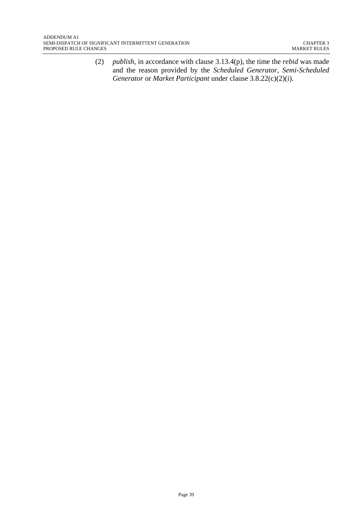(2) *publish,* in accordance with clause 3.13.4(p), the time the *rebid* was made and the reason provided by the *Scheduled Generator*, *Semi-Scheduled Generator* or *Market Participant* under clause 3.8.22(c)(2)(i).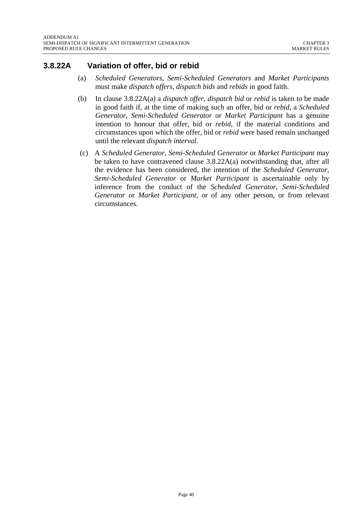## **3.8.22A Variation of offer, bid or rebid**

- (a) *Scheduled Generators*, *Semi-Scheduled Generators* and *Market Participants* must make *dispatch offers, dispatch bids* and *rebids* in good faith.
- (b) In clause 3.8.22A(a) a *dispatch offer*, *dispatch bid* or *rebid* is taken to be made in good faith if, at the time of making such an offer, bid or *rebid*, a *Scheduled Generator*, *Semi-Scheduled Generator* or *Market Participant* has a genuine intention to honour that offer, bid or *rebid*, if the material conditions and circumstances upon which the offer, bid or *rebid* were based remain unchanged until the relevant *dispatch interval*.
- (c) A *Scheduled Generator*, *Semi-Scheduled Generator* or *Market Participant* may be taken to have contravened clause  $3.8.22A(a)$  notwithstanding that, after all the evidence has been considered, the intention of the *Scheduled Generator*, *Semi-Scheduled Generator* or *Market Participant* is ascertainable only by inference from the conduct of the *Scheduled Generator*, *Semi-Scheduled Generator* or *Market Participant*, or of any other person, or from relevant circumstances.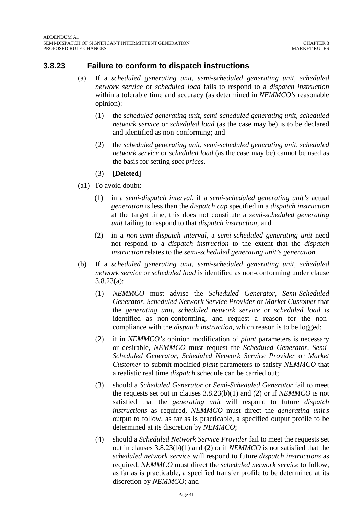#### **3.8.23 Failure to conform to dispatch instructions**

- (a) If a *scheduled generating unit*, *semi-scheduled generating unit*, *scheduled network service* or *scheduled load* fails to respond to a *dispatch instruction* within a tolerable time and accuracy (as determined in *NEMMCO's* reasonable opinion):
	- (1) the *scheduled generating unit*, *semi-scheduled generating unit*, *scheduled network service* or *scheduled load* (as the case may be) is to be declared and identified as non-conforming; and
	- (2) the *scheduled generating unit*, *semi-scheduled generating unit*, *scheduled network service* or *scheduled load* (as the case may be) cannot be used as the basis for setting *spot prices*.
	- (3) **[Deleted]**
- (a1) To avoid doubt:
	- (1) in a *semi-dispatch interval*, if a *semi-scheduled generating unit's* actual *generation* is less than the *dispatch cap* specified in a *dispatch instruction* at the target time*,* this does not constitute a *semi-scheduled generating unit* failing to respond to that *dispatch instruction*; and
	- (2) in a *non-semi-dispatch interval*, a *semi-scheduled generating unit* need not respond to a *dispatch instruction* to the extent that the *dispatch instruction* relates to the *semi-scheduled generating unit's generation*.
- (b) If a *scheduled generating unit*, *semi-scheduled generating unit*, *scheduled network service* or *scheduled load* is identified as non-conforming under clause 3.8.23(a):
	- (1) *NEMMCO* must advise the *Scheduled Generator*, *Semi-Scheduled Generator*, *Scheduled Network Service Provider* or *Market Customer* that the *generating unit*, *scheduled network service* or *scheduled load* is identified as non-conforming, and request a reason for the noncompliance with the *dispatch instruction*, which reason is to be logged;
	- (2) if in *NEMMCO's* opinion modification of *plant* parameters is necessary or desirable, *NEMMCO* must request the *Scheduled Generator*, *Semi-Scheduled Generator*, *Scheduled Network Service Provider* or *Market Customer* to submit modified *plant* parameters to satisfy *NEMMCO* that a realistic real time *dispatch* schedule can be carried out;
	- (3) should a *Scheduled Generator* or *Semi-Scheduled Generator* fail to meet the requests set out in clauses 3.8.23(b)(1) and (2) or if *NEMMCO* is not satisfied that the *generating unit* will respond to future *dispatch instructions* as required, *NEMMCO* must direct the *generating unit's* output to follow, as far as is practicable, a specified output profile to be determined at its discretion by *NEMMCO*;
	- (4) should a *Scheduled Network Service Provider* fail to meet the requests set out in clauses 3.8.23(b)(1) and (2) or if *NEMMCO* is not satisfied that the *scheduled network service* will respond to future *dispatch instructions* as required, *NEMMCO* must direct the *scheduled network service* to follow, as far as is practicable, a specified transfer profile to be determined at its discretion by *NEMMCO*; and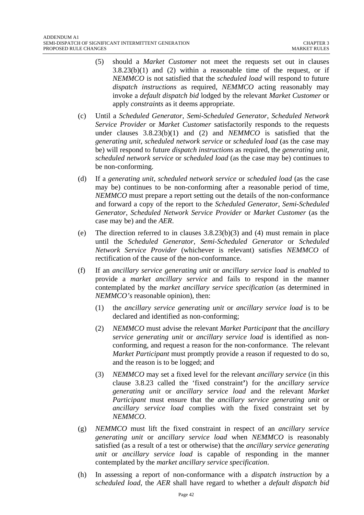- (5) should a *Market Customer* not meet the requests set out in clauses  $3.8.23(b)(1)$  and (2) within a reasonable time of the request, or if *NEMMCO* is not satisfied that the *scheduled load* will respond to future *dispatch instructions* as required, *NEMMCO* acting reasonably may invoke a *default dispatch bid* lodged by the relevant *Market Customer* or apply *constraints* as it deems appropriate.
- (c) Until a *Scheduled Generator*, *Semi-Scheduled Generator*, *Scheduled Network Service Provider* or *Market Customer* satisfactorily responds to the requests under clauses  $3.8.23(b)(1)$  and (2) and *NEMMCO* is satisfied that the *generating unit*, *scheduled network service* or *scheduled load* (as the case may be) will respond to future *dispatch instructions* as required, the *generating unit*, *scheduled network service* or *scheduled load* (as the case may be) continues to be non-conforming.
- (d) If a *generating unit*, *scheduled network service* or *scheduled load* (as the case may be) continues to be non-conforming after a reasonable period of time, *NEMMCO* must prepare a report setting out the details of the non-conformance and forward a copy of the report to the *Scheduled Generator*, *Semi-Scheduled Generator*, *Scheduled Network Service Provider* or *Market Customer* (as the case may be) and the *AER*.
- (e) The direction referred to in clauses  $3.8.23(b)(3)$  and (4) must remain in place until the *Scheduled Generator*, *Semi-Scheduled Generator* or *Scheduled Network Service Provider* (whichever is relevant) satisfies *NEMMCO* of rectification of the cause of the non-conformance.
- (f) If an *ancillary service generating unit* or *ancillary service load* is *enabled* to provide a *market ancillary service* and fails to respond in the manner contemplated by the *market ancillary service specification* (as determined in *NEMMCO's* reasonable opinion), then:
	- (1) the *ancillary service generating unit* or *ancillary service load* is to be declared and identified as non-conforming;
	- (2) *NEMMCO* must advise the relevant *Market Participant* that the *ancillary service generating unit* or *ancillary service load* is identified as nonconforming, and request a reason for the non-conformance. The relevant *Market Participant* must promptly provide a reason if requested to do so, and the reason is to be logged; and
	- (3) *NEMMCO* may set a fixed level for the relevant *ancillary service* (in this clause 3.8.23 called the 'fixed constraint**'**) for the *ancillary service generating unit* or *ancillary service load* and the relevant *Market Participant* must ensure that the *ancillary service generating unit* or *ancillary service load* complies with the fixed constraint set by *NEMMCO*.
- (g) *NEMMCO* must lift the fixed constraint in respect of an *ancillary service generating unit* or *ancillary service load* when *NEMMCO* is reasonably satisfied (as a result of a test or otherwise) that the *ancillary service generating unit* or *ancillary service load* is capable of responding in the manner contemplated by the *market ancillary service specification*.
- (h) In assessing a report of non-conformance with a *dispatch instruction* by a *scheduled load,* the *AER* shall have regard to whether a *default dispatch bid*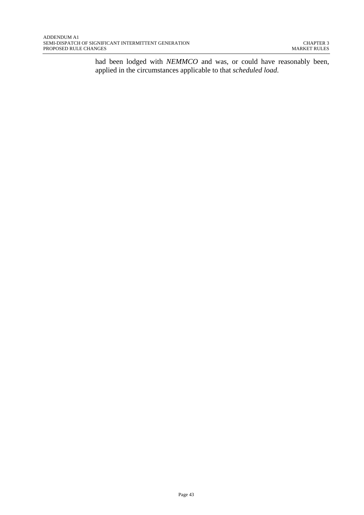had been lodged with *NEMMCO* and was, or could have reasonably been, applied in the circumstances applicable to that *scheduled load*.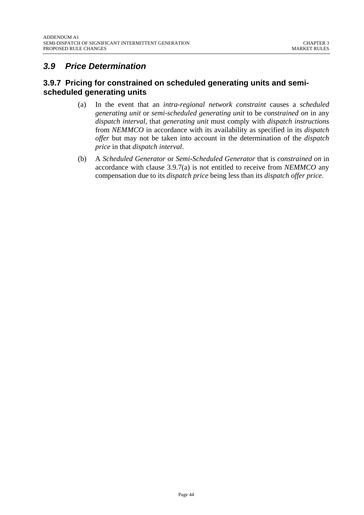# *3.9 Price Determination*

## **3.9.7 Pricing for constrained on scheduled generating units and semischeduled generating units**

- (a) In the event that an *intra-regional network constraint* causes a *scheduled generating unit* or *semi-scheduled generating unit* to be *constrained on* in any *dispatch interval*, that *generating unit* must comply with *dispatch instructions*  from *NEMMCO* in accordance with its availability as specified in its *dispatch offer* but may not be taken into account in the determination of the *dispatch price* in that *dispatch interval*.
- (b) A *Scheduled Generator* or *Semi-Scheduled Generator* that is *constrained on* in accordance with clause 3.9.7(a) is not entitled to receive from *NEMMCO* any compensation due to its *dispatch price* being less than its *dispatch offer price*.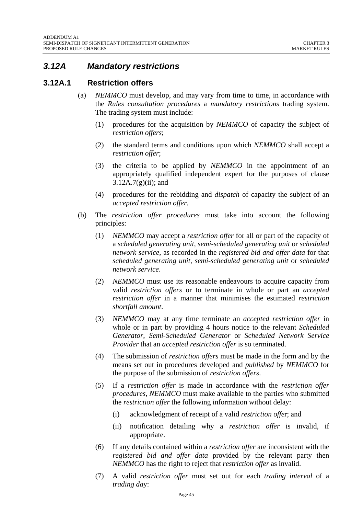# *3.12A Mandatory restrictions*

#### **3.12A.1 Restriction offers**

- (a) *NEMMCO* must develop, and may vary from time to time, in accordance with the *Rules consultation procedures* a *mandatory restrictions* trading system. The trading system must include:
	- (1) procedures for the acquisition by *NEMMCO* of capacity the subject of *restriction offers*;
	- (2) the standard terms and conditions upon which *NEMMCO* shall accept a *restriction offer*;
	- (3) the criteria to be applied by *NEMMCO* in the appointment of an appropriately qualified independent expert for the purposes of clause  $3.12A.7(g)(ii)$ ; and
	- (4) procedures for the rebidding and *dispatch* of capacity the subject of an *accepted restriction offer.*
- (b) The *restriction offer procedures* must take into account the following principles:
	- (1) *NEMMCO* may accept a *restriction offer* for all or part of the capacity of a *scheduled generating unit*, *semi-scheduled generating unit* or *scheduled network service*, as recorded in the *registered bid and offer data* for that *scheduled generating unit*, *semi-scheduled generating unit* or *scheduled network service*.
	- (2) *NEMMCO* must use its reasonable endeavours to acquire capacity from valid *restriction offers* or to terminate in whole or part an *accepted restriction offer* in a manner that minimises the estimated *restriction shortfall amount*.
	- (3) *NEMMCO* may at any time terminate an *accepted restriction offer* in whole or in part by providing 4 hours notice to the relevant *Scheduled Generator*, *Semi-Scheduled Generator* or *Scheduled Network Service Provider* that an *accepted restriction offer* is so terminated.
	- (4) The submission of *restriction offers* must be made in the form and by the means set out in procedures developed and *published* by *NEMMCO* for the purpose of the submission of *restriction offers*.
	- (5) If a *restriction offer* is made in accordance with the *restriction offer procedures*, *NEMMCO* must make available to the parties who submitted the *restriction offer* the following information without delay:
		- (i) acknowledgment of receipt of a valid *restriction offe*r; and
		- (ii) notification detailing why a *restriction offer* is invalid, if appropriate.
	- (6) If any details contained within a *restriction offer* are inconsistent with the *registered bid and offer data* provided by the relevant party then *NEMMCO* has the right to reject that *restriction offer* as invalid.
	- (7) A valid *restriction offer* must set out for each *trading interval* of a *trading da*y: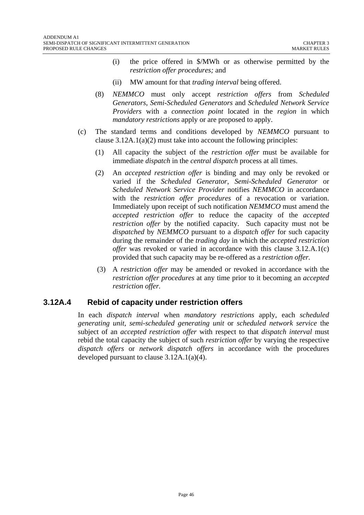- (i) the price offered in \$/MWh or as otherwise permitted by the *restriction offer procedures;* and
- (ii) MW amount for that *trading interval* being offered.
- (8) *NEMMCO* must only accept *restriction offers* from *Scheduled Generators*, *Semi-Scheduled Generators* and *Scheduled Network Service Providers* with a *connection point* located in the *region* in which *mandatory restrictions* apply or are proposed to apply.
- (c) The standard terms and conditions developed by *NEMMCO* pursuant to clause 3.12A.1(a)(2) must take into account the following principles:
	- (1) All capacity the subject of the *restriction offer* must be available for immediate *dispatch* in the *central dispatch* process at all times.
	- (2) An *accepted restriction offer* is binding and may only be revoked or varied if the *Scheduled Generator*, *Semi-Scheduled Generator* or *Scheduled Network Service Provider* notifies *NEMMCO* in accordance with the *restriction offer procedures* of a revocation or variation. Immediately upon receipt of such notification *NEMMCO* must amend the *accepted restriction offer* to reduce the capacity of the *accepted restriction offer* by the notified capacity. Such capacity must not be *dispatched* by *NEMMCO* pursuant to a *dispatch offer* for such capacity during the remainder of the *trading day* in which the *accepted restriction offer* was revoked or varied in accordance with this clause 3.12.A.1(c) provided that such capacity may be re-offered as a *restriction offer.*
	- (3) A *restriction offer* may be amended or revoked in accordance with the *restriction offer procedures* at any time prior to it becoming an *accepted restriction offer.*

#### **3.12A.4 Rebid of capacity under restriction offers**

In each *dispatch interval* when *mandatory restrictions* apply, each *scheduled generating unit*, *semi-scheduled generating unit* or *scheduled network service* the subject of an *accepted restriction offer* with respect to that *dispatch interval* must rebid the total capacity the subject of such *restriction offer* by varying the respective *dispatch offers* or *network dispatch offers* in accordance with the procedures developed pursuant to clause 3.12A.1(a)(4).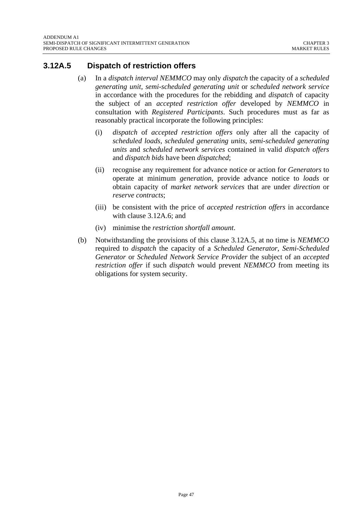## **3.12A.5 Dispatch of restriction offers**

- (a) In a *dispatch interval NEMMCO* may only *dispatch* the capacity of a *scheduled generating unit*, *semi-scheduled generating unit* or *scheduled network service* in accordance with the procedures for the rebidding and *dispatch* of capacity the subject of an *accepted restriction offer* developed by *NEMMCO* in consultation with *Registered Participants*. Such procedures must as far as reasonably practical incorporate the following principles:
	- (i) *dispatch* of *accepted restriction offers* only after all the capacity of *scheduled loads*, *scheduled generating units*, *semi-scheduled generating units* and *scheduled network services* contained in valid *dispatch offers* and *dispatch bids* have been *dispatched*;
	- (ii) recognise any requirement for advance notice or action for *Generators* to operate at minimum *generation*, provide advance notice to *loads* or obtain capacity of *market network services* that are under *direction* or *reserve contracts*;
	- (iii) be consistent with the price of *accepted restriction offers* in accordance with clause 3.12A.6; and
	- (iv) minimise the *restriction shortfall amount*.
- (b) Notwithstanding the provisions of this clause 3.12A.5, at no time is *NEMMCO*  required to *dispatch* the capacity of a *Scheduled Generator*, *Semi-Scheduled Generator* or *Scheduled Network Service Provider* the subject of an *accepted restriction offer* if such *dispatch* would prevent *NEMMCO* from meeting its obligations for system security.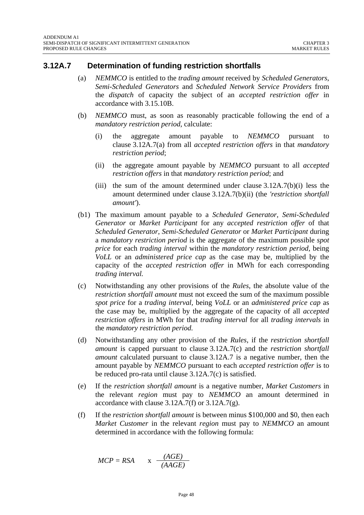#### **3.12A.7 Determination of funding restriction shortfalls**

- (a) *NEMMCO* is entitled to the *trading amount* received by *Scheduled Generators*, *Semi-Scheduled Generators* and *Scheduled Network Service Providers* from the *dispatch* of capacity the subject of an *accepted restriction offer* in accordance with 3.15.10B.
- (b) *NEMMCO* must, as soon as reasonably practicable following the end of a *mandatory restriction period*, calculate:
	- (i) the aggregate amount payable to *NEMMCO* pursuant to clause 3.12A.7(a) from all *accepted restriction offers* in that *mandatory restriction period*;
	- (ii) the aggregate amount payable by *NEMMCO* pursuant to all *accepted restriction offers* in that *mandatory restriction period*; and
	- (iii) the sum of the amount determined under clause 3.12A.7(b)(i) less the amount determined under clause 3.12A.7(b)(ii) (the *'restriction shortfall amount'*).
- (b1) The maximum amount payable to a *Scheduled Generator*, *Semi-Scheduled Generator* or *Market Participant* for any *accepted restriction offer* of that *Scheduled Generator*, *Semi-Scheduled Generator* or *Market Participant* during a *mandatory restriction period* is the aggregate of the maximum possible *spot price* for each *trading interval* within the *mandatory restriction period,* being *VoLL* or an *administered price cap* as the case may be, multiplied by the capacity of the *accepted restriction offer* in MWh for each corresponding *trading interval.*
- (c) Notwithstanding any other provisions of the *Rules*, the absolute value of the *restriction shortfall amount* must not exceed the sum of the maximum possible *spot price* for a *trading interval,* being *VoLL* or an *administered price cap* as the case may be, multiplied by the aggregate of the capacity of all *accepted restriction offers* in MWh for that *trading interval* for all *trading intervals* in the *mandatory restriction period.*
- (d) Notwithstanding any other provision of the *Rules*, if the *restriction shortfall amount* is capped pursuant to clause 3.12A.7(c) and the *restriction shortfall amount* calculated pursuant to clause 3.12A.7 is a negative number, then the amount payable by *NEMMCO* pursuant to each *accepted restriction offer* is to be reduced pro-rata until clause 3.12A.7(c) is satisfied.
- (e) If the *restriction shortfall amount* is a negative number, *Market Customers* in the relevant *region* must pay to *NEMMCO* an amount determined in accordance with clause  $3.12A.7(f)$  or  $3.12A.7(g)$ .
- (f) If the *restriction shortfall amount* is between minus \$100,000 and \$0, then each *Market Customer* in the relevant *region* must pay to *NEMMCO* an amount determined in accordance with the following formula:

$$
MCP = RSA \qquad x \quad \frac{(AGE)}{(AAGE)}
$$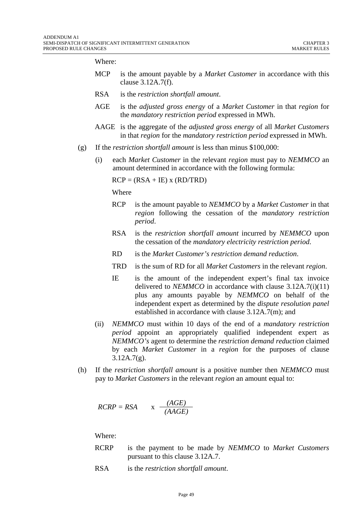Where:

- MCP is the amount payable by a *Market Customer* in accordance with this clause 3.12A.7(f).
- RSA is the *restriction shortfall amount*.
- AGE is the *adjusted gross energy* of a *Market Customer* in that *region* for the *mandatory restriction period* expressed in MWh.
- AAGE is the aggregate of the *adjusted gross energy* of all *Market Customers*  in that *region* for the *mandatory restriction period* expressed in MWh.
- (g) If the *restriction shortfall amount* is less than minus \$100,000:
	- (i) each *Market Customer* in the relevant *region* must pay to *NEMMCO* an amount determined in accordance with the following formula:

 $RCP = (RSA + IE)$  x  $(RD/TRD)$ 

Where

- RCP is the amount payable to *NEMMCO* by a *Market Customer* in that *region* following the cessation of the *mandatory restriction period*.
- RSA is the *restriction shortfall amount* incurred by *NEMMCO* upon the cessation of the *mandatory electricity restriction period*.
- RD is the *Market Customer's restriction demand reduction*.
- TRD is the sum of RD for all *Market Customers* in the relevant *region*.
- IE is the amount of the independent expert's final tax invoice delivered to *NEMMCO* in accordance with clause 3.12A.7(i)(11) plus any amounts payable by *NEMMCO* on behalf of the independent expert as determined by the *dispute resolution panel*  established in accordance with clause 3.12A.7(m); and
- (ii) *NEMMCO* must within 10 days of the end of a *mandatory restriction period* appoint an appropriately qualified independent expert as *NEMMCO's* agent to determine the *restriction demand reduction* claimed by each *Market Customer* in a *region* for the purposes of clause  $3.12A.7(g)$ .
- (h) If the *restriction shortfall amount* is a positive number then *NEMMCO* must pay to *Market Customers* in the relevant *region* an amount equal to:

$$
RCRP = RSA \qquad x \quad \frac{(AGE)}{(AAGE)}
$$

Where:

- RCRP is the payment to be made by *NEMMCO* to *Market Customers*  pursuant to this clause 3.12A.7.
- RSA is the *restriction shortfall amount*.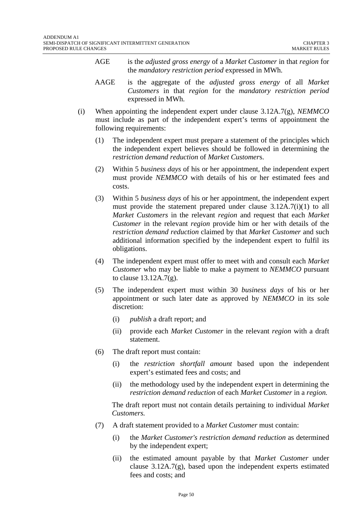- AGE is the *adjusted gross energy* of a *Market Customer* in that *region* for the *mandatory restriction period* expressed in MWh.
- AAGE is the aggregate of the *adjusted gross energy* of all *Market Customers* in that *region* for the *mandatory restriction period*  expressed in MWh.
- (i) When appointing the independent expert under clause 3.12A.7(g), *NEMMCO*  must include as part of the independent expert's terms of appointment the following requirements:
	- (1) The independent expert must prepare a statement of the principles which the independent expert believes should be followed in determining the *restriction demand reduction* of *Market Customer*s.
	- (2) Within 5 *business days* of his or her appointment, the independent expert must provide *NEMMCO* with details of his or her estimated fees and costs.
	- (3) Within 5 *business days* of his or her appointment, the independent expert must provide the statement prepared under clause 3.12A.7(i)(1) to all *Market Customers* in the relevant *region* and request that each *Market Customer* in the relevant *region* provide him or her with details of the *restriction demand reduction* claimed by that *Market Customer* and such additional information specified by the independent expert to fulfil its obligations.
	- (4) The independent expert must offer to meet with and consult each *Market Customer* who may be liable to make a payment to *NEMMCO* pursuant to clause 13.12A.7(g).
	- (5) The independent expert must within 30 *business days* of his or her appointment or such later date as approved by *NEMMCO* in its sole discretion:
		- (i) *publish* a draft report; and
		- (ii) provide each *Market Customer* in the relevant *region* with a draft statement.
	- (6) The draft report must contain:
		- (i) the *restriction shortfall amount* based upon the independent expert's estimated fees and costs; and
		- (ii) the methodology used by the independent expert in determining the *restriction demand reduction* of each *Market Customer* in a *region.*

The draft report must not contain details pertaining to individual *Market Customers.* 

- (7) A draft statement provided to a *Market Customer* must contain:
	- (i) the *Market Customer's restriction demand reduction* as determined by the independent expert;
	- (ii) the estimated amount payable by that *Market Customer* under clause 3.12A.7(g), based upon the independent experts estimated fees and costs; and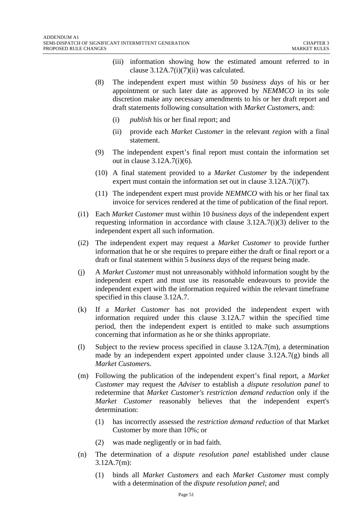- (iii) information showing how the estimated amount referred to in clause  $3.12A.7(i)(7)(ii)$  was calculated.
- (8) The independent expert must within 50 *business days* of his or her appointment or such later date as approved by *NEMMCO* in its sole discretion make any necessary amendments to his or her draft report and draft statements following consultation with *Market Customer*s, and:
	- (i) *publish* his or her final report; and
	- (ii) provide each *Market Customer* in the relevant *region* with a final statement.
- (9) The independent expert's final report must contain the information set out in clause 3.12A.7(i)(6).
- (10) A final statement provided to a *Market Customer* by the independent expert must contain the information set out in clause 3.12A.7(i)(7).
- (11) The independent expert must provide *NEMMCO* with his or her final tax invoice for services rendered at the time of publication of the final report.
- (i1) Each *Market Customer* must within 10 *business days* of the independent expert requesting information in accordance with clause 3.12A.7(i)(3) deliver to the independent expert all such information.
- (i2) The independent expert may request a *Market Customer* to provide further information that he or she requires to prepare either the draft or final report or a draft or final statement within 5 *business days* of the request being made.
- (j) A *Market Customer* must not unreasonably withhold information sought by the independent expert and must use its reasonable endeavours to provide the independent expert with the information required within the relevant timeframe specified in this clause 3.12A.7.
- (k) If a *Market Customer* has not provided the independent expert with information required under this clause 3.12A.7 within the specified time period, then the independent expert is entitled to make such assumptions concerning that information as he or she thinks appropriate.
- (l) Subject to the review process specified in clause 3.12A.7(m), a determination made by an independent expert appointed under clause 3.12A.7(g) binds all *Market Customer*s.
- (m) Following the publication of the independent expert's final report, a *Market Customer* may request the *Adviser* to establish a *dispute resolution panel* to redetermine that *Market Customer's restriction demand reduction* only if the *Market Customer* reasonably believes that the independent expert's determination:
	- (1) has incorrectly assessed the *restriction demand reduction* of that Market Customer by more than 10%; or
	- (2) was made negligently or in bad faith.
- (n) The determination of a *dispute resolution panel* established under clause 3.12A.7(m):
	- (1) binds all *Market Customers* and each *Market Customer* must comply with a determination of the *dispute resolution panel*; and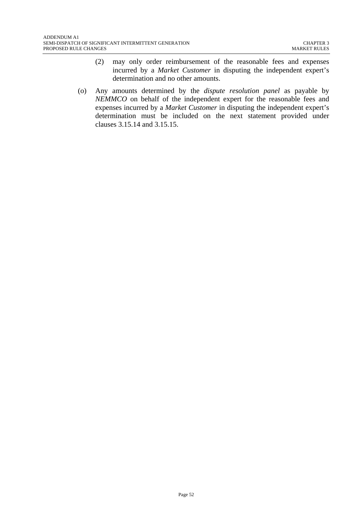- (2) may only order reimbursement of the reasonable fees and expenses incurred by a *Market Customer* in disputing the independent expert's determination and no other amounts.
- (o) Any amounts determined by the *dispute resolution panel* as payable by *NEMMCO* on behalf of the independent expert for the reasonable fees and expenses incurred by a *Market Customer* in disputing the independent expert's determination must be included on the next statement provided under clauses 3.15.14 and 3.15.15.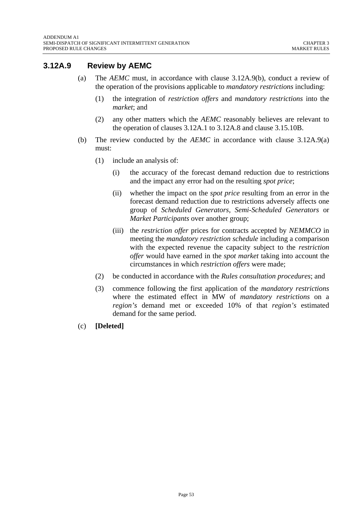# **3.12A.9 Review by AEMC**

- (a) The *AEMC* must, in accordance with clause 3.12A.9(b), conduct a review of the operation of the provisions applicable to *mandatory restrictions* including:
	- (1) the integration of *restriction offers* and *mandatory restrictions* into the *market*; and
	- (2) any other matters which the *AEMC* reasonably believes are relevant to the operation of clauses 3.12A.1 to 3.12A.8 and clause 3.15.10B.
- (b) The review conducted by the *AEMC* in accordance with clause 3.12A.9(a) must:
	- (1) include an analysis of:
		- (i) the accuracy of the forecast demand reduction due to restrictions and the impact any error had on the resulting *spot price*;
		- (ii) whether the impact on the *spot price* resulting from an error in the forecast demand reduction due to restrictions adversely affects one group of *Scheduled Generators*, *Semi-Scheduled Generators* or *Market Participants* over another group;
		- (iii) the *restriction offer* prices for contracts accepted by *NEMMCO* in meeting the *mandatory restriction schedule* including a comparison with the expected revenue the capacity subject to the *restriction offer* would have earned in the *spot market* taking into account the circumstances in which *restriction offers* were made;
	- (2) be conducted in accordance with the *Rules consultation procedures*; and
	- (3) commence following the first application of the *mandatory restrictions* where the estimated effect in MW of *mandatory restrictions* on a *region's* demand met or exceeded 10% of that *region's* estimated demand for the same period.
- (c) **[Deleted]**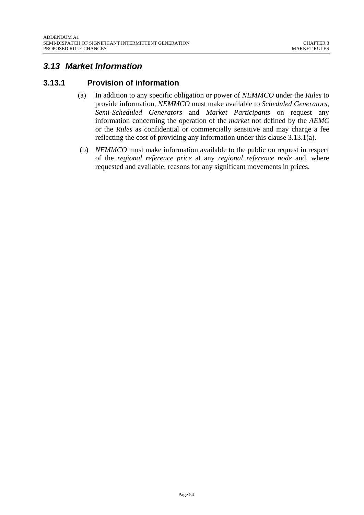# *3.13 Market Information*

## **3.13.1 Provision of information**

- (a) In addition to any specific obligation or power of *NEMMCO* under the *Rules* to provide information, *NEMMCO* must make available to *Scheduled Generators*, *Semi-Scheduled Generators* and *Market Participants* on request any information concerning the operation of the *market* not defined by the *AEMC* or the *Rules* as confidential or commercially sensitive and may charge a fee reflecting the cost of providing any information under this clause 3.13.1(a).
- (b) *NEMMCO* must make information available to the public on request in respect of the *regional reference price* at any *regional reference node* and, where requested and available, reasons for any significant movements in prices.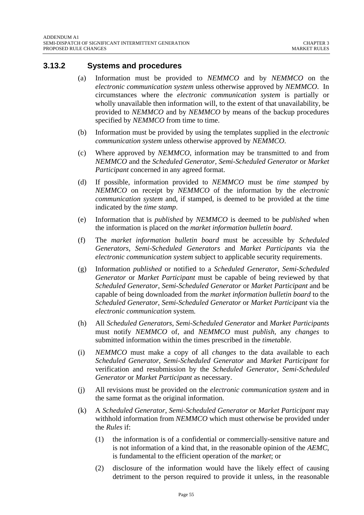#### **3.13.2 Systems and procedures**

- (a) Information must be provided to *NEMMCO* and by *NEMMCO* on the *electronic communication system* unless otherwise approved by *NEMMCO*. In circumstances where the *electronic communication system* is partially or wholly unavailable then information will, to the extent of that unavailability, be provided to *NEMMCO* and by *NEMMCO* by means of the backup procedures specified by *NEMMCO* from time to time.
- (b) Information must be provided by using the templates supplied in the *electronic communication system* unless otherwise approved by *NEMMCO*.
- (c) Where approved by *NEMMCO*, information may be transmitted to and from *NEMMCO* and the *Scheduled Generator*, *Semi-Scheduled Generator* or *Market Participant* concerned in any agreed format.
- (d) If possible, information provided to *NEMMCO* must be *time stamped* by *NEMMCO* on receipt by *NEMMCO* of the information by the *electronic communication system* and, if stamped, is deemed to be provided at the time indicated by the *time stamp*.
- (e) Information that is *published* by *NEMMCO* is deemed to be *published* when the information is placed on the *market information bulletin board*.
- (f) The *market information bulletin board* must be accessible by *Scheduled Generators*, *Semi-Scheduled Generators* and *Market Participants* via the *electronic communication system* subject to applicable security requirements.
- (g) Information *published* or notified to a *Scheduled Generator*, *Semi-Scheduled Generator* or *Market Participant* must be capable of being reviewed by that *Scheduled Generator*, *Semi-Scheduled Generator* or *Market Participant* and be capable of being downloaded from the *market information bulletin board* to the *Scheduled Generator*, *Semi-Scheduled Generator* or *Market Participant* via the *electronic communication* system.
- (h) All *Scheduled Generators*, *Semi-Scheduled Generator* and *Market Participants* must notify *NEMMCO* of, and *NEMMCO* must *publish*, any *changes* to submitted information within the times prescribed in the *timetable*.
- (i) *NEMMCO* must make a copy of all *changes* to the data available to each *Scheduled Generator*, *Semi-Scheduled Generator* and *Market Participant* for verification and resubmission by the *Scheduled Generator*, *Semi-Scheduled Generator* or *Market Participant* as necessary.
- (j) All revisions must be provided on the *electronic communication system* and in the same format as the original information.
- (k) A *Scheduled Generator*, *Semi-Scheduled Generator* or *Market Participant* may withhold information from *NEMMCO* which must otherwise be provided under the *Rules* if:
	- (1) the information is of a confidential or commercially-sensitive nature and is not information of a kind that, in the reasonable opinion of the *AEMC*, is fundamental to the efficient operation of the *market*; or
	- (2) disclosure of the information would have the likely effect of causing detriment to the person required to provide it unless, in the reasonable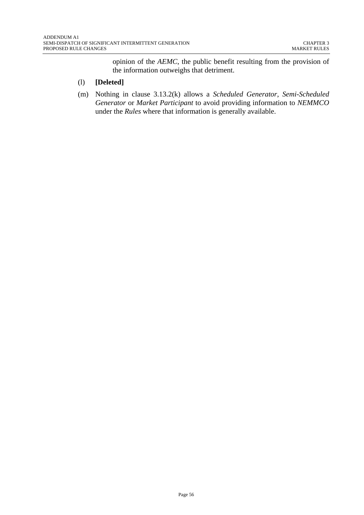opinion of the *AEMC*, the public benefit resulting from the provision of the information outweighs that detriment.

#### (l) **[Deleted]**

(m) Nothing in clause 3.13.2(k) allows a *Scheduled Generator*, *Semi-Scheduled Generator* or *Market Participant* to avoid providing information to *NEMMCO* under the *Rules* where that information is generally available.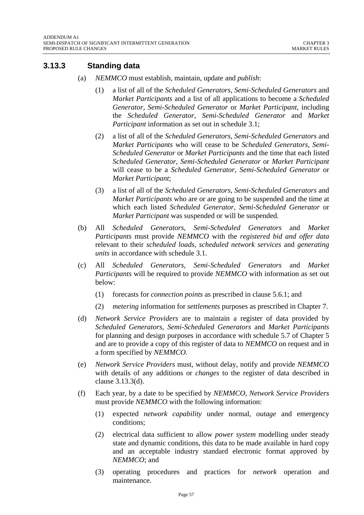## **3.13.3 Standing data**

- (a) *NEMMCO* must establish, maintain, update and *publish*:
	- (1) a list of all of the *Scheduled Generators*, *Semi-Scheduled Generators* and *Market Participants* and a list of all applications to become a *Scheduled Generator*, *Semi-Scheduled Generator* or *Market Participant*, including the *Scheduled Generator*, *Semi-Scheduled Generator* and *Market Participant* information as set out in schedule 3.1;
	- (2) a list of all of the *Scheduled Generators*, *Semi-Scheduled Generators* and *Market Participants* who will cease to be *Scheduled Generators*, *Semi-Scheduled Generator* or *Market Participants* and the time that each listed *Scheduled Generator*, *Semi-Scheduled Generator* or *Market Participant* will cease to be a *Scheduled Generator*, *Semi-Scheduled Generator* or *Market Participant*;
	- (3) a list of all of the *Scheduled Generators*, *Semi-Scheduled Generators* and *Market Participants* who are or are going to be suspended and the time at which each listed *Scheduled Generator*, *Semi-Scheduled Generator* or *Market Participant* was suspended or will be suspended.
- (b) All *Scheduled Generators*, *Semi-Scheduled Generators* and *Market Participants* must provide *NEMMCO* with the *registered bid and offer data* relevant to their *scheduled loads*, *scheduled network services* and *generating units* in accordance with schedule 3.1.
- (c) All *Scheduled Generators*, *Semi-Scheduled Generators* and *Market Participants* will be required to provide *NEMMCO* with information as set out below:
	- (1) forecasts for *connection points* as prescribed in clause 5.6.1; and
	- (2) *metering* information for *settlements* purposes as prescribed in Chapter 7.
- (d) *Network Service Providers* are to maintain a register of data provided by *Scheduled Generators*, *Semi-Scheduled Generators* and *Market Participants* for planning and design purposes in accordance with schedule 5.7 of Chapter 5 and are to provide a copy of this register of data to *NEMMCO* on request and in a form specified by *NEMMCO*.
- (e) *Network Service Providers* must, without delay, notify and provide *NEMMCO* with details of any additions or *changes* to the register of data described in clause 3.13.3(d).
- (f) Each year, by a date to be specified by *NEMMCO*, *Network Service Providers* must provide *NEMMCO* with the following information:
	- (1) expected *network capability* under normal, *outage* and emergency conditions;
	- (2) electrical data sufficient to allow *power system* modelling under steady state and dynamic conditions, this data to be made available in hard copy and an acceptable industry standard electronic format approved by *NEMMCO*; and
	- (3) operating procedures and practices for *network* operation and maintenance.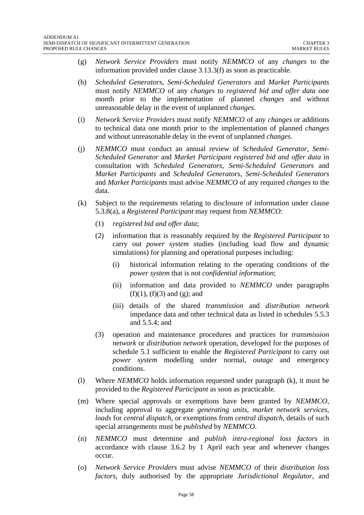- (g) *Network Service Providers* must notify *NEMMCO* of any *changes* to the information provided under clause 3.13.3(f) as soon as practicable.
- (h) *Scheduled Generators*, *Semi-Scheduled Generators* and *Market Participants* must notify *NEMMCO* of any *changes* to *registered bid and offer data* one month prior to the implementation of planned *changes* and without unreasonable delay in the event of unplanned *changes*.
- (i) *Network Service Providers* must notify *NEMMCO* of any *changes* or additions to technical data one month prior to the implementation of planned *changes* and without unreasonable delay in the event of unplanned *changes*.
- (j) *NEMMCO* must conduct an annual review of *Scheduled Generator*, *Semi-Scheduled Generator* and *Market Participant registered bid and offer data* in consultation with *Scheduled Generators*, *Semi-Scheduled Generators* and *Market Participants* and *Scheduled Generators*, *Semi-Scheduled Generators* and *Market Participants* must advise *NEMMCO* of any required *changes* to the data.
- (k) Subject to the requirements relating to disclosure of information under clause 5.3.8(a), a *Registered Participant* may request from *NEMMCO*:
	- (1) *registered bid and offer data*;
	- (2) information that is reasonably required by the *Registered Participant* to carry out *power system* studies (including load flow and dynamic simulations) for planning and operational purposes including:
		- (i) historical information relating to the operating conditions of the *power system* that is not *confidential information*;
		- (ii) information and data provided to *NEMMCO* under paragraphs  $(f)(1)$ ,  $(f)(3)$  and  $(g)$ ; and
		- (iii) details of the shared *transmission* and *distribution network*  impedance data and other technical data as listed in schedules 5.5.3 and 5.5.4; and
	- (3) operation and maintenance procedures and practices for *transmission network* or *distribution network* operation, developed for the purposes of schedule 5.1 sufficient to enable the *Registered Participant* to carry out *power system* modelling under normal, *outage* and emergency conditions.
- (l) Where *NEMMCO* holds information requested under paragraph (k), it must be provided to the *Registered Participant* as soon as practicable.
- (m) Where special approvals or exemptions have been granted by *NEMMCO*, including approval to aggregate *generating units*, *market network services*, *loads* for *central dispatch*, or exemptions from *central dispatch*, details of such special arrangements must be *published* by *NEMMCO*.
- (n) *NEMMCO* must determine and *publish intra-regional loss factors* in accordance with clause 3.6.2 by 1 April each year and whenever changes occur.
- (o) *Network Service Providers* must advise *NEMMCO* of their *distribution loss factors*, duly authorised by the appropriate *Jurisdictional Regulator*, and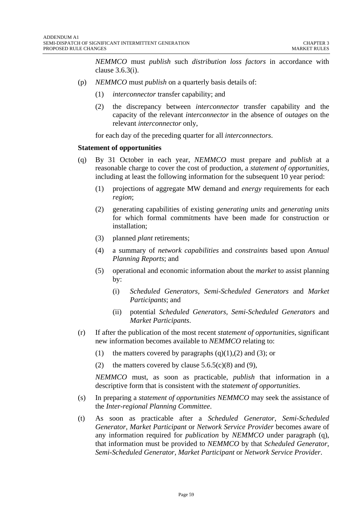*NEMMCO* must *publish* such *distribution loss factors* in accordance with clause 3.6.3(i).

- (p) *NEMMCO* must *publish* on a quarterly basis details of:
	- (1) *interconnector* transfer capability; and
	- (2) the discrepancy between *interconnector* transfer capability and the capacity of the relevant *interconnector* in the absence of *outages* on the relevant *interconnector* only,

for each day of the preceding quarter for all *interconnectors*.

#### **Statement of opportunities**

- (q) By 31 October in each year, *NEMMCO* must prepare and *publish* at a reasonable charge to cover the cost of production, a *statement of opportunities*, including at least the following information for the subsequent 10 year period:
	- (1) projections of aggregate MW demand and *energy* requirements for each *region*;
	- (2) generating capabilities of existing *generating units* and *generating units*  for which formal commitments have been made for construction or installation;
	- (3) planned *plant* retirements;
	- (4) a summary of *network capabilities* and *constraints* based upon *Annual Planning Reports*; and
	- (5) operational and economic information about the *market* to assist planning by:
		- (i) *Scheduled Generators, Semi-Scheduled Generators* and *Market Participants*; and
		- (ii) potential *Scheduled Generators, Semi-Scheduled Generators* and *Market Participants*.
- (r) If after the publication of the most recent *statement of opportunities*, significant new information becomes available to *NEMMCO* relating to:
	- (1) the matters covered by paragraphs  $(q)(1),(2)$  and  $(3)$ ; or
	- (2) the matters covered by clause  $5.6.5(c)(8)$  and (9),

*NEMMCO* must, as soon as practicable, *publish* that information in a descriptive form that is consistent with the *statement of opportunities*.

- (s) In preparing a *statement of opportunities NEMMCO* may seek the assistance of the *Inter-regional Planning Committee*.
- (t) As soon as practicable after a *Scheduled Generator, Semi-Scheduled Generator, Market Participant* or *Network Service Provider* becomes aware of any information required for *publication* by *NEMMCO* under paragraph (q), that information must be provided to *NEMMCO* by that *Scheduled Generator, Semi-Scheduled Generator, Market Participant* or *Network Service Provider*.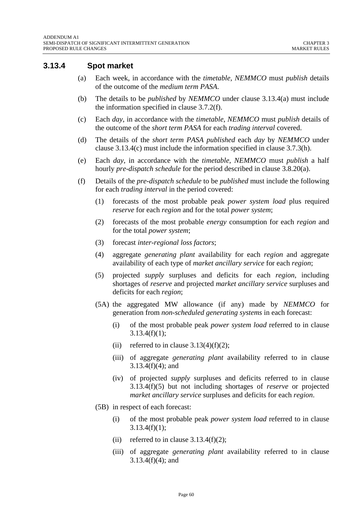#### **3.13.4 Spot market**

- (a) Each week, in accordance with the *timetable, NEMMCO* must *publish* details of the outcome of the *medium term PASA*.
- (b) The details to be *published* by *NEMMCO* under clause 3.13.4(a) must include the information specified in clause 3.7.2(f).
- (c) Each *day*, in accordance with the *timetable*, *NEMMCO* must *publish* details of the outcome of the *short term PASA* for each *trading interval* covered.
- (d) The details of the *short term PASA published* each *day* by *NEMMCO* under clause 3.13.4(c) must include the information specified in clause 3.7.3(h).
- (e) Each *day*, in accordance with the *timetable*, *NEMMCO* must *publish* a half hourly *pre-dispatch schedule* for the period described in clause 3.8.20(a).
- (f) Details of the *pre-dispatch schedule* to be *published* must include the following for each *trading interval* in the period covered:
	- (1) forecasts of the most probable peak *power system load* plus required *reserve* for each *region* and for the total *power system*;
	- (2) forecasts of the most probable *energy* consumption for each *region* and for the total *power system*;
	- (3) forecast *inter-regional loss factors*;
	- (4) aggregate *generating plant* availability for each *region* and aggregate availability of each type of *market ancillary service* for each *region*;
	- (5) projected *supply* surpluses and deficits for each *region*, including shortages of *reserve* and projected *market ancillary service* surpluses and deficits for each *region*;
	- (5A) the aggregated MW allowance (if any) made by *NEMMCO* for generation from *non-scheduled generating systems* in each forecast:
		- (i) of the most probable peak *power system load* referred to in clause  $3.13.4(f)(1)$ ;
		- (ii) referred to in clause  $3.13(4)(f)(2)$ ;
		- (iii) of aggregate *generating plant* availability referred to in clause 3.13.4(f)(4); and
		- (iv) of projected *supply* surpluses and deficits referred to in clause 3.13.4(f)(5) but not including shortages of *reserve* or projected *market ancillary service* surpluses and deficits for each *region*.
	- (5B) in respect of each forecast:
		- (i) of the most probable peak *power system load* referred to in clause  $3.13.4(f)(1);$
		- (ii) referred to in clause  $3.13.4(f)(2)$ ;
		- (iii) of aggregate *generating plant* availability referred to in clause 3.13.4(f)(4); and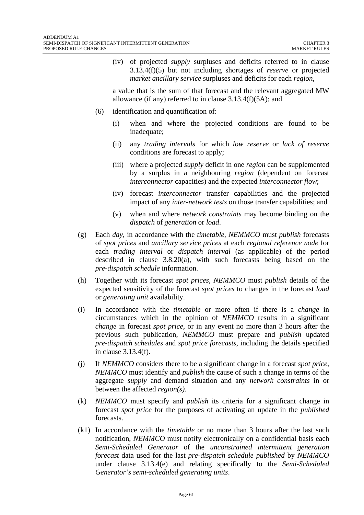(iv) of projected *supply* surpluses and deficits referred to in clause 3.13.4(f)(5) but not including shortages of *reserve* or projected *market ancillary service* surpluses and deficits for each *region*,

a value that is the sum of that forecast and the relevant aggregated MW allowance (if any) referred to in clause 3.13.4(f)(5A); and

- (6) identification and quantification of:
	- (i) when and where the projected conditions are found to be inadequate;
	- (ii) any *trading intervals* for which *low reserve* or *lack of reserve*  conditions are forecast to apply;
	- (iii) where a projected *supply* deficit in one *region* can be supplemented by a surplus in a neighbouring *region* (dependent on forecast *interconnector* capacities) and the expected *interconnector flow*;
	- (iv) forecast *interconnector* transfer capabilities and the projected impact of any *inter-network tests* on those transfer capabilities; and
	- (v) when and where *network constraints* may become binding on the *dispatch* of *generation* or *load*.
- (g) Each *day*, in accordance with the *timetable*, *NEMMCO* must *publish* forecasts of *spot prices* and *ancillary service prices* at each *regional reference node* for each *trading interval* or *dispatch interval* (as applicable) of the period described in clause 3.8.20(a), with such forecasts being based on the *pre-dispatch schedule* information.
- (h) Together with its forecast *spot prices*, *NEMMCO* must *publish* details of the expected sensitivity of the forecast *spot prices* to changes in the forecast *load* or *generating unit* availability.
- (i) In accordance with the *timetable* or more often if there is a *change* in circumstances which in the opinion of *NEMMCO* results in a significant *change* in forecast *spot price*, or in any event no more than 3 hours after the previous such publication, *NEMMCO* must prepare and *publish* updated *pre-dispatch schedules* and *spot price forecasts*, including the details specified in clause 3.13.4(f).
- (j) If *NEMMCO* considers there to be a significant change in a forecast *spot price*, *NEMMCO* must identify and *publish* the cause of such a change in terms of the aggregate *supply* and demand situation and any *network constraints* in or between the affected *region(s)*.
- (k) *NEMMCO* must specify and *publish* its criteria for a significant change in forecast *spot price* for the purposes of activating an update in the *published* forecasts.
- (k1) In accordance with the *timetable* or no more than 3 hours after the last such notification, *NEMMCO* must notify electronically on a confidential basis each *Semi-Scheduled Generator* of the *unconstrained intermittent generation forecast* data used for the last *pre-dispatch schedule published* by *NEMMCO*  under clause 3.13.4(e) and relating specifically to the *Semi-Scheduled Generator's semi-scheduled generating units*.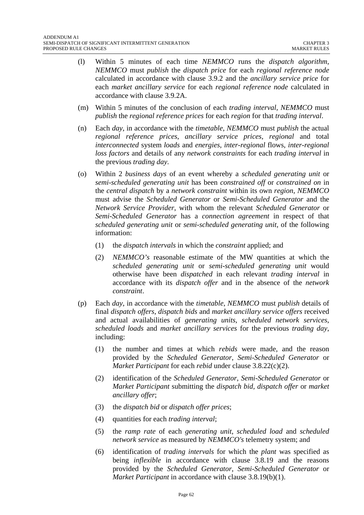- (l) Within 5 minutes of each time *NEMMCO* runs the *dispatch algorithm*, *NEMMCO* must *publish* the *dispatch price* for each *regional reference node* calculated in accordance with clause 3.9.2 and the *ancillary service price* for each *market ancillary service* for each *regional reference node* calculated in accordance with clause 3.9.2A.
- (m) Within 5 minutes of the conclusion of each *trading interval, NEMMCO* must *publish* the *regional reference prices* for each *region* for that *trading interval*.
- (n) Each *day*, in accordance with the *timetable*, *NEMMCO* must *publish* the actual *regional reference prices*, *ancillary service prices*, *regional* and total *interconnected* system *loads* and *energies*, *inter-regional* flows, *inter-regional loss factors* and details of any *network constraints* for each *trading interval* in the previous *trading day*.
- (o) Within 2 *business days* of an event whereby a *scheduled generating unit* or *semi-scheduled generating unit* has been *constrained off* or *constrained on* in the *central dispatch* by a *network constraint* within its own *region*, *NEMMCO* must advise the *Scheduled Generator* or *Semi-Scheduled Generator* and the *Network Service Provider*, with whom the relevant *Scheduled Generator* or *Semi-Scheduled Generator* has a *connection agreement* in respect of that *scheduled generating unit* or *semi-scheduled generating unit*, of the following information:
	- (1) the *dispatch intervals* in which the *constraint* applied; and
	- (2) *NEMMCO's* reasonable estimate of the MW quantities at which the *scheduled generating unit* or *semi-scheduled generating unit* would otherwise have been *dispatched* in each relevant *trading interval* in accordance with its *dispatch offer* and in the absence of the *network constraint*.
- (p) Each *day*, in accordance with the *timetable*, *NEMMCO* must *publish* details of final *dispatch offers*, *dispatch bids* and *market ancillary service offers* received and actual availabilities of *generating units*, *scheduled network services*, *scheduled loads* and *market ancillary services* for the previous *trading day*, including:
	- (1) the number and times at which *rebids* were made, and the reason provided by the *Scheduled Generator*, *Semi-Scheduled Generator* or *Market Participant* for each *rebid* under clause 3.8.22(c)(2).
	- (2) identification of the *Scheduled Generator*, *Semi-Scheduled Generator* or *Market Participant* submitting the *dispatch bid, dispatch offer* or *market ancillary offer*;
	- (3) the *dispatch bid* or *dispatch offer prices*;
	- (4) quantities for each *trading interval*;
	- (5) the *ramp rate* of each *generating unit*, *scheduled load* and *scheduled network service* as measured by *NEMMCO's* telemetry system; and
	- (6) identification of *trading intervals* for which the *plant* was specified as being *inflexible* in accordance with clause 3.8.19 and the reasons provided by the *Scheduled Generator*, *Semi-Scheduled Generator* or *Market Participant* in accordance with clause 3.8.19(b)(1).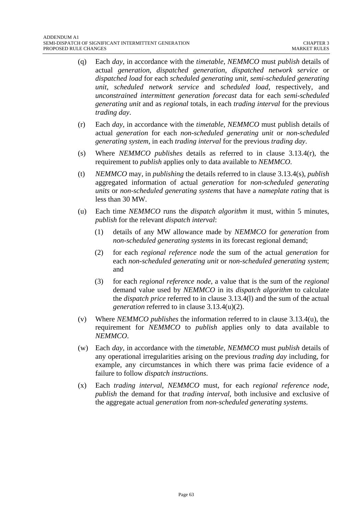- (q) Each *day*, in accordance with the *timetable*, *NEMMCO* must *publish* details of actual *generation*, *dispatched generation*, *dispatched network service* or *dispatched load* for each *scheduled generating unit*, *semi-scheduled generating unit*, *scheduled network service* and *scheduled load*, respectively, and *unconstrained intermittent generation forecast* data for each *semi-scheduled generating unit* and as *regional* totals, in each *trading interval* for the previous *trading day*.
- (r) Each *day*, in accordance with the *timetable*, *NEMMCO* must publish details of actual *generation* for each *non-scheduled generating unit* or *non-scheduled generating system*, in each *trading interval* for the previous *trading day*.
- (s) Where *NEMMCO publishes* details as referred to in clause 3.13.4(r), the requirement to *publish* applies only to data available to *NEMMCO*.
- (t) *NEMMCO* may, in *publishing* the details referred to in clause 3.13.4(s), *publish* aggregated information of actual *generation* for *non-scheduled generating units* or *non-scheduled generating systems* that have a *nameplate rating* that is less than 30 MW.
- (u) Each time *NEMMCO* runs the *dispatch algorithm* it must, within 5 minutes, *publish* for the relevant *dispatch interval*:
	- (1) details of any MW allowance made by *NEMMCO* for *generation* from *non-scheduled generating systems* in its forecast regional demand;
	- (2) for each *regional reference node* the sum of the actual *generation* for each *non-scheduled generating unit* or *non-scheduled generating system*; and
	- (3) for each *regional reference node*, a value that is the sum of the *regional* demand value used by *NEMMCO* in its *dispatch algorithm* to calculate the *dispatch price* referred to in clause 3.13.4(l) and the sum of the actual *generation* referred to in clause 3.13.4(u)(2).
- (v) Where *NEMMCO publishes* the information referred to in clause 3.13.4(u), the requirement for *NEMMCO* to *publish* applies only to data available to *NEMMCO*.
- (w) Each *day*, in accordance with the *timetable*, *NEMMCO* must *publish* details of any operational irregularities arising on the previous *trading day* including, for example, any circumstances in which there was prima facie evidence of a failure to follow *dispatch instructions*.
- (x) Each *trading interval*, *NEMMCO* must, for each *regional reference node*, *publish* the demand for that *trading interval*, both inclusive and exclusive of the aggregate actual *generation* from *non-scheduled generating systems*.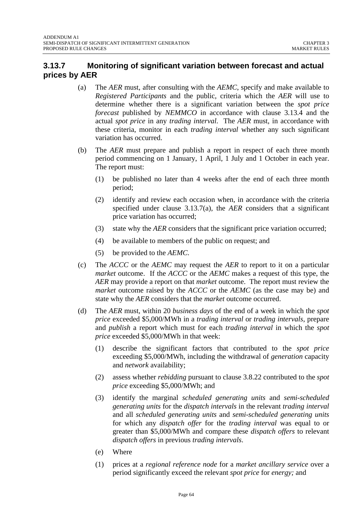# **3.13.7 Monitoring of significant variation between forecast and actual prices by AER**

- (a) The *AER* must, after consulting with the *AEMC*, specify and make available to *Registered Participants* and the public, criteria which the *AER* will use to determine whether there is a significant variation between the *spot price forecast* published by *NEMMCO* in accordance with clause 3.13.4 and the actual *spot price* in any *trading interval*. The *AER* must, in accordance with these criteria, monitor in each *trading interval* whether any such significant variation has occurred.
- (b) The *AER* must prepare and publish a report in respect of each three month period commencing on 1 January, 1 April, 1 July and 1 October in each year. The report must:
	- (1) be published no later than 4 weeks after the end of each three month period;
	- (2) identify and review each occasion when, in accordance with the criteria specified under clause 3.13.7(a), the *AER* considers that a significant price variation has occurred;
	- (3) state why the *AER* considers that the significant price variation occurred;
	- (4) be available to members of the public on request; and
	- (5) be provided to the *AEMC*.
- (c) The *ACCC* or the *AEMC* may request the *AER* to report to it on a particular *market* outcome. If the *ACCC* or the *AEMC* makes a request of this type, the *AER* may provide a report on that *market* outcome. The report must review the *market* outcome raised by the *ACCC* or the *AEMC* (as the case may be) and state why the *AER* considers that the *market* outcome occurred.
- (d) The *AER* must, within 20 *business days* of the end of a week in which the *spot price* exceeded \$5,000/MWh in a *trading interval* or *trading intervals*, prepare and *publish* a report which must for each *trading interval* in which the *spot price* exceeded \$5,000/MWh in that week:
	- (1) describe the significant factors that contributed to the *spot price* exceeding \$5,000/MWh, including the withdrawal of *generation* capacity and *network* availability;
	- (2) assess whether *rebidding* pursuant to clause 3.8.22 contributed to the *spot price* exceeding \$5,000/MWh; and
	- (3) identify the marginal *scheduled generating units* and *semi-scheduled generating units* for the *dispatch intervals* in the relevant *trading interval* and all *scheduled generating units* and *semi-scheduled generating units* for which any *dispatch offer* for the *trading interval* was equal to or greater than \$5,000/MWh and compare these *dispatch offers* to relevant *dispatch offers* in previous *trading intervals*.
	- (e) Where
	- (1) prices at a *regional reference node* for a *market ancillary service* over a period significantly exceed the relevant *spot price* for *energy;* and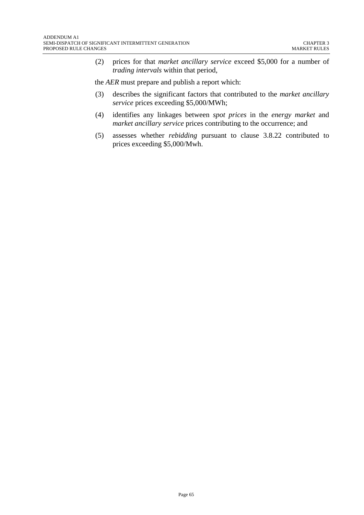(2) prices for that *market ancillary service* exceed \$5,000 for a number of *trading intervals* within that period,

the *AER* must prepare and publish a report which:

- (3) describes the significant factors that contributed to the *market ancillary service* prices exceeding \$5,000/MWh;
- (4) identifies any linkages between *spot prices* in the *energy market* and *market ancillary service* prices contributing to the occurrence; and
- (5) assesses whether *rebidding* pursuant to clause 3.8.22 contributed to prices exceeding \$5,000/Mwh.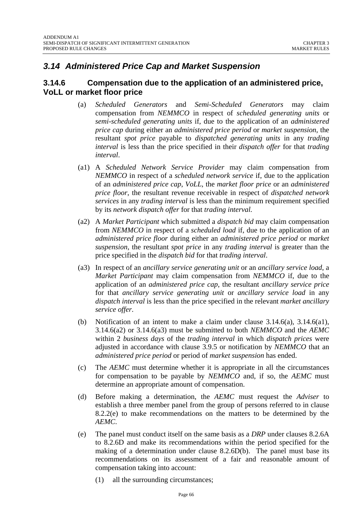# *3.14 Administered Price Cap and Market Suspension*

#### **3.14.6 Compensation due to the application of an administered price, VoLL or market floor price**

- (a) *Scheduled Generators* and *Semi-Scheduled Generators* may claim compensation from *NEMMCO* in respect of *scheduled generating units* or *semi-scheduled generating units* if, due to the application of an *administered price cap* during either an *administered price period* or *market suspension*, the resultant *spot price* payable to *dispatched generating units* in any *trading interval* is less than the price specified in their *dispatch offer* for that *trading interval*.
- (a1) A *Scheduled Network Service Provider* may claim compensation from *NEMMCO* in respect of a *scheduled network service* if, due to the application of an *administered price cap*, *VoLL*, the *market floor price* or an *administered price floor*, the resultant revenue receivable in respect of *dispatched network services* in any *trading interval* is less than the minimum requirement specified by its *network dispatch offer* for that *trading interval.*
- (a2) A *Market Participant* which submitted a *dispatch bid* may claim compensation from *NEMMCO* in respect of a *scheduled load* if, due to the application of an *administered price floor* during either an *administered price period* or *market suspension*, the resultant *spot price* in any *trading interval* is greater than the price specified in the *dispatch bid* for that *trading interval*.
- (a3) In respect of an *ancillary service generating unit* or an *ancillary service load*, a *Market Participant* may claim compensation from *NEMMCO* if, due to the application of an *administered price cap*, the resultant *ancillary service price* for that *ancillary service generating unit* or *ancillary service load* in any *dispatch interval* is less than the price specified in the relevant *market ancillary service offer*.
- (b) Notification of an intent to make a claim under clause 3.14.6(a), 3.14.6(a1), 3.14.6(a2) or 3.14.6(a3) must be submitted to both *NEMMCO* and the *AEMC* within 2 *business days* of the *trading interval* in which *dispatch prices* were adjusted in accordance with clause 3.9.5 or notification by *NEMMCO* that an *administered price period* or period of *market suspension* has ended.
- (c) The *AEMC* must determine whether it is appropriate in all the circumstances for compensation to be payable by *NEMMCO* and, if so, the *AEMC* must determine an appropriate amount of compensation.
- (d) Before making a determination, the *AEMC* must request the *Adviser* to establish a three member panel from the group of persons referred to in clause 8.2.2(e) to make recommendations on the matters to be determined by the *AEMC*.
- (e) The panel must conduct itself on the same basis as a *DRP* under clauses 8.2.6A to 8.2.6D and make its recommendations within the period specified for the making of a determination under clause 8.2.6D(b). The panel must base its recommendations on its assessment of a fair and reasonable amount of compensation taking into account:
	- (1) all the surrounding circumstances;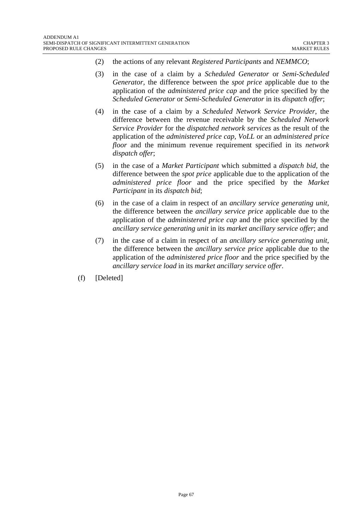- (2) the actions of any relevant *Registered Participants* and *NEMMCO*;
- (3) in the case of a claim by a *Scheduled Generator* or *Semi-Scheduled Generator*, the difference between the *spot price* applicable due to the application of the *administered price cap* and the price specified by the *Scheduled Generator* or *Semi-Scheduled Generator* in its *dispatch offer*;
- (4) in the case of a claim by a *Scheduled Network Service Provider*, the difference between the revenue receivable by the *Scheduled Network Service Provider* for the *dispatched network services* as the result of the application of the *administered price cap, VoLL* or an *administered price floor* and the minimum revenue requirement specified in its *network dispatch offer*;
- (5) in the case of a *Market Participant* which submitted a *dispatch bid,* the difference between the *spot price* applicable due to the application of the *administered price floor* and the price specified by the *Market Participant* in its *dispatch bid*;
- (6) in the case of a claim in respect of an *ancillary service generating unit*, the difference between the *ancillary service price* applicable due to the application of the *administered price cap* and the price specified by the *ancillary service generating unit* in its *market ancillary service offer*; and
- (7) in the case of a claim in respect of an *ancillary service generating unit*, the difference between the *ancillary service price* applicable due to the application of the *administered price floor* and the price specified by the *ancillary service load* in its *market ancillary service offer*.
- (f) [Deleted]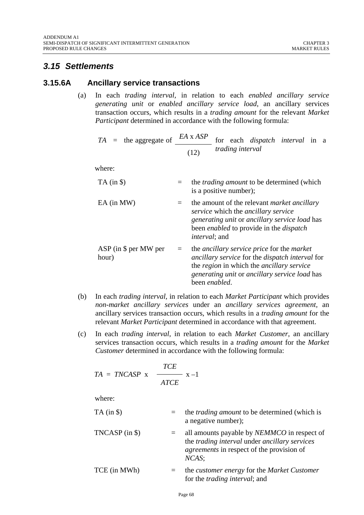# *3.15 Settlements*

#### **3.15.6A Ancillary service transactions**

(a) In each *trading interval,* in relation to each *enabled ancillary service generating unit* or *enabled ancillary service load*, an ancillary services transaction occurs, which results in a *trading amount* for the relevant *Market Participant* determined in accordance with the following formula:

$$
TA = the aggregate of \n\frac{EA \times ASP}{(12)} for each dispatch interval in a\ntrading interval
$$

where:

| $TA$ (in $\$ )                    |     | the <i>trading amount</i> to be determined (which<br>is a positive number);                                                                                                                                                              |
|-----------------------------------|-----|------------------------------------------------------------------------------------------------------------------------------------------------------------------------------------------------------------------------------------------|
| $EA$ (in MW)                      |     | the amount of the relevant <i>market ancillary</i><br>service which the ancillary service<br>generating unit or ancillary service load has<br>been <i>enabled</i> to provide in the <i>dispatch</i><br><i>interval</i> ; and             |
| $ASP$ (in $$$ per MW per<br>hour) | $=$ | the <i>ancillary service price</i> for the <i>market</i><br>ancillary service for the dispatch interval for<br>the <i>region</i> in which the <i>ancillary service</i><br>generating unit or ancillary service load has<br>been enabled. |

- (b) In each *trading interval,* in relation to each *Market Participant* which provides *non-market ancillary services* under an *ancillary services agreement,* an ancillary services transaction occurs, which results in a *trading amount* for the relevant *Market Participant* determined in accordance with that agreement.
- (c) In each *trading interval*, in relation to each *Market Customer*, an ancillary services transaction occurs, which results in a *trading amount* for the *Market Customer* determined in accordance with the following formula:

$$
TA = TNCASP \times \frac{TCE}{ATCE} \times -1
$$

| $TA$ (in \$)     | $=$ | the <i>trading amount</i> to be determined (which is<br>a negative number);                                                                                                    |
|------------------|-----|--------------------------------------------------------------------------------------------------------------------------------------------------------------------------------|
| $TNCASP$ (in \$) |     | all amounts payable by <i>NEMMCO</i> in respect of<br>the <i>trading interval</i> under <i>ancillary services</i><br><i>agreements</i> in respect of the provision of<br>NCAS: |
| TCE (in MWh)     | $=$ | the <i>customer</i> energy for the <i>Market Customer</i><br>for the <i>trading interval</i> ; and                                                                             |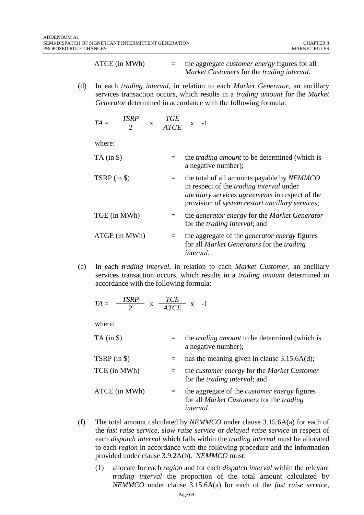ATCE (in MWh) = the aggregate *customer energy* figures for all *Market Customers* for the *trading interval*.

(d) In each *trading interval*, in relation to each *Market Generator,* an ancillary services transaction occurs, which results in a *trading amount* for the *Market Generator* determined in accordance with the following formula:

$$
TA = \frac{TSRP}{2} \times \frac{TGE}{ATGE} \times -1
$$

where:

| $TA$ (in $\$ ) | the <i>trading amount</i> to be determined (which is<br>a negative number);                                                                                                                                 |
|----------------|-------------------------------------------------------------------------------------------------------------------------------------------------------------------------------------------------------------|
| $TSRP$ (in \$) | the total of all amounts payable by NEMMCO<br>in respect of the <i>trading interval</i> under<br>ancillary services agreements in respect of the<br>provision of <i>system restart ancillary services</i> ; |
| TGE (in MWh)   | the generator energy for the Market Generator<br>for the <i>trading interval</i> ; and                                                                                                                      |
| ATGE (in MWh)  | the aggregate of the <i>generator energy</i> figures<br>for all <i>Market Generators</i> for the <i>trading</i><br><i>interval.</i>                                                                         |

(e) In each *trading interval*, in relation to each *Market Customer,* an ancillary services transaction occurs, which results in a *trading amount* determined in accordance with the following formula:

$$
TA = \frac{TSRP}{2} \times \frac{TCE}{ATCE} \times -1
$$

| $TA$ (in $\$\$ ) | $=$     | the <i>trading amount</i> to be determined (which is<br>a negative number);                                         |
|------------------|---------|---------------------------------------------------------------------------------------------------------------------|
| TSRP $(in $)$    |         | has the meaning given in clause $3.15.6A(d)$ ;                                                                      |
| TCE (in MWh)     | $=$ $-$ | the <i>customer</i> energy for the <i>Market Customer</i><br>for the <i>trading interval</i> ; and                  |
| ATCE (in MWh)    | $=$     | the aggregate of the <i>customer energy</i> figures<br>for all Market Customers for the trading<br><i>interval.</i> |

- (f) The total amount calculated by *NEMMCO* under clause 3.15.6A(a) for each of the *fast raise service, slow raise service* or *delayed raise service* in respect of each *dispatch interval* which falls within the *trading interval* must be allocated to each *region* in accordance with the following procedure and the information provided under clause 3.9.2A(b). *NEMMCO* must:
	- (1) allocate for each *region* and for each *dispatch interval* within the relevant *trading interval* the proportion of the total amount calculated by *NEMMCO* under clause 3.15.6A(a) for each of the *fast raise service,*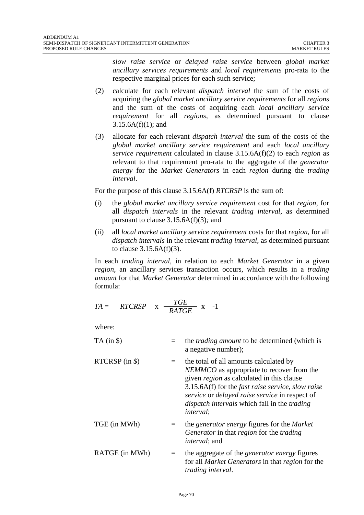*slow raise service* or *delayed raise service* between *global market ancillary services requirements* and *local requirements* pro-rata to the respective marginal prices for each such service;

- (2) calculate for each relevant *dispatch interval* the sum of the costs of acquiring the *global market ancillary service requirements* for all *regions* and the sum of the costs of acquiring each *local ancillary service requirement* for all *regions*, as determined pursuant to clause  $3.15.6A(f)(1)$ ; and
- (3) allocate for each relevant *dispatch interval* the sum of the costs of the *global market ancillary service requirement* and each *local ancillary service requirement* calculated in clause 3.15.6A(f)(2) to each *region* as relevant to that requirement pro-rata to the aggregate of the *generator energy* for the *Market Generators* in each *region* during the *trading interval*.

For the purpose of this clause 3.15.6A(f) *RTCRSP* is the sum of:

- (i) the *global market ancillary service requirement* cost for that *region*, for all *dispatch intervals* in the relevant *trading interval*, as determined pursuant to clause 3.15.6A(f)(3)*;* and
- (ii) all *local market ancillary service requirement* costs for that *region*, for all *dispatch intervals* in the relevant *trading interval*, as determined pursuant to clause  $3.15.6A(f)(3)$ .

In each *trading interval*, in relation to each *Market Generator* in a given *region*, an ancillary services transaction occurs, which results in a *trading amount* for that *Market Generator* determined in accordance with the following formula:

$$
TA = RTCRSP \times \frac{TGE}{RATGE} \times -1
$$

| $TA$ (in $\$ )     | the <i>trading amount</i> to be determined (which is<br>a negative number);                                                                                                                                                                                                                                                                               |
|--------------------|-----------------------------------------------------------------------------------------------------------------------------------------------------------------------------------------------------------------------------------------------------------------------------------------------------------------------------------------------------------|
| $RTCRSP$ (in $\$ ) | the total of all amounts calculated by<br><i>NEMMCO</i> as appropriate to recover from the<br>given <i>region</i> as calculated in this clause<br>$3.15.6A(f)$ for the <i>fast raise service</i> , <i>slow raise</i><br>service or delayed raise service in respect of<br><i>dispatch intervals</i> which fall in the <i>trading</i><br><i>interval</i> ; |
| TGE (in MWh)       | the <i>generator</i> energy figures for the <i>Market</i><br>Generator in that region for the trading<br><i>interval</i> ; and                                                                                                                                                                                                                            |
| RATGE (in MWh)     | the aggregate of the <i>generator energy</i> figures<br>for all <i>Market Generators</i> in that <i>region</i> for the<br><i>trading interval.</i>                                                                                                                                                                                                        |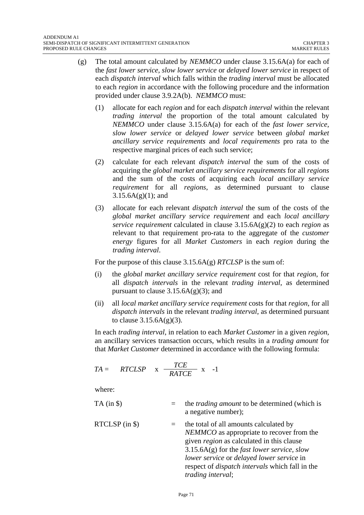- (g) The total amount calculated by *NEMMCO* under clause 3.15.6A(a) for each of the *fast lower service*, *slow lower service* or *delayed lower service* in respect of each *dispatch interval* which falls within the *trading interval* must be allocated to each *region* in accordance with the following procedure and the information provided under clause 3.9.2A(b). *NEMMCO* must:
	- (1) allocate for each *region* and for each *dispatch interval* within the relevant *trading interval* the proportion of the total amount calculated by *NEMMCO* under clause 3.15.6A(a) for each of the *fast lower service*, *slow lower service* or *delayed lower service* between *global market ancillary service requirements* and *local requirements* pro rata to the respective marginal prices of each such service;
	- (2) calculate for each relevant *dispatch interval* the sum of the costs of acquiring the *global market ancillary service requirements* for all *regions* and the sum of the costs of acquiring each *local ancillary service requirement* for all *regions*, as determined pursuant to clause  $3.15.6A(g)(1)$ ; and
	- (3) allocate for each relevant *dispatch interval* the sum of the costs of the *global market ancillary service requirement* and each *local ancillary service requirement* calculated in clause 3.15.6A(g)(2) to each *region* as relevant to that requirement pro-rata to the aggregate of the *customer energy* figures for all *Market Customers* in each *region* during the *trading interval*.

For the purpose of this clause 3.15.6A(g) *RTCLSP* is the sum of:

- (i) the *global market ancillary service requirement* cost for that *region*, for all *dispatch intervals* in the relevant *trading interval*, as determined pursuant to clause  $3.15.6A(g)(3)$ ; and
- (ii) all *local market ancillary service requirement* costs for that *region*, for all *dispatch intervals* in the relevant *trading interval*, as determined pursuant to clause  $3.15.6A(g)(3)$ .

In each *trading interval*, in relation to each *Market Customer* in a given *region,* an ancillary services transaction occurs, which results in a *trading amount* for that *Market Customer* determined in accordance with the following formula:

$$
TA = RTCLSP \times \frac{TCE}{RATCE} \times -1
$$

- TA (in \$) = the *trading amount* to be determined (which is a negative number);
- RTCLSP (in  $\$$ )  $=$  the total of all amounts calculated by *NEMMCO* as appropriate to recover from the given *region* as calculated in this clause 3.15.6A(g) for the *fast lower service, slow lower service* or *delayed lower service* in respect of *dispatch intervals* which fall in the *trading interval*;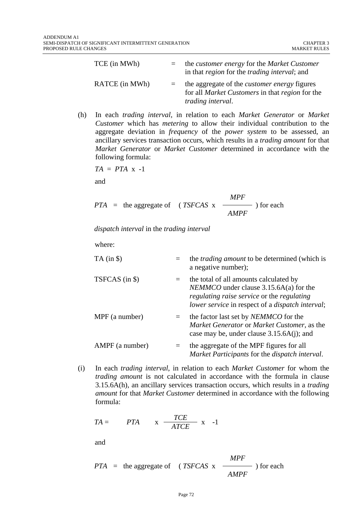| TCE (in MWh)   | the <i>customer</i> energy for the <i>Market Customer</i><br>in that <i>region</i> for the <i>trading interval</i> ; and                         |
|----------------|--------------------------------------------------------------------------------------------------------------------------------------------------|
| RATCE (in MWh) | the aggregate of the <i>customer energy</i> figures<br>for all <i>Market Customers</i> in that <i>region</i> for the<br><i>trading interval.</i> |

(h) In each *trading interval*, in relation to each *Market Generator* or *Market Customer* which has *metering* to allow their individual contribution to the aggregate deviation in *frequency* of the *power system* to be assessed*,* an ancillary services transaction occurs, which results in a *trading amount* for that *Market Generator* or *Market Customer* determined in accordance with the following formula:

$$
TA = PTA \times -1
$$

and

$$
PTA = \text{the aggregate of } (TSFCAS \times \frac{MPF}{AMPF}) \text{ for each}
$$

*dispatch interval* in the *trading interval*

where:

| $TA$ (in $\$\$ ) | $=$ | the <i>trading amount</i> to be determined (which is<br>a negative number);                                                                                                                                |
|------------------|-----|------------------------------------------------------------------------------------------------------------------------------------------------------------------------------------------------------------|
| TSFCAS (in \$)   | $=$ | the total of all amounts calculated by<br><i>NEMMCO</i> under clause $3.15.6A(a)$ for the<br>regulating raise service or the regulating<br><i>lower service</i> in respect of a <i>dispatch interval</i> ; |
| MPF (a number)   | $=$ | the factor last set by <i>NEMMCO</i> for the<br>Market Generator or Market Customer, as the<br>case may be, under clause $3.15.6A(i)$ ; and                                                                |
| AMPF (a number)  | $=$ | the aggregate of the MPF figures for all<br>Market Participants for the dispatch interval.                                                                                                                 |

(i) In each *trading interval*, in relation to each *Market Customer* for whom the *trading amount* is not calculated in accordance with the formula in clause 3.15.6A(h)*,* an ancillary services transaction occurs, which results in a *trading amount* for that *Market Customer* determined in accordance with the following formula:

$$
TA = \qquad PTA \qquad x \quad \frac{TCE}{ATCE} \quad x \quad -1
$$

and

$$
PTA = \text{the aggregate of } (TSFCAS \times \frac{MPF}{AMPF}) \text{ for each}
$$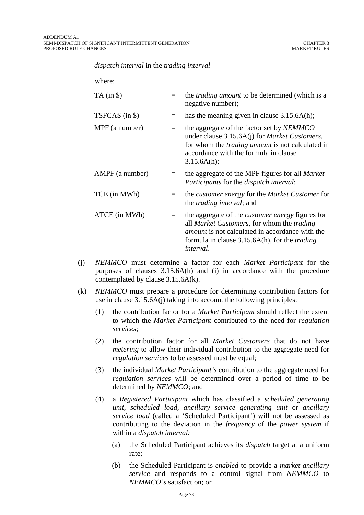*dispatch interval* in the *trading interval*

| $\equiv$ | the <i>trading amount</i> to be determined (which is a<br>negative number);                                                                                                                                                                 |
|----------|---------------------------------------------------------------------------------------------------------------------------------------------------------------------------------------------------------------------------------------------|
| $\equiv$ | has the meaning given in clause $3.15.6A(h)$ ;                                                                                                                                                                                              |
| $=$      | the aggregate of the factor set by <i>NEMMCO</i><br>under clause 3.15.6A(j) for <i>Market Customers</i> ,<br>for whom the <i>trading amount</i> is not calculated in<br>accordance with the formula in clause<br>3.15.6A(h);                |
| $=$      | the aggregate of the MPF figures for all <i>Market</i><br>Participants for the dispatch interval;                                                                                                                                           |
| $=$      | the <i>customer energy</i> for the <i>Market Customer</i> for<br>the <i>trading interval</i> ; and                                                                                                                                          |
| $=$      | the aggregate of the <i>customer energy</i> figures for<br>all Market Customers, for whom the trading<br><i>amount</i> is not calculated in accordance with the<br>formula in clause 3.15.6A(h), for the <i>trading</i><br><i>interval.</i> |
|          |                                                                                                                                                                                                                                             |

- (j) *NEMMCO* must determine a factor for each *Market Participant* for the purposes of clauses 3.15.6A(h) and (i) in accordance with the procedure contemplated by clause 3.15.6A(k).
- (k) *NEMMCO* must prepare a procedure for determining contribution factors for use in clause 3.15.6A(j) taking into account the following principles:
	- (1) the contribution factor for a *Market Participant* should reflect the extent to which the *Market Participant* contributed to the need for *regulation services*;
	- (2) the contribution factor for all *Market Customers* that do not have *metering* to allow their individual contribution to the aggregate need for *regulation services* to be assessed must be equal;
	- (3) the individual *Market Participant's* contribution to the aggregate need for *regulation services* will be determined over a period of time to be determined by *NEMMCO*; and
	- (4) a *Registered Participant* which has classified a *scheduled generating unit*, *scheduled load, ancillary service generating unit* or *ancillary service load* (called a 'Scheduled Participant') will not be assessed as contributing to the deviation in the *frequency* of the *power system* if within a *dispatch interval:* 
		- (a) the Scheduled Participant achieves its *dispatch* target at a uniform rate;
		- (b) the Scheduled Participant is *enabled* to provide a *market ancillary service* and responds to a control signal from *NEMMCO* to *NEMMCO's* satisfaction; or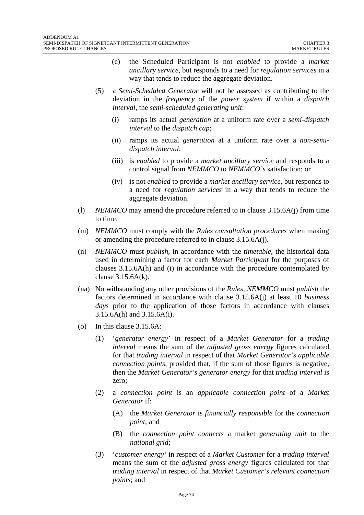- (c) the Scheduled Participant is not *enabled* to provide a *market ancillary service*, but responds to a need for *regulation services* in a way that tends to reduce the aggregate deviation.
- (5) a *Semi-Scheduled Generator* will not be assessed as contributing to the deviation in the *frequency* of the *power system* if within a *dispatch interval*, the *semi-scheduled generating unit*:
	- (i) ramps its actual *generation* at a uniform rate over a *semi-dispatch interval* to the *dispatch cap*;
	- (ii) ramps its actual *generation* at a uniform rate over a *non-semidispatch interval*;
	- (iii) is *enabled* to provide a *market ancillary service* and responds to a control signal from *NEMMCO* to *NEMMCO's* satisfaction; or
	- (iv) is not *enabled* to provide a *market ancillary service*, but responds to a need for *regulation services* in a way that tends to reduce the aggregate deviation.
- (l) *NEMMCO* may amend the procedure referred to in clause 3.15.6A(j) from time to time.
- (m) *NEMMCO* must comply with the *Rules consultation procedures* when making or amending the procedure referred to in clause 3.15.6A(j).
- (n) *NEMMCO* must *publish*, in accordance with the *timetable*, the historical data used in determining a factor for each *Market Participant* for the purposes of clauses 3.15.6A(h) and (i) in accordance with the procedure contemplated by clause 3.15.6A(k).
- (na) Notwithstanding any other provisions of the *Rules*, *NEMMCO* must *publish* the factors determined in accordance with clause 3.15.6A(j) at least 10 *business days* prior to the application of those factors in accordance with clauses 3.15.6A(h) and 3.15.6A(i).
- (o) In this clause 3.15.6A:
	- (1) '*generator energy*' in respect of a *Market Generator* for a *trading interval* means the sum of the *adjusted gross energy* figures calculated for that *trading interval* in respect of that *Market Generator's applicable connection points*, provided that, if the sum of those figures is negative, then the *Market Generator's generator energy* for that *trading interval* is zero;
	- (2) a *connection point* is an *applicable connection point* of a *Market Generator* if:
		- (A) the *Market Generator* is *financially responsible* for the *connection point*; and
		- (B) the *connection point connects* a market *generating unit* to the *national grid*;
	- (3) '*customer energy'* in respect of a *Market Customer* for a *trading interval* means the sum of the *adjusted gross energy* figures calculated for that *trading interval* in respect of that *Market Customer's relevant connection points*; and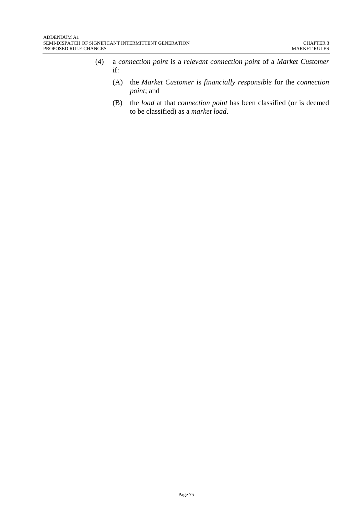- (4) a *connection point* is a *relevant connection point* of a *Market Customer* if:
	- (A) the *Market Customer* is *financially responsible* for the *connection point*; and
	- (B) the *load* at that *connection point* has been classified (or is deemed to be classified) as a *market load*.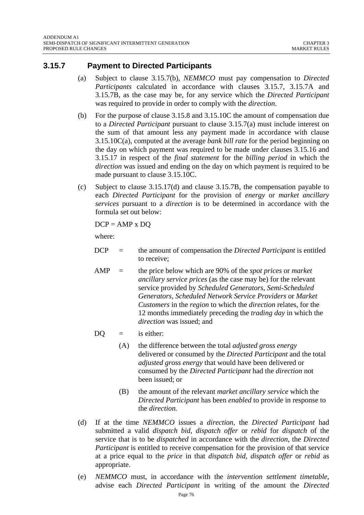#### **3.15.7 Payment to Directed Participants**

- (a) Subject to clause 3.15.7(b), *NEMMCO* must pay compensation to *Directed Participants* calculated in accordance with clauses 3.15.7, 3.15.7A and 3.15.7B, as the case may be, for any service which the *Directed Participant*  was required to provide in order to comply with the *direction*.
- (b) For the purpose of clause 3.15.8 and 3.15.10C the amount of compensation due to a *Directed Participant* pursuant to clause 3.15.7(a) must include interest on the sum of that amount less any payment made in accordance with clause 3.15.10C(a), computed at the average *bank bill rate* for the period beginning on the day on which payment was required to be made under clauses 3.15.16 and 3.15.17 in respect of the *final statement* for the *billing period* in which the *direction* was issued and ending on the day on which payment is required to be made pursuant to clause 3.15.10C.
- (c) Subject to clause 3.15.17(d) and clause 3.15.7B, the compensation payable to each *Directed Participant* for the provision of *energy* or *market ancillary services* pursuant to a *direction* is to be determined in accordance with the formula set out below:

$$
DCP = AMP \times DQ
$$

where:

- DCP = the amount of compensation the *Directed Participant* is entitled to receive;
- AMP = the price below which are 90% of the *spot prices* or *market ancillary service prices* (as the case may be) for the relevant service provided by *Scheduled Generators*, *Semi-Scheduled Generators*, *Scheduled Network Service Providers* or *Market Customers* in the *region* to which the *direction* relates, for the 12 months immediately preceding the *trading day* in which the *direction* was issued; and
- $DQ = i s$  either:
	- (A) the difference between the total *adjusted gross energy* delivered or consumed by the *Directed Participant* and the total *adjusted gross energy* that would have been delivered or consumed by the *Directed Participant* had the *direction* not been issued; or
	- (B) the amount of the relevant *market ancillary service* which the *Directed Participant* has been *enabled* to provide in response to the *direction.*
- (d) If at the time *NEMMCO* issues a *direction*, the *Directed Participant* had submitted a valid *dispatch bid*, *dispatch offer* or *rebid* for *dispatch* of the service that is to be *dispatched* in accordance with the *direction*, the *Directed Participant* is entitled to receive compensation for the provision of that service at a price equal to the *price* in that *dispatch bid, dispatch offer* or *rebid* as appropriate.
- (e) *NEMMCO* must, in accordance with the *intervention settlement timetable*, advise each *Directed Participant* in writing of the amount the *Directed*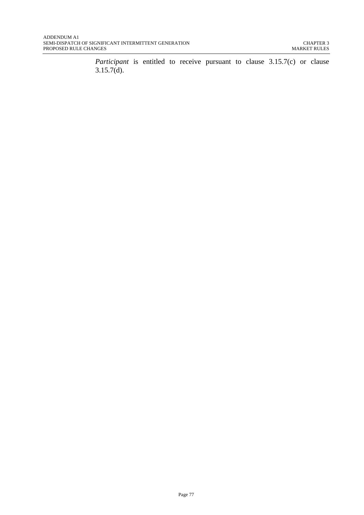*Participant* is entitled to receive pursuant to clause 3.15.7(c) or clause  $3.15.7(d)$ .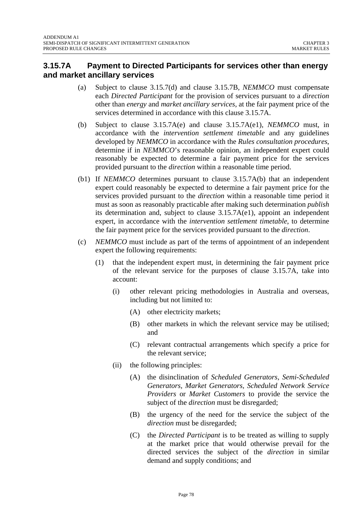## **3.15.7A Payment to Directed Participants for services other than energy and market ancillary services**

- (a) Subject to clause 3.15.7(d) and clause 3.15.7B, *NEMMCO* must compensate each *Directed Participant* for the provision of services pursuant to a *direction* other than *energy* and *market ancillary services*, at the fair payment price of the services determined in accordance with this clause 3.15.7A.
- (b) Subject to clause 3.15.7A(e) and clause 3.15.7A(e1), *NEMMCO* must, in accordance with the *intervention settlement timetable* and any guidelines developed by *NEMMCO* in accordance with the *Rules consultation procedures*, determine if in *NEMMCO*'s reasonable opinion, an independent expert could reasonably be expected to determine a fair payment price for the services provided pursuant to the *direction* within a reasonable time period.
- (b1) If *NEMMCO* determines pursuant to clause 3.15.7A(b) that an independent expert could reasonably be expected to determine a fair payment price for the services provided pursuant to the *direction* within a reasonable time period it must as soon as reasonably practicable after making such determination *publish* its determination and, subject to clause 3.15.7A(e1), appoint an independent expert, in accordance with the *intervention settlement timetable*, to determine the fair payment price for the services provided pursuant to the *direction*.
- (c) *NEMMCO* must include as part of the terms of appointment of an independent expert the following requirements:
	- (1) that the independent expert must, in determining the fair payment price of the relevant service for the purposes of clause 3.15.7A, take into account:
		- (i) other relevant pricing methodologies in Australia and overseas, including but not limited to:
			- (A) other electricity markets;
			- (B) other markets in which the relevant service may be utilised; and
			- (C) relevant contractual arrangements which specify a price for the relevant service;
		- (ii) the following principles:
			- (A) the disinclination of *Scheduled Generators*, *Semi-Scheduled Generators, Market Generators, Scheduled Network Service Providers* or *Market Customers* to provide the service the subject of the *direction* must be disregarded;
			- (B) the urgency of the need for the service the subject of the *direction* must be disregarded;
			- (C) the *Directed Participant* is to be treated as willing to supply at the market price that would otherwise prevail for the directed services the subject of the *direction* in similar demand and supply conditions; and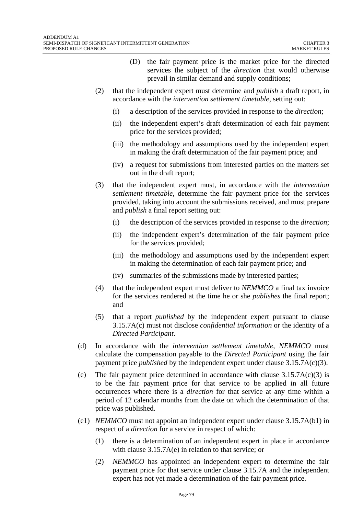- (D) the fair payment price is the market price for the directed services the subject of the *direction* that would otherwise prevail in similar demand and supply conditions;
- (2) that the independent expert must determine and *publish* a draft report, in accordance with the *intervention settlement timetable*, setting out:
	- (i) a description of the services provided in response to the *direction*;
	- (ii) the independent expert's draft determination of each fair payment price for the services provided;
	- (iii) the methodology and assumptions used by the independent expert in making the draft determination of the fair payment price; and
	- (iv) a request for submissions from interested parties on the matters set out in the draft report;
- (3) that the independent expert must, in accordance with the *intervention settlement timetable*, determine the fair payment price for the services provided, taking into account the submissions received, and must prepare and *publish* a final report setting out:
	- (i) the description of the services provided in response to the *direction*;
	- (ii) the independent expert's determination of the fair payment price for the services provided;
	- (iii) the methodology and assumptions used by the independent expert in making the determination of each fair payment price; and
	- (iv) summaries of the submissions made by interested parties;
- (4) that the independent expert must deliver to *NEMMCO* a final tax invoice for the services rendered at the time he or she *publishes* the final report; and
- (5) that a report *published* by the independent expert pursuant to clause 3.15.7A(c) must not disclose *confidential information* or the identity of a *Directed Participant*.
- (d) In accordance with the *intervention settlement timetable*, *NEMMCO* must calculate the compensation payable to the *Directed Participant* using the fair payment price *published* by the independent expert under clause 3.15.7A(c)(3).
- (e) The fair payment price determined in accordance with clause  $3.15.7A(c)(3)$  is to be the fair payment price for that service to be applied in all future occurrences where there is a *direction* for that service at any time within a period of 12 calendar months from the date on which the determination of that price was published.
- (e1) *NEMMCO* must not appoint an independent expert under clause 3.15.7A(b1) in respect of a *direction* for a service in respect of which:
	- (1) there is a determination of an independent expert in place in accordance with clause 3.15.7A(e) in relation to that service; or
	- (2) *NEMMCO* has appointed an independent expert to determine the fair payment price for that service under clause 3.15.7A and the independent expert has not yet made a determination of the fair payment price.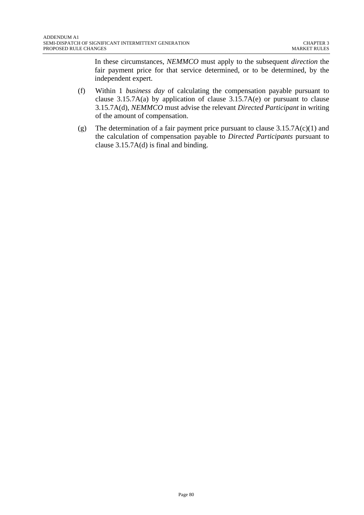In these circumstances, *NEMMCO* must apply to the subsequent *direction* the fair payment price for that service determined, or to be determined, by the independent expert.

- (f) Within 1 *business day* of calculating the compensation payable pursuant to clause  $3.15.7A(a)$  by application of clause  $3.15.7A(e)$  or pursuant to clause 3.15.7A(d), *NEMMCO* must advise the relevant *Directed Participant* in writing of the amount of compensation.
- (g) The determination of a fair payment price pursuant to clause  $3.15.7A(c)(1)$  and the calculation of compensation payable to *Directed Participants* pursuant to clause 3.15.7A(d) is final and binding.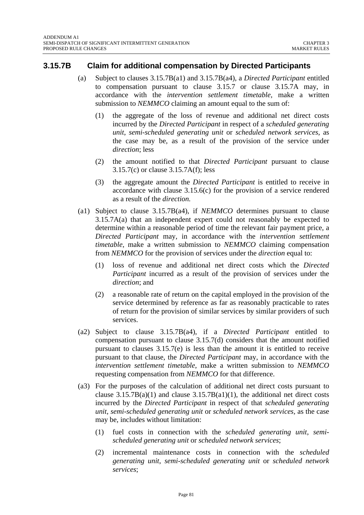#### **3.15.7B Claim for additional compensation by Directed Participants**

- (a) Subject to clauses 3.15.7B(a1) and 3.15.7B(a4), a *Directed Participant* entitled to compensation pursuant to clause 3.15.7 or clause 3.15.7A may, in accordance with the *intervention settlement timetable,* make a written submission to *NEMMCO* claiming an amount equal to the sum of:
	- (1) the aggregate of the loss of revenue and additional net direct costs incurred by the *Directed Participant* in respect of a *scheduled generating unit*, *semi-scheduled generating unit* or *scheduled network services*, as the case may be, as a result of the provision of the service under *direction*; less
	- (2) the amount notified to that *Directed Participant* pursuant to clause 3.15.7(c) or clause 3.15.7A(f); less
	- (3) the aggregate amount the *Directed Participant* is entitled to receive in accordance with clause 3.15.6(c) for the provision of a service rendered as a result of the *direction.*
- (a1) Subject to clause 3.15.7B(a4), if *NEMMCO* determines pursuant to clause 3.15.7A(a) that an independent expert could not reasonably be expected to determine within a reasonable period of time the relevant fair payment price, a *Directed Participant* may, in accordance with the *intervention settlement timetable*, make a written submission to *NEMMCO* claiming compensation from *NEMMCO* for the provision of services under the *direction* equal to:
	- (1) loss of revenue and additional net direct costs which the *Directed Participant* incurred as a result of the provision of services under the *direction*; and
	- (2) a reasonable rate of return on the capital employed in the provision of the service determined by reference as far as reasonably practicable to rates of return for the provision of similar services by similar providers of such services.
- (a2) Subject to clause 3.15.7B(a4), if a *Directed Participant* entitled to compensation pursuant to clause 3.15.7(d) considers that the amount notified pursuant to clauses 3.15.7(e) is less than the amount it is entitled to receive pursuant to that clause, the *Directed Participant* may, in accordance with the *intervention settlement timetable*, make a written submission to *NEMMCO* requesting compensation from *NEMMCO* for that difference.
- (a3) For the purposes of the calculation of additional net direct costs pursuant to clause  $3.15.7B(a)(1)$  and clause  $3.15.7B(a)(1)$ , the additional net direct costs incurred by the *Directed Participant* in respect of that *scheduled generating unit*, *semi-scheduled generating unit* or *scheduled network services,* as the case may be, includes without limitation:
	- (1) fuel costs in connection with the *scheduled generating unit*, *semischeduled generating unit* or *scheduled network services*;
	- (2) incremental maintenance costs in connection with the *scheduled generating unit*, *semi-scheduled generating unit* or *scheduled network services*;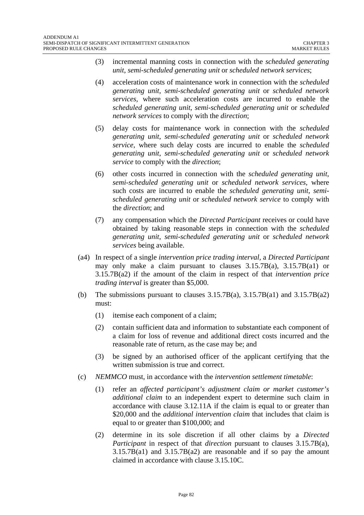- (3) incremental manning costs in connection with the *scheduled generating unit*, *semi-scheduled generating unit* or *scheduled network services*;
- (4) acceleration costs of maintenance work in connection with the *scheduled generating unit*, *semi-scheduled generating unit* or *scheduled network services,* where such acceleration costs are incurred to enable the *scheduled generating unit*, *semi-scheduled generating unit* or *scheduled network services* to comply with the *direction*;
- (5) delay costs for maintenance work in connection with the *scheduled generating unit*, *semi-scheduled generating unit* or *scheduled network service*, where such delay costs are incurred to enable the *scheduled generating unit*, *semi-scheduled generating unit* or *scheduled network service* to comply with the *direction*;
- (6) other costs incurred in connection with the *scheduled generating unit*, *semi-scheduled generating unit* or *scheduled network services*, where such costs are incurred to enable the *scheduled generating unit*, *semischeduled generating unit* or *scheduled network service* to comply with the *direction*; and
- (7) any compensation which the *Directed Participant* receives or could have obtained by taking reasonable steps in connection with the *scheduled generating unit*, *semi-scheduled generating unit* or *scheduled network services* being available.
- (a4) In respect of a single *intervention price trading interval,* a *Directed Participant* may only make a claim pursuant to clauses  $3.15.7B(a)$ ,  $3.15.7B(a1)$  or 3.15.7B(a2) if the amount of the claim in respect of that *intervention price trading interval* is greater than \$5,000.
- (b) The submissions pursuant to clauses  $3.15.7B(a)$ ,  $3.15.7B(a1)$  and  $3.15.7B(a2)$ must:
	- (1) itemise each component of a claim;
	- (2) contain sufficient data and information to substantiate each component of a claim for loss of revenue and additional direct costs incurred and the reasonable rate of return, as the case may be; and
	- (3) be signed by an authorised officer of the applicant certifying that the written submission is true and correct.
- (c) *NEMMCO* must, in accordance with the *intervention settlement timetable*:
	- (1) refer an *affected participant's adjustment claim or market customer's additional claim* to an independent expert to determine such claim in accordance with clause 3.12.11A if the claim is equal to or greater than \$20,000 and the *additional intervention claim* that includes that claim is equal to or greater than \$100,000; and
	- (2) determine in its sole discretion if all other claims by a *Directed Participant* in respect of that *direction* pursuant to clauses 3.15.7B(a),  $3.15.7B(a1)$  and  $3.15.7B(a2)$  are reasonable and if so pay the amount claimed in accordance with clause 3.15.10C.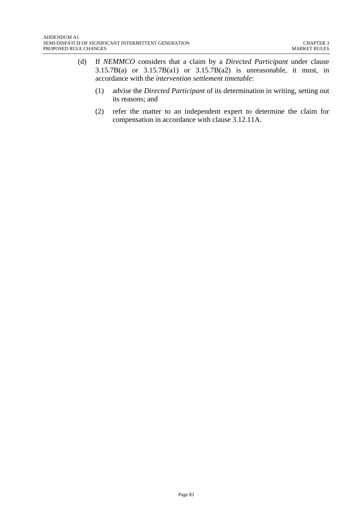- (d) If *NEMMCO* considers that a claim by a *Directed Participant* under clause  $3.15.7B(a)$  or  $3.15.7B(a1)$  or  $3.15.7B(a2)$  is unreasonable, it must, in accordance with the *intervention settlement timetable*:
	- (1) advise the *Directed Participant* of its determination in writing, setting out its reasons; and
	- (2) refer the matter to an independent expert to determine the claim for compensation in accordance with clause 3.12.11A.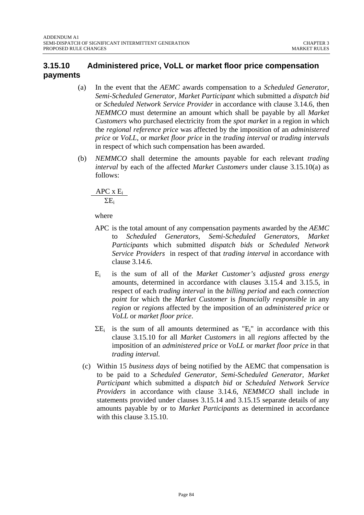## **3.15.10 Administered price, VoLL or market floor price compensation payments**

- (a) In the event that the *AEMC* awards compensation to a *Scheduled Generator, Semi-Scheduled Generator, Market Participant* which submitted a *dispatch bid* or *Scheduled Network Service Provider* in accordance with clause 3.14.6, then *NEMMCO* must determine an amount which shall be payable by all *Market Customers* who purchased electricity from the *spot market* in a region in which the *regional reference price* was affected by the imposition of an *administered price* or *VoLL*, or *market floor price* in the *trading interval* or *trading intervals* in respect of which such compensation has been awarded.
- (b) *NEMMCO* shall determine the amounts payable for each relevant *trading interval* by each of the affected *Market Customers* under clause 3.15.10(a) as follows:

APC x Ei

ΣEi

where

- APC is the total amount of any compensation payments awarded by the *AEMC* to *Scheduled Generators, Semi-Scheduled Generators, Market Participants* which submitted *dispatch bids* or *Scheduled Network Service Providers* in respect of that *trading interval* in accordance with clause 3.14.6.
- Ei is the sum of all of the *Market Customer's adjusted gross energy* amounts, determined in accordance with clauses 3.15.4 and 3.15.5, in respect of each *trading interval* in the *billing period* and each *connection point* for which the *Market Customer* is *financially responsible* in any *region* or *regions* affected by the imposition of an *administered price* or *VoLL* or *market floor price*.
- $\Sigma E_i$  is the sum of all amounts determined as " $E_i$ " in accordance with this clause 3.15.10 for all *Market Customers* in all *regions* affected by the imposition of an *administered price* or *VoLL* or *market floor price* in that *trading interval.*
- (c) Within 15 *business days* of being notified by the AEMC that compensation is to be paid to a *Scheduled Generator, Semi-Scheduled Generator, Market Participant* which submitted a *dispatch bid* or *Scheduled Network Service Providers* in accordance with clause 3.14.6, *NEMMCO* shall include in statements provided under clauses 3.15.14 and 3.15.15 separate details of any amounts payable by or to *Market Participants* as determined in accordance with this clause 3.15.10.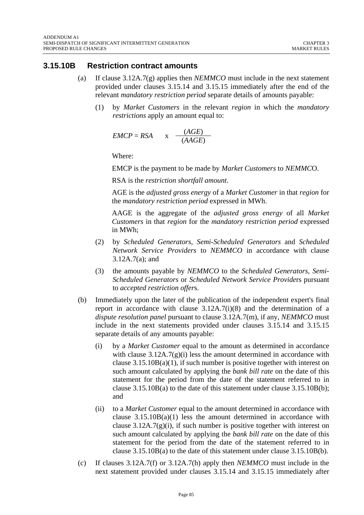#### **3.15.10B Restriction contract amounts**

- (a) If clause 3.12A.7(g) applies then *NEMMCO* must include in the next statement provided under clauses 3.15.14 and 3.15.15 immediately after the end of the relevant *mandatory restriction period* separate details of amounts payable:
	- (1) by *Market Customers* in the relevant *region* in which the *mandatory restrictions* apply an amount equal to:

$$
EMCP = RSA \qquad x \quad \frac{(AGE)}{(AAGE)}
$$

Where:

EMCP is the payment to be made by *Market Customers* to *NEMMC*O.

RSA is the *restriction shortfall amount*.

AGE is the *adjusted gross energy* of a *Market Customer* in that *region* for the *mandatory restriction period* expressed in MWh.

AAGE is the aggregate of the *adjusted gross energy* of all *Market Customers* in that *region* for the *mandatory restriction period* expressed in MWh;

- (2) by *Scheduled Generators*, *Semi-Scheduled Generators* and *Scheduled Network Service Providers* to *NEMMCO* in accordance with clause 3.12A.7(a); and
- (3) the amounts payable by *NEMMCO* to the *Scheduled Generators*, *Semi-Scheduled Generators* or *Scheduled Network Service Provide*rs pursuant to *accepted restriction offer*s.
- (b) Immediately upon the later of the publication of the independent expert's final report in accordance with clause 3.12A.7(i)(8) and the determination of a *dispute resolution panel* pursuant to clause 3.12A.7(m), if any, *NEMMCO* must include in the next statements provided under clauses 3.15.14 and 3.15.15 separate details of any amounts payable:
	- (i) by a *Market Customer* equal to the amount as determined in accordance with clause  $3.12A.7(g)(i)$  less the amount determined in accordance with clause  $3.15.10B(a)(1)$ , if such number is positive together with interest on such amount calculated by applying the *bank bill rate* on the date of this statement for the period from the date of the statement referred to in clause 3.15.10B(a) to the date of this statement under clause 3.15.10B(b); and
	- (ii) to a *Market Customer* equal to the amount determined in accordance with clause 3.15.10B(a)(1) less the amount determined in accordance with clause  $3.12A.7(g)(i)$ , if such number is positive together with interest on such amount calculated by applying the *bank bill rate* on the date of this statement for the period from the date of the statement referred to in clause 3.15.10B(a) to the date of this statement under clause 3.15.10B(b).
- (c) If clauses 3.12A.7(f) or 3.12A.7(h) apply then *NEMMCO* must include in the next statement provided under clauses 3.15.14 and 3.15.15 immediately after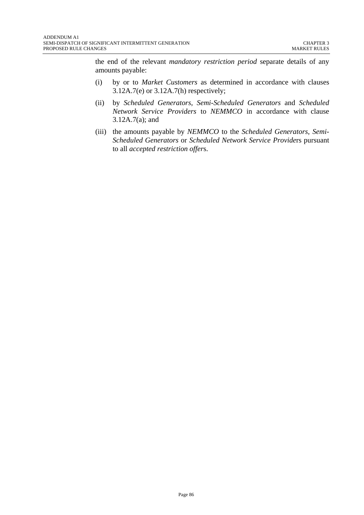the end of the relevant *mandatory restriction period* separate details of any amounts payable:

- (i) by or to *Market Customers* as determined in accordance with clauses 3.12A.7(e) or 3.12A.7(h) respectively;
- (ii) by *Scheduled Generators*, *Semi-Scheduled Generators* and *Scheduled Network Service Providers* to *NEMMCO* in accordance with clause 3.12A.7(a); and
- (iii) the amounts payable by *NEMMCO* to the *Scheduled Generators*, *Semi-Scheduled Generators* or *Scheduled Network Service Provide*rs pursuant to all *accepted restriction offer*s.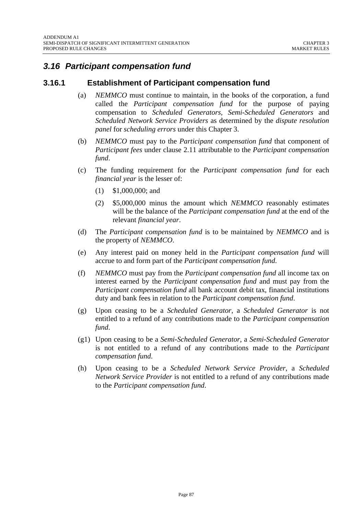# *3.16 Participant compensation fund*

#### **3.16.1 Establishment of Participant compensation fund**

- (a) *NEMMCO* must continue to maintain, in the books of the corporation, a fund called the *Participant compensation fund* for the purpose of paying compensation to *Scheduled Generators, Semi-Scheduled Generators* and *Scheduled Network Service Providers* as determined by the *dispute resolution panel* for *scheduling errors* under this Chapter 3.
- (b) *NEMMCO* must pay to the *Participant compensation fund* that component of *Participant fees* under clause 2.11 attributable to the *Participant compensation fund*.
- (c) The funding requirement for the *Participant compensation fund* for each *financial year* is the lesser of:
	- (1) \$1,000,000; and
	- (2) \$5,000,000 minus the amount which *NEMMCO* reasonably estimates will be the balance of the *Participant compensation fund* at the end of the relevant *financial year*.
- (d) The *Participant compensation fund* is to be maintained by *NEMMCO* and is the property of *NEMMCO*.
- (e) Any interest paid on money held in the *Participant compensation fund* will accrue to and form part of the *Participant compensation fund*.
- (f) *NEMMCO* must pay from the *Participant compensation fund* all income tax on interest earned by the *Participant compensation fund* and must pay from the *Participant compensation fund* all bank account debit tax, financial institutions duty and bank fees in relation to the *Participant compensation fund*.
- (g) Upon ceasing to be a *Scheduled Generator*, a *Scheduled Generator* is not entitled to a refund of any contributions made to the *Participant compensation fund*.
- (g1) Upon ceasing to be a *Semi-Scheduled Generator*, a *Semi-Scheduled Generator*  is not entitled to a refund of any contributions made to the *Participant compensation fund*.
- (h) Upon ceasing to be a *Scheduled Network Service Provider*, a *Scheduled Network Service Provider* is not entitled to a refund of any contributions made to the *Participant compensation fund*.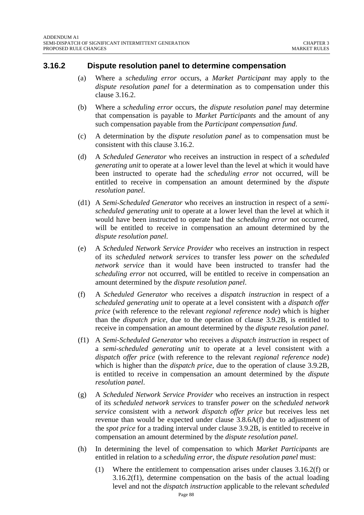#### **3.16.2 Dispute resolution panel to determine compensation**

- (a) Where a *scheduling error* occurs, a *Market Participant* may apply to the *dispute resolution panel* for a determination as to compensation under this clause 3.16.2.
- (b) Where a *scheduling error* occurs, the *dispute resolution panel* may determine that compensation is payable to *Market Participants* and the amount of any such compensation payable from the *Participant compensation fund*.
- (c) A determination by the *dispute resolution panel* as to compensation must be consistent with this clause 3.16.2.
- (d) A *Scheduled Generator* who receives an instruction in respect of a *scheduled generating unit* to operate at a lower level than the level at which it would have been instructed to operate had the *scheduling error* not occurred, will be entitled to receive in compensation an amount determined by the *dispute resolution panel*.
- (d1) A *Semi-Scheduled Generator* who receives an instruction in respect of a *semischeduled generating unit* to operate at a lower level than the level at which it would have been instructed to operate had the *scheduling error* not occurred, will be entitled to receive in compensation an amount determined by the *dispute resolution panel*.
- (e) A *Scheduled Network Service Provider* who receives an instruction in respect of its *scheduled network services* to transfer less *power* on the *scheduled network service* than it would have been instructed to transfer had the *scheduling error* not occurred, will be entitled to receive in compensation an amount determined by the *dispute resolution panel*.
- (f) A *Scheduled Generator* who receives a *dispatch instruction* in respect of a *scheduled generating unit* to operate at a level consistent with a *dispatch offer price* (with reference to the relevant *regional reference node*) which is higher than the *dispatch price*, due to the operation of clause 3.9.2B, is entitled to receive in compensation an amount determined by the *dispute resolution panel*.
- (f1) A *Semi-Scheduled Generator* who receives a *dispatch instruction* in respect of a *semi-scheduled generating unit* to operate at a level consistent with a *dispatch offer price* (with reference to the relevant *regional reference node*) which is higher than the *dispatch price*, due to the operation of clause 3.9.2B, is entitled to receive in compensation an amount determined by the *dispute resolution panel*.
- (g) A *Scheduled Network Service Provider* who receives an instruction in respect of its *scheduled network services* to transfer *power* on the *scheduled network service* consistent with a *network dispatch offer price* but receives less net revenue than would be expected under clause 3.8.6A(f) due to adjustment of the *spot price* for a trading interval under clause 3.9.2B, is entitled to receive in compensation an amount determined by the *dispute resolution panel*.
- (h) In determining the level of compensation to which *Market Participants* are entitled in relation to a *scheduling error*, the *dispute resolution panel* must:
	- (1) Where the entitlement to compensation arises under clauses 3.16.2(f) or 3.16.2(f1), determine compensation on the basis of the actual loading level and not the *dispatch instruction* applicable to the relevant *scheduled*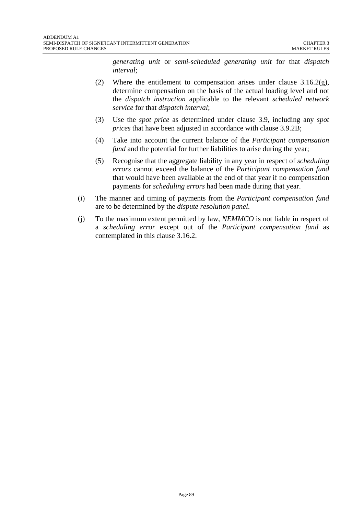*generating unit* or *semi-scheduled generating unit* for that *dispatch interval*;

- (2) Where the entitlement to compensation arises under clause  $3.16.2(g)$ , determine compensation on the basis of the actual loading level and not the *dispatch instruction* applicable to the relevant *scheduled network service* for that *dispatch interval*;
- (3) Use the *spot price* as determined under clause 3.9, including any *spot prices* that have been adjusted in accordance with clause 3.9.2B;
- (4) Take into account the current balance of the *Participant compensation fund* and the potential for further liabilities to arise during the year;
- (5) Recognise that the aggregate liability in any year in respect of *scheduling errors* cannot exceed the balance of the *Participant compensation fund* that would have been available at the end of that year if no compensation payments for *scheduling errors* had been made during that year.
- (i) The manner and timing of payments from the *Participant compensation fund* are to be determined by the *dispute resolution panel*.
- (j) To the maximum extent permitted by law, *NEMMCO* is not liable in respect of a *scheduling error* except out of the *Participant compensation fund* as contemplated in this clause 3.16.2.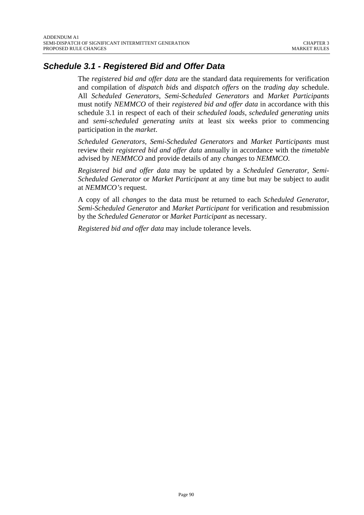# *Schedule 3.1 - Registered Bid and Offer Data*

The *registered bid and offer data* are the standard data requirements for verification and compilation of *dispatch bids* and *dispatch offers* on the *trading day* schedule. All *Scheduled Generators*, *Semi-Scheduled Generators* and *Market Participants* must notify *NEMMCO* of their *registered bid and offer data* in accordance with this schedule 3.1 in respect of each of their *scheduled loads*, *scheduled generating units* and *semi-scheduled generating units* at least six weeks prior to commencing participation in the *market*.

*Scheduled Generators*, *Semi-Scheduled Generators* and *Market Participants* must review their *registered bid and offer data* annually in accordance with the *timetable* advised by *NEMMCO* and provide details of any *changes* to *NEMMCO.* 

*Registered bid and offer data* may be updated by a *Scheduled Generator*, *Semi-Scheduled Generator* or *Market Participant* at any time but may be subject to audit at *NEMMCO's* request.

A copy of all *changes* to the data must be returned to each *Scheduled Generator*, *Semi-Scheduled Generator* and *Market Participant* for verification and resubmission by the *Scheduled Generator* or *Market Participant* as necessary.

*Registered bid and offer data* may include tolerance levels.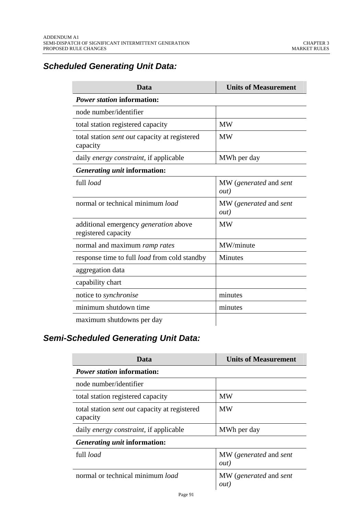# *Scheduled Generating Unit Data:*

| Data                                                                | <b>Units of Measurement</b>    |  |  |
|---------------------------------------------------------------------|--------------------------------|--|--|
| <b>Power station information:</b>                                   |                                |  |  |
| node number/identifier                                              |                                |  |  |
| total station registered capacity                                   | <b>MW</b>                      |  |  |
| total station sent out capacity at registered<br>capacity           | <b>MW</b>                      |  |  |
| daily energy constraint, if applicable                              | MWh per day                    |  |  |
| Generating unit information:                                        |                                |  |  |
| full load                                                           | MW (generated and sent<br>out) |  |  |
| normal or technical minimum load                                    | MW (generated and sent<br>out) |  |  |
| additional emergency <i>generation</i> above<br>registered capacity | <b>MW</b>                      |  |  |
| normal and maximum ramp rates                                       | MW/minute                      |  |  |
| response time to full <i>load</i> from cold standby                 | <b>Minutes</b>                 |  |  |
| aggregation data                                                    |                                |  |  |
| capability chart                                                    |                                |  |  |
| notice to <i>synchronise</i>                                        | minutes                        |  |  |
| minimum shutdown time                                               | minutes                        |  |  |
| maximum shutdowns per day                                           |                                |  |  |

# *Semi-Scheduled Generating Unit Data:*

| Data                                                             | <b>Units of Measurement</b>          |  |
|------------------------------------------------------------------|--------------------------------------|--|
| <i>Power station</i> information:                                |                                      |  |
| node number/identifier                                           |                                      |  |
| total station registered capacity                                | <b>MW</b>                            |  |
| total station <i>sent out</i> capacity at registered<br>capacity | <b>MW</b>                            |  |
| daily energy constraint, if applicable                           | MWh per day                          |  |
| Generating unit information:                                     |                                      |  |
| full load                                                        | MW (generated and sent<br>out)       |  |
| normal or technical minimum load                                 | MW (generated and sent<br><i>out</i> |  |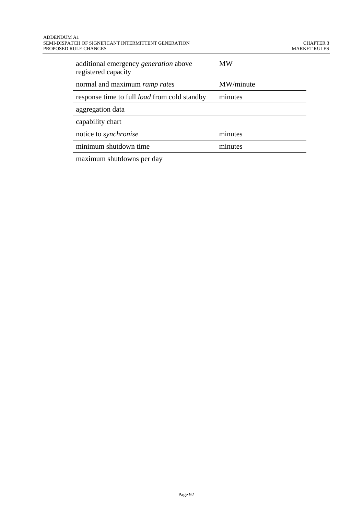| additional emergency generation above<br>registered capacity | <b>MW</b> |
|--------------------------------------------------------------|-----------|
| normal and maximum ramp rates                                | MW/minute |
| response time to full <i>load</i> from cold standby          | minutes   |
| aggregation data                                             |           |
| capability chart                                             |           |
| notice to <i>synchronise</i>                                 | minutes   |
| minimum shutdown time                                        | minutes   |
| maximum shutdowns per day                                    |           |

Page 92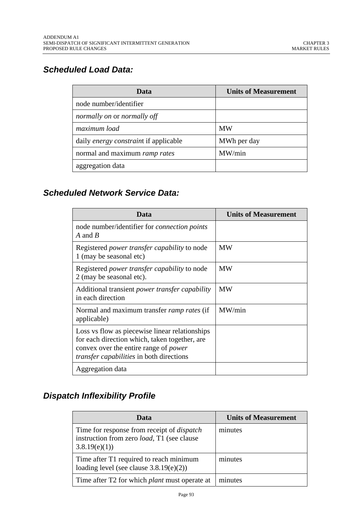# *Scheduled Load Data:*

| Data                                         | <b>Units of Measurement</b> |
|----------------------------------------------|-----------------------------|
| node number/identifier                       |                             |
| normally on or normally off                  |                             |
| maximum load                                 | <b>MW</b>                   |
| daily <i>energy constraint</i> if applicable | MWh per day                 |
| normal and maximum ramp rates                | MW/min                      |
| aggregation data                             |                             |

# *Scheduled Network Service Data:*

| Data                                                                                                                                                                                               | <b>Units of Measurement</b> |
|----------------------------------------------------------------------------------------------------------------------------------------------------------------------------------------------------|-----------------------------|
| node number/identifier for <i>connection points</i><br>A and B                                                                                                                                     |                             |
| Registered <i>power transfer capability</i> to node<br>1 (may be seasonal etc)                                                                                                                     | <b>MW</b>                   |
| Registered <i>power transfer capability</i> to node<br>2 (may be seasonal etc).                                                                                                                    | <b>MW</b>                   |
| Additional transient <i>power transfer capability</i><br>in each direction                                                                                                                         | <b>MW</b>                   |
| Normal and maximum transfer <i>ramp rates</i> (if<br>applicable)                                                                                                                                   | MW/min                      |
| Loss vs flow as piecewise linear relationships<br>for each direction which, taken together, are<br>convex over the entire range of <i>power</i><br><i>transfer capabilities</i> in both directions |                             |
| Aggregation data                                                                                                                                                                                   |                             |

# *Dispatch Inflexibility Profile*

| Data                                                                                                                    | <b>Units of Measurement</b> |
|-------------------------------------------------------------------------------------------------------------------------|-----------------------------|
| Time for response from receipt of <i>dispatch</i><br>instruction from zero <i>load</i> , T1 (see clause<br>3.8.19(e)(1) | minutes                     |
| Time after T1 required to reach minimum<br>loading level (see clause $3.8.19(e)(2)$ )                                   | minutes                     |
| Time after T2 for which <i>plant</i> must operate at                                                                    | minutes                     |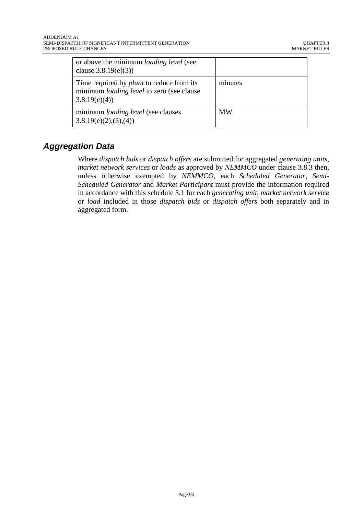| or above the minimum <i>loading level</i> (see<br>clause $3.8.19(e)(3)$                                              |           |
|----------------------------------------------------------------------------------------------------------------------|-----------|
| Time required by <i>plant</i> to reduce from its<br>minimum <i>loading level</i> to zero (see clause<br>3.8.19(e)(4) | minutes   |
| minimum <i>loading level</i> (see clauses)<br>3.8.19(e)(2),(3),(4)                                                   | <b>MW</b> |

# *Aggregation Data*

Where *dispatch bids* or *dispatch offers* are submitted for aggregated *generating units*, *market network services* or *loads* as approved by *NEMMCO* under clause 3.8.3 then, unless otherwise exempted by *NEMMCO*, each *Scheduled Generator*, *Semi-Scheduled Generator* and *Market Participant* must provide the information required in accordance with this schedule 3.1 for each *generating unit*, *market network service* or *load* included in those *dispatch bids* or *dispatch offers* both separately and in aggregated form.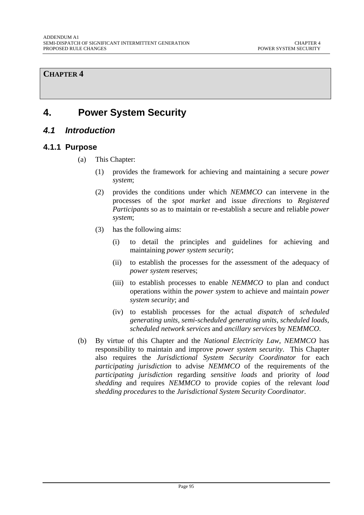### **CHAPTER 4**

# **4. Power System Security**

# *4.1 Introduction*

#### **4.1.1 Purpose**

- (a) This Chapter:
	- (1) provides the framework for achieving and maintaining a secure *power system*;
	- (2) provides the conditions under which *NEMMCO* can intervene in the processes of the *spot market* and issue *directions* to *Registered Participants* so as to maintain or re-establish a secure and reliable *power system*;
	- (3) has the following aims:
		- (i) to detail the principles and guidelines for achieving and maintaining *power system security*;
		- (ii) to establish the processes for the assessment of the adequacy of *power system* reserves;
		- (iii) to establish processes to enable *NEMMCO* to plan and conduct operations within the *power system* to achieve and maintain *power system security*; and
		- (iv) to establish processes for the actual *dispatch* of *scheduled generating units, semi-scheduled generating units, scheduled loads, scheduled network services* and *ancillary services* by *NEMMCO*.
- (b) By virtue of this Chapter and the *National Electricity Law*, *NEMMCO* has responsibility to maintain and improve *power system security*. This Chapter also requires the *Jurisdictional System Security Coordinator* for each *participating jurisdiction* to advise *NEMMCO* of the requirements of the *participating jurisdiction* regarding *sensitive loads* and priority of *load shedding* and requires *NEMMCO* to provide copies of the relevant *load shedding procedures* to the *Jurisdictional System Security Coordinator*.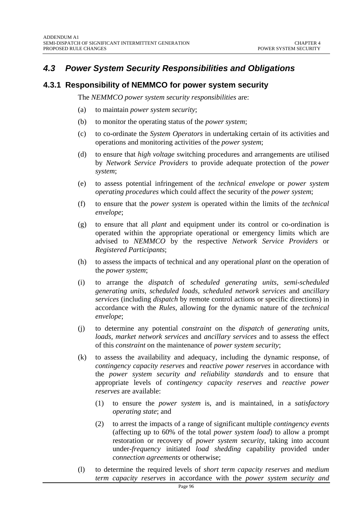# *4.3 Power System Security Responsibilities and Obligations*

## **4.3.1 Responsibility of NEMMCO for power system security**

The *NEMMCO power system security responsibilities* are:

- (a) to maintain *power system security*;
- (b) to monitor the operating status of the *power system*;
- (c) to co-ordinate the *System Operators* in undertaking certain of its activities and operations and monitoring activities of the *power system*;
- (d) to ensure that *high voltage* switching procedures and arrangements are utilised by *Network Service Providers* to provide adequate protection of the *power system*;
- (e) to assess potential infringement of the *technical envelope* or *power system operating procedures* which could affect the security of the *power system*;
- (f) to ensure that the *power system* is operated within the limits of the *technical envelope*;
- (g) to ensure that all *plant* and equipment under its control or co-ordination is operated within the appropriate operational or emergency limits which are advised to *NEMMCO* by the respective *Network Service Providers* or *Registered Participants*;
- (h) to assess the impacts of technical and any operational *plant* on the operation of the *power system*;
- (i) to arrange the *dispatch* of *scheduled generating units, semi-scheduled generating units*, *scheduled loads*, *scheduled network services* and *ancillary services* (including *dispatch* by remote control actions or specific directions) in accordance with the *Rules*, allowing for the dynamic nature of the *technical envelope*;
- (j) to determine any potential *constraint* on the *dispatch* of *generating units, loads, market network services* and *ancillary services* and to assess the effect of this *constraint* on the maintenance of *power system security*;
- (k) to assess the availability and adequacy, including the dynamic response, of *contingency capacity reserves* and *reactive power reserves* in accordance with the *power system security and reliability standards* and to ensure that appropriate levels of *contingency capacity reserves* and *reactive power reserves* are available:
	- (1) to ensure the *power system* is, and is maintained, in a *satisfactory operating state*; and
	- (2) to arrest the impacts of a range of significant multiple *contingency events* (affecting up to 60% of the total *power system load*) to allow a prompt restoration or recovery of *power system security*, taking into account under-*frequency* initiated *load shedding* capability provided under *connection agreements* or otherwise;
- (l) to determine the required levels of *short term capacity reserves* and *medium term capacity reserves* in accordance with the *power system security and*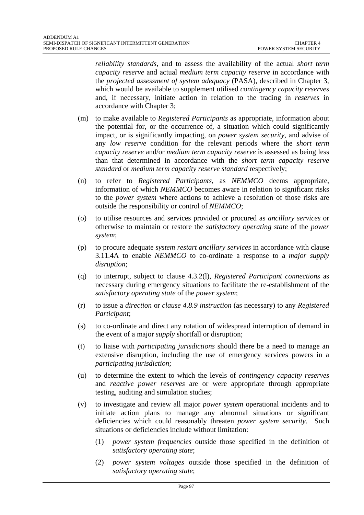*reliability standards*, and to assess the availability of the actual *short term capacity reserve* and actual *medium term capacity reserve* in accordance with the *projected assessment of system adequacy* (PASA), described in Chapter 3, which would be available to supplement utilised *contingency capacity reserves* and, if necessary, initiate action in relation to the trading in *reserves* in accordance with Chapter 3;

- (m) to make available to *Registered Participants* as appropriate, information about the potential for, or the occurrence of, a situation which could significantly impact, or is significantly impacting, on *power system security*, and advise of any *low reserve* condition for the relevant periods where the *short term capacity reserve* and/or *medium term capacity reserve* is assessed as being less than that determined in accordance with the *short term capacity reserve standard* or *medium term capacity reserve standard* respectively;
- (n) to refer to *Registered Participants*, as *NEMMCO* deems appropriate, information of which *NEMMCO* becomes aware in relation to significant risks to the *power system* where actions to achieve a resolution of those risks are outside the responsibility or control of *NEMMCO*;
- (o) to utilise resources and services provided or procured as *ancillary services* or otherwise to maintain or restore the *satisfactory operating state* of the *power system*;
- (p) to procure adequate *system restart ancillary services* in accordance with clause 3.11.4A to enable *NEMMCO* to co-ordinate a response to a *major supply disruption*;
- (q) to interrupt, subject to clause 4.3.2(l), *Registered Participant connections* as necessary during emergency situations to facilitate the re-establishment of the *satisfactory operating state* of the *power system*;
- (r) to issue a *direction* or *clause 4.8.9 instruction* (as necessary) to any *Registered Participant*;
- (s) to co-ordinate and direct any rotation of widespread interruption of demand in the event of a major *supply* shortfall or disruption;
- (t) to liaise with *participating jurisdictions* should there be a need to manage an extensive disruption, including the use of emergency services powers in a *participating jurisdiction*;
- (u) to determine the extent to which the levels of *contingency capacity reserves* and *reactive power reserves* are or were appropriate through appropriate testing, auditing and simulation studies;
- (v) to investigate and review all major *power system* operational incidents and to initiate action plans to manage any abnormal situations or significant deficiencies which could reasonably threaten *power system security*. Such situations or deficiencies include without limitation:
	- (1) *power system frequencies* outside those specified in the definition of *satisfactory operating state*;
	- (2) *power system voltages* outside those specified in the definition of *satisfactory operating state*;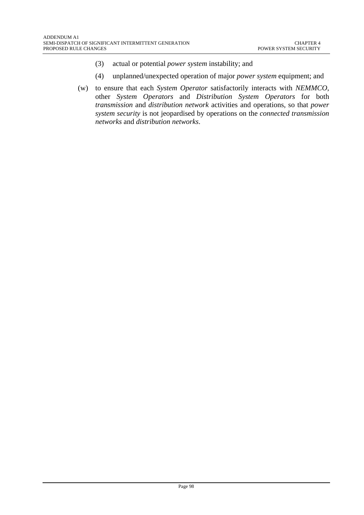- (3) actual or potential *power system* instability; and
- (4) unplanned/unexpected operation of major *power system* equipment; and
- (w) to ensure that each *System Operator* satisfactorily interacts with *NEMMCO*, other *System Operators* and *Distribution System Operators* for both *transmission* and *distribution network* activities and operations, so that *power system security* is not jeopardised by operations on the *connected transmission networks* and *distribution networks*.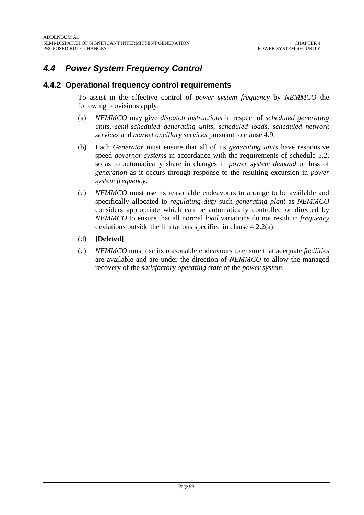# *4.4 Power System Frequency Control*

## **4.4.2 Operational frequency control requirements**

To assist in the effective control of *power system frequency* by *NEMMCO* the following provisions apply:

- (a) *NEMMCO* may give *dispatch instructions* in respect of *scheduled generating units, semi-scheduled generating units*, *scheduled loads, scheduled network services* and *market ancillary services* pursuant to clause 4.9.
- (b) Each *Generator* must ensure that all of its *generating units* have responsive speed *governor systems* in accordance with the requirements of schedule 5.2, so as to automatically share in changes in *power system demand* or loss of *generation* as it occurs through response to the resulting excursion in *power system frequency*.
- (c) *NEMMCO* must use its reasonable endeavours to arrange to be available and specifically allocated to *regulating duty* such *generating plant* as *NEMMCO* considers appropriate which can be automatically controlled or directed by *NEMMCO* to ensure that all normal *load* variations do not result in *frequency* deviations outside the limitations specified in clause 4.2.2(a).
- (d) **[Deleted]**
- (e) *NEMMCO* must use its reasonable endeavours to ensure that adequate *facilities* are available and are under the direction of *NEMMCO* to allow the managed recovery of the *satisfactory operating state* of the *power system*.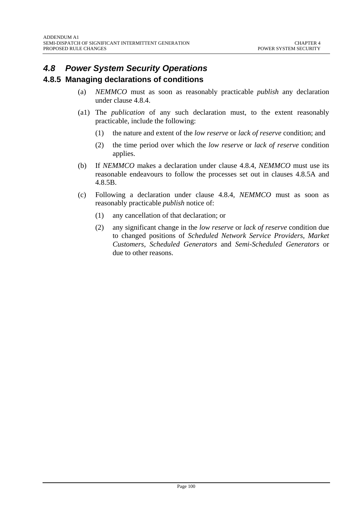# *4.8 Power System Security Operations*

## **4.8.5 Managing declarations of conditions**

- (a) *NEMMCO* must as soon as reasonably practicable *publish* any declaration under clause 4.8.4.
- (a1) The *publication* of any such declaration must, to the extent reasonably practicable, include the following:
	- (1) the nature and extent of the *low reserve* or *lack of reserve* condition; and
	- (2) the time period over which the *low reserve* or *lack of reserve* condition applies.
- (b) If *NEMMCO* makes a declaration under clause 4.8.4, *NEMMCO* must use its reasonable endeavours to follow the processes set out in clauses 4.8.5A and 4.8.5B.
- (c) Following a declaration under clause 4.8.4, *NEMMCO* must as soon as reasonably practicable *publish* notice of:
	- (1) any cancellation of that declaration; or
	- (2) any significant change in the *low reserve* or *lack of reserve* condition due to changed positions of *Scheduled Network Service Providers*, *Market Customers*, *Scheduled Generators* and *Semi-Scheduled Generators* or due to other reasons.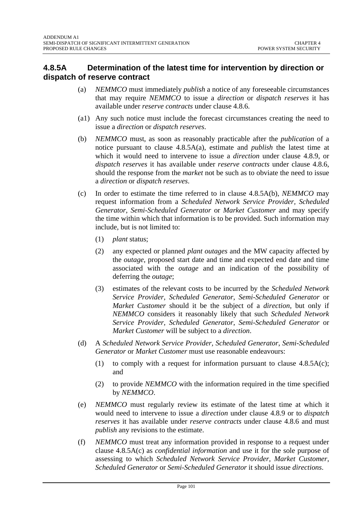# **4.8.5A Determination of the latest time for intervention by direction or dispatch of reserve contract**

- (a) *NEMMCO* must immediately *publish* a notice of any foreseeable circumstances that may require *NEMMCO* to issue a *direction* or *dispatch reserves* it has available under *reserve contracts* under clause 4.8.6.
- (a1) Any such notice must include the forecast circumstances creating the need to issue a *direction* or *dispatch reserves*.
- (b) *NEMMCO* must, as soon as reasonably practicable after the *publication* of a notice pursuant to clause 4.8.5A(a), estimate and *publish* the latest time at which it would need to intervene to issue a *direction* under clause 4.8.9, or *dispatch reserves* it has available under *reserve contracts* under clause 4.8.6, should the response from the *market* not be such as to obviate the need to issue a *direction* or *dispatch reserves*.
- (c) In order to estimate the time referred to in clause 4.8.5A(b), *NEMMCO* may request information from a *Scheduled Network Service Provider, Scheduled Generator*, *Semi-Scheduled Generator* or *Market Customer* and may specify the time within which that information is to be provided. Such information may include, but is not limited to:
	- (1) *plant* status;
	- (2) any expected or planned *plant outages* and the MW capacity affected by the *outage*, proposed start date and time and expected end date and time associated with the *outage* and an indication of the possibility of deferring the *outage*;
	- (3) estimates of the relevant costs to be incurred by the *Scheduled Network Service Provider, Scheduled Generator*, *Semi-Scheduled Generator* or *Market Customer* should it be the subject of a *direction*, but only if *NEMMCO* considers it reasonably likely that such *Scheduled Network Service Provider, Scheduled Generator*, *Semi-Scheduled Generator* or *Market Customer* will be subject to a *direction*.
- (d) A *Scheduled Network Service Provider, Scheduled Generator*, *Semi-Scheduled Generator* or *Market Customer* must use reasonable endeavours:
	- (1) to comply with a request for information pursuant to clause  $4.8.5A(c)$ ; and
	- (2) to provide *NEMMCO* with the information required in the time specified by *NEMMCO*.
- (e) *NEMMCO* must regularly review its estimate of the latest time at which it would need to intervene to issue a *direction* under clause 4.8.9 or to *dispatch reserves* it has available under *reserve contracts* under clause 4.8.6 and must *publish* any revisions to the estimate.
- (f) *NEMMCO* must treat any information provided in response to a request under clause 4.8.5A(c) as *confidential information* and use it for the sole purpose of assessing to which *Scheduled Network Service Provider, Market Customer*, *Scheduled Generator* or *Semi-Scheduled Generator* it should issue *directions*.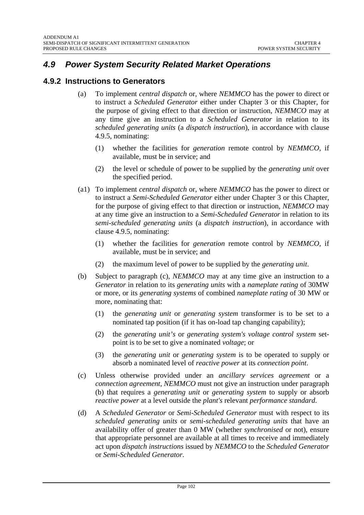# *4.9 Power System Security Related Market Operations*

### **4.9.2 Instructions to Generators**

- (a) To implement *central dispatch* or, where *NEMMCO* has the power to direct or to instruct a *Scheduled Generator* either under Chapter 3 or this Chapter, for the purpose of giving effect to that direction or instruction, *NEMMCO* may at any time give an instruction to a *Scheduled Generator* in relation to its *scheduled generating units* (a *dispatch instruction*), in accordance with clause 4.9.5, nominating:
	- (1) whether the facilities for *generation* remote control by *NEMMCO*, if available, must be in service; and
	- (2) the level or schedule of power to be supplied by the *generating unit* over the specified period.
- (a1) To implement *central dispatch* or, where *NEMMCO* has the power to direct or to instruct a *Semi-Scheduled Generator* either under Chapter 3 or this Chapter, for the purpose of giving effect to that direction or instruction, *NEMMCO* may at any time give an instruction to a *Semi-Scheduled Generator* in relation to its *semi-scheduled generating units* (a *dispatch instruction*), in accordance with clause 4.9.5, nominating:
	- (1) whether the facilities for *generation* remote control by *NEMMCO*, if available, must be in service; and
	- (2) the maximum level of power to be supplied by the *generating unit*.
- (b) Subject to paragraph (c), *NEMMCO* may at any time give an instruction to a *Generator* in relation to its *generating units* with a *nameplate rating* of 30MW or more*,* or its *generating systems* of combined *nameplate rating* of 30 MW or more, nominating that:
	- (1) the *generating unit* or *generating system* transformer is to be set to a nominated tap position (if it has on-load tap changing capability);
	- (2) the *generating unit's* or *generating system's voltage control system* setpoint is to be set to give a nominated *voltage*; or
	- (3) the *generating unit* or *generating system* is to be operated to supply or absorb a nominated level of *reactive power* at its *connection point*.
- (c) Unless otherwise provided under an *ancillary services agreement* or a *connection agreement, NEMMCO* must not give an instruction under paragraph (b) that requires a *generating unit* or *generating system* to supply or absorb *reactive power* at a level outside the *plant's* relevant *performance standard*.
- (d) A *Scheduled Generator* or *Semi-Scheduled Generator* must with respect to its *scheduled generating units* or *semi-scheduled generating units* that have an availability offer of greater than 0 MW (whether *synchronised* or not), ensure that appropriate personnel are available at all times to receive and immediately act upon *dispatch instructions* issued by *NEMMCO* to the *Scheduled Generator* or *Semi-Scheduled Generator*.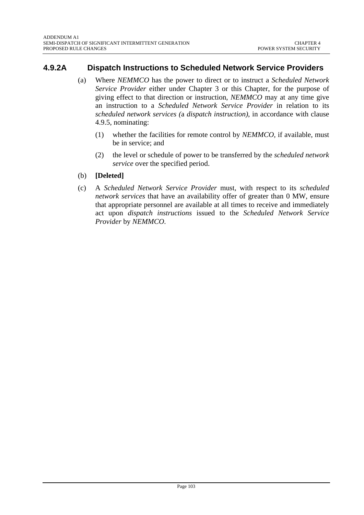# **4.9.2A Dispatch Instructions to Scheduled Network Service Providers**

- (a) Where *NEMMCO* has the power to direct or to instruct a *Scheduled Network Service Provider* either under Chapter 3 or this Chapter, for the purpose of giving effect to that direction or instruction, *NEMMCO* may at any time give an instruction to a *Scheduled Network Service Provider* in relation to its *scheduled network services (*a *dispatch instruction)*, in accordance with clause 4.9.5, nominating:
	- (1) whether the facilities for remote control by *NEMMCO,* if available, must be in service; and
	- (2) the level or schedule of power to be transferred by the *scheduled network service* over the specified period.
- (b) **[Deleted]**
- (c) A *Scheduled Network Service Provider* must, with respect to its *scheduled network services* that have an availability offer of greater than 0 MW, ensure that appropriate personnel are available at all times to receive and immediately act upon *dispatch instructions* issued to the *Scheduled Network Service Provider* by *NEMMCO*.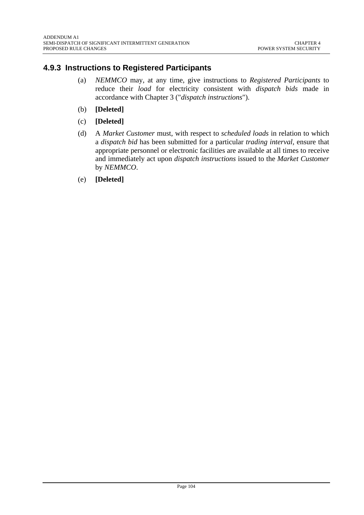# **4.9.3 Instructions to Registered Participants**

- (a) *NEMMCO* may, at any time, give instructions to *Registered Participants* to reduce their *load* for electricity consistent with *dispatch bids* made in accordance with Chapter 3 ("*dispatch instructions*").
- (b) **[Deleted]**
- (c) **[Deleted]**
- (d) A *Market Customer* must, with respect to *scheduled loads* in relation to which a *dispatch bid* has been submitted for a particular *trading interval*, ensure that appropriate personnel or electronic facilities are available at all times to receive and immediately act upon *dispatch instructions* issued to the *Market Customer* by *NEMMCO*.
- (e) **[Deleted]**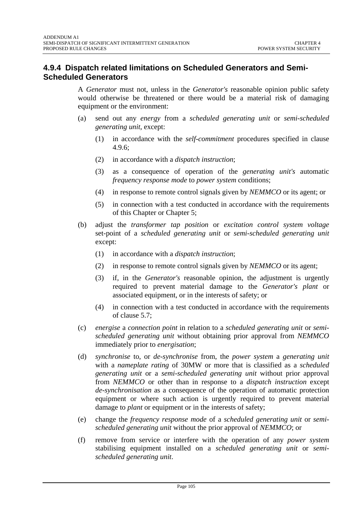## **4.9.4 Dispatch related limitations on Scheduled Generators and Semi-Scheduled Generators**

A *Generator* must not, unless in the *Generator's* reasonable opinion public safety would otherwise be threatened or there would be a material risk of damaging equipment or the environment:

- (a) send out any *energy* from a *scheduled generating unit* or *semi-scheduled generating unit*, except:
	- (1) in accordance with the *self-commitment* procedures specified in clause 4.9.6;
	- (2) in accordance with a *dispatch instruction*;
	- (3) as a consequence of operation of the *generating unit's* automatic *frequency response mode* to *power system* conditions;
	- (4) in response to remote control signals given by *NEMMCO* or its agent; or
	- (5) in connection with a test conducted in accordance with the requirements of this Chapter or Chapter 5;
- (b) adjust the *transformer tap position* or *excitation control system voltage* set-point of a *scheduled generating unit* or *semi-scheduled generating unit* except:
	- (1) in accordance with a *dispatch instruction*;
	- (2) in response to remote control signals given by *NEMMCO* or its agent;
	- (3) if, in the *Generator's* reasonable opinion, the adjustment is urgently required to prevent material damage to the *Generator's plant* or associated equipment, or in the interests of safety; or
	- (4) in connection with a test conducted in accordance with the requirements of clause 5.7;
- (c) *energise* a *connection point* in relation to a *scheduled generating unit* or *semischeduled generating unit* without obtaining prior approval from *NEMMCO*  immediately prior to *energisation*;
- (d) *synchronise* to, or *de-synchronise* from, the *power system* a *generating unit* with a *nameplate rating* of 30MW or more that is classified as a *scheduled generating unit* or a *semi-scheduled generating unit* without prior approval from *NEMMCO* or other than in response to a *dispatch instruction* except *de-synchronisation* as a consequence of the operation of automatic protection equipment or where such action is urgently required to prevent material damage to *plant* or equipment or in the interests of safety;
- (e) change the *frequency response mode* of a *scheduled generating unit* or *semischeduled generating unit* without the prior approval of *NEMMCO*; or
- (f) remove from service or interfere with the operation of any *power system* stabilising equipment installed on a *scheduled generating unit* or *semischeduled generating unit*.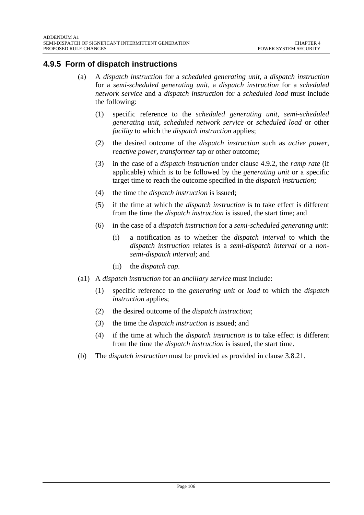# **4.9.5 Form of dispatch instructions**

- (a) A *dispatch instruction* for a *scheduled generating unit,* a *dispatch instruction* for a *semi-scheduled generating unit*, a *dispatch instruction* for a *scheduled network service* and a *dispatch instruction* for a *scheduled load* must include the following:
	- (1) specific reference to the *scheduled generating unit*, *semi-scheduled generating unit*, *scheduled network service* or *scheduled load* or other *facility* to which the *dispatch instruction* applies;
	- (2) the desired outcome of the *dispatch instruction* such as *active power*, *reactive power*, *transformer* tap or other outcome;
	- (3) in the case of a *dispatch instruction* under clause 4.9.2, the *ramp rate* (if applicable) which is to be followed by the *generating unit* or a specific target time to reach the outcome specified in the *dispatch instruction*;
	- (4) the time the *dispatch instruction* is issued;
	- (5) if the time at which the *dispatch instruction* is to take effect is different from the time the *dispatch instruction* is issued, the start time; and
	- (6) in the case of a *dispatch instruction* for a *semi-scheduled generating unit*:
		- (i) a notification as to whether the *dispatch interval* to which the *dispatch instruction* relates is a *semi-dispatch interval* or a *nonsemi-dispatch interval*; and
		- (ii) the *dispatch cap*.
- (a1) A *dispatch instruction* for an *ancillary service* must include:
	- (1) specific reference to the *generating unit* or *load* to which the *dispatch instruction* applies;
	- (2) the desired outcome of the *dispatch instruction*;
	- (3) the time the *dispatch instruction* is issued; and
	- (4) if the time at which the *dispatch instruction* is to take effect is different from the time the *dispatch instruction* is issued, the start time.
- (b) The *dispatch instruction* must be provided as provided in clause 3.8.21.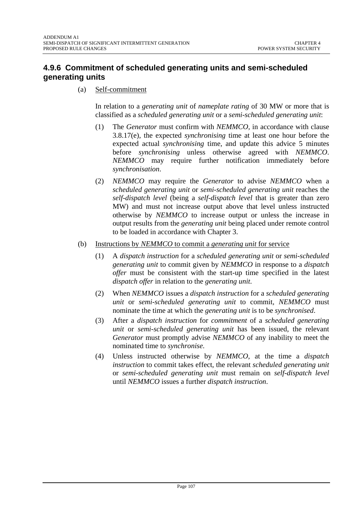# **4.9.6 Commitment of scheduled generating units and semi-scheduled generating units**

(a) Self-commitment

In relation to a *generating unit* of *nameplate rating* of 30 MW or more that is classified as a *scheduled generating unit* or a *semi-scheduled generating unit*:

- (1) The *Generator* must confirm with *NEMMCO,* in accordance with clause 3.8.17(e), the expected *synchronising* time at least one hour before the expected actual *synchronising* time, and update this advice 5 minutes before *synchronising* unless otherwise agreed with *NEMMCO*. *NEMMCO* may require further notification immediately before *synchronisation*.
- (2) *NEMMCO* may require the *Generator* to advise *NEMMCO* when a *scheduled generating unit* or *semi-scheduled generating unit* reaches the *self-dispatch level* (being a *self-dispatch level* that is greater than zero MW) and must not increase output above that level unless instructed otherwise by *NEMMCO* to increase output or unless the increase in output results from the *generating unit* being placed under remote control to be loaded in accordance with Chapter 3.
- (b) Instructions by *NEMMCO* to commit a *generating unit* for service
	- (1) A *dispatch instruction* for a *scheduled generating unit* or *semi-scheduled generating unit* to commit given by *NEMMCO* in response to a *dispatch offer* must be consistent with the start-up time specified in the latest *dispatch offer* in relation to the *generating unit*.
	- (2) When *NEMMCO* issues a *dispatch instruction* for a *scheduled generating unit* or *semi-scheduled generating unit* to commit, *NEMMCO* must nominate the time at which the *generating unit* is to be *synchronised*.
	- (3) After a *dispatch instruction* for *commitment* of a *scheduled generating unit* or *semi-scheduled generating unit* has been issued, the relevant *Generator* must promptly advise *NEMMCO* of any inability to meet the nominated time to *synchronise*.
	- (4) Unless instructed otherwise by *NEMMCO*, at the time a *dispatch instruction* to commit takes effect, the relevant *scheduled generating unit* or *semi-scheduled generating unit* must remain on *self-dispatch level* until *NEMMCO* issues a further *dispatch instruction*.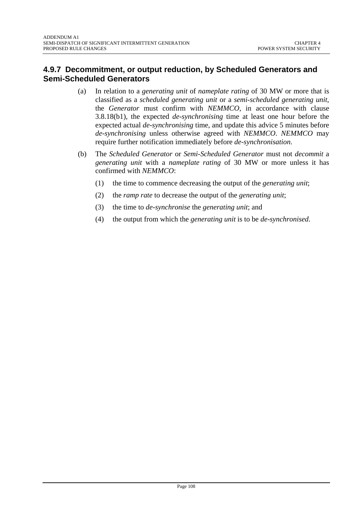# **4.9.7 Decommitment, or output reduction, by Scheduled Generators and Semi-Scheduled Generators**

- (a) In relation to a *generating unit* of *nameplate rating* of 30 MW or more that is classified as a *scheduled generating unit* or a *semi-scheduled generating unit*, the *Generator* must confirm with *NEMMCO*, in accordance with clause 3.8.18(b1), the expected *de-synchronising* time at least one hour before the expected actual *de-synchronising* time, and update this advice 5 minutes before *de-synchronising* unless otherwise agreed with *NEMMCO*. *NEMMCO* may require further notification immediately before *de-synchronisation*.
- (b) The *Scheduled Generator* or *Semi-Scheduled Generator* must not *decommit* a *generating unit* with a *nameplate rating* of 30 MW or more unless it has confirmed with *NEMMCO*:
	- (1) the time to commence decreasing the output of the *generating unit*;
	- (2) the *ramp rate* to decrease the output of the *generating unit*;
	- (3) the time to *de-synchronise* the *generating unit*; and
	- (4) the output from which the *generating unit* is to be *de-synchronised*.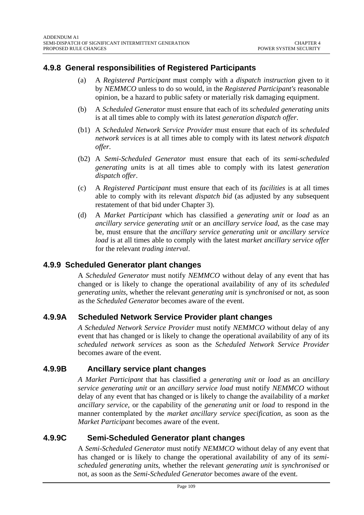## **4.9.8 General responsibilities of Registered Participants**

- (a) A *Registered Participant* must comply with a *dispatch instruction* given to it by *NEMMCO* unless to do so would, in the *Registered Participant's* reasonable opinion, be a hazard to public safety or materially risk damaging equipment.
- (b) A *Scheduled Generator* must ensure that each of its *scheduled generating units* is at all times able to comply with its latest *generation dispatch offer*.
- (b1) A *Scheduled Network Service Provider* must ensure that each of its *scheduled network services* is at all times able to comply with its latest *network dispatch offer.*
- (b2) A *Semi-Scheduled Generator* must ensure that each of its *semi-scheduled generating units* is at all times able to comply with its latest *generation dispatch offer*.
- (c) A *Registered Participant* must ensure that each of its *facilities* is at all times able to comply with its relevant *dispatch bid* (as adjusted by any subsequent restatement of that bid under Chapter 3).
- (d) A *Market Participant* which has classified a *generating unit* or *load* as an *ancillary service generating unit* or an *ancillary service load*, as the case may be, must ensure that the *ancillary service generating unit* or *ancillary service load* is at all times able to comply with the latest *market ancillary service offer* for the relevant *trading interval*.

### **4.9.9 Scheduled Generator plant changes**

A *Scheduled Generator* must notify *NEMMCO* without delay of any event that has changed or is likely to change the operational availability of any of its *scheduled generating units*, whether the relevant *generating unit* is *synchronised* or not, as soon as the *Scheduled Generator* becomes aware of the event.

### **4.9.9A Scheduled Network Service Provider plant changes**

*A Scheduled Network Service Provider* must notify *NEMMCO* without delay of any event that has changed or is likely to change the operational availability of any of its *scheduled network services* as soon as the *Scheduled Network Service Provider* becomes aware of the event.

### **4.9.9B Ancillary service plant changes**

*A Market Participant* that has classified a *generating unit* or *load* as an *ancillary service generating unit* or an *ancillary service load* must notify *NEMMCO* without delay of any event that has changed or is likely to change the availability of a *market ancillary service*, or the capability of the *generating unit* or *load* to respond in the manner contemplated by the *market ancillary service specification*, as soon as the *Market Participant* becomes aware of the event.

### **4.9.9C Semi-Scheduled Generator plant changes**

A *Semi-Scheduled Generator* must notify *NEMMCO* without delay of any event that has changed or is likely to change the operational availability of any of its *semischeduled generating units*, whether the relevant *generating unit* is *synchronised* or not, as soon as the *Semi-Scheduled Generator* becomes aware of the event.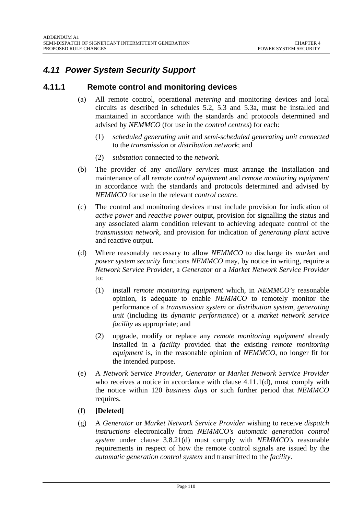## *4.11 Power System Security Support*

### **4.11.1 Remote control and monitoring devices**

- (a) All remote control, operational *metering* and monitoring devices and local circuits as described in schedules 5.2, 5.3 and 5.3a, must be installed and maintained in accordance with the standards and protocols determined and advised by *NEMMCO* (for use in the *control centres*) for each:
	- (1) *scheduled generating unit* and *semi-scheduled generating unit connected* to the *transmission* or *distribution network*; and
	- (2) *substation* connected to the *network.*
- (b) The provider of any *ancillary services* must arrange the installation and maintenance of all *remote control equipment* and *remote monitoring equipment* in accordance with the standards and protocols determined and advised by *NEMMCO* for use in the relevant *control centre*.
- (c) The control and monitoring devices must include provision for indication of *active power* and *reactive power* output, provision for signalling the status and any associated alarm condition relevant to achieving adequate control of the *transmission network*, and provision for indication of *generating plant* active and reactive output.
- (d) Where reasonably necessary to allow *NEMMCO* to discharge its *market* and *power system security* functions *NEMMCO* may, by notice in writing, require a *Network Service Provider*, a *Generator* or a *Market Network Service Provider* to:
	- (1) install *remote monitoring equipment* which, in *NEMMCO's* reasonable opinion, is adequate to enable *NEMMCO* to remotely monitor the performance of a *transmission system* or *distribution system*, *generating unit* (including its *dynamic performance*) or a *market network service facility* as appropriate; and
	- (2) upgrade, modify or replace any *remote monitoring equipment* already installed in a *facility* provided that the existing *remote monitoring equipment* is, in the reasonable opinion of *NEMMCO*, no longer fit for the intended purpose.
- (e) A *Network Service Provider*, *Generator* or *Market Network Service Provider*  who receives a notice in accordance with clause 4.11.1(d), must comply with the notice within 120 *business days* or such further period that *NEMMCO* requires.
- (f) **[Deleted]**
- (g) A *Generator* or *Market Network Service Provider* wishing to receive *dispatch instructions* electronically from *NEMMCO's automatic generation control system* under clause 3.8.21(d) must comply with *NEMMCO's* reasonable requirements in respect of how the remote control signals are issued by the *automatic generation control system* and transmitted to the *facility*.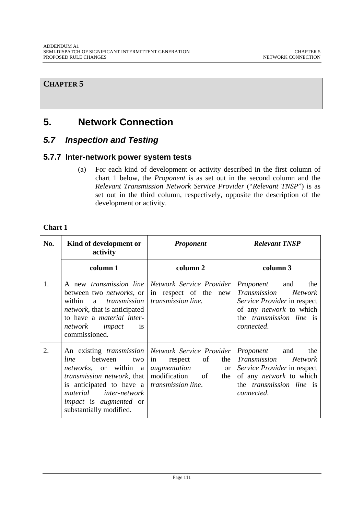# **5. Network Connection**

## *5.7 Inspection and Testing*

## **5.7.7 Inter-network power system tests**

(a) For each kind of development or activity described in the first column of chart 1 below, the *Proponent* is as set out in the second column and the *Relevant Transmission Network Service Provider* ("*Relevant TNSP*") is as set out in the third column, respectively, opposite the description of the development or activity.

### **Chart 1**

| No. | Kind of development or<br>activity                                                                                                                                                                                                                                                      | <b>Proponent</b>                                                                                               | <b>Relevant TNSP</b>                                                                                                                                                        |
|-----|-----------------------------------------------------------------------------------------------------------------------------------------------------------------------------------------------------------------------------------------------------------------------------------------|----------------------------------------------------------------------------------------------------------------|-----------------------------------------------------------------------------------------------------------------------------------------------------------------------------|
|     | column 1                                                                                                                                                                                                                                                                                | column 2                                                                                                       | column 3                                                                                                                                                                    |
| 1.  | between two <i>networks</i> , or<br>within<br>a<br><i>network</i> , that is anticipated<br>to have a <i>material</i> inter-<br>network impact<br><i>is</i><br>commissioned.                                                                                                             | A new transmission line Network Service Provider<br>in respect of the new<br>transmission   transmission line. | Proponent<br>and<br>the<br><i>Transmission</i><br><i>Network</i><br>Service Provider in respect<br>of any network to which<br>the <i>transmission</i> line is<br>connected. |
| 2.  | line<br>between<br>two<br><i>networks</i> , or within a <i>augmentation</i><br><i>transmission network</i> , that   modification of<br>is anticipated to have a <i>transmission line</i> .<br>material inter-network<br><i>impact</i> is <i>augmented</i> or<br>substantially modified. | An existing <i>transmission</i> Network Service Provider<br>in<br>of<br>the<br>respect<br><sub>or</sub><br>the | Proponent<br>and<br>the<br>Transmission<br><b>Network</b><br>Service Provider in respect<br>of any <i>network</i> to which<br>the <i>transmission</i> line is<br>connected. |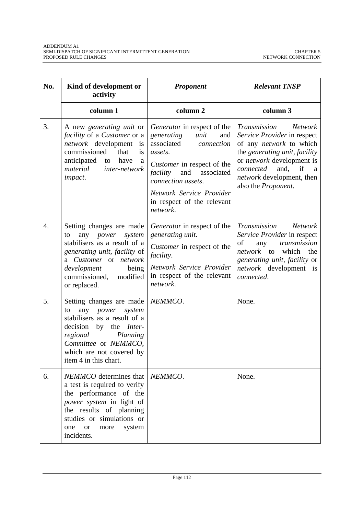| No. | Kind of development or<br>activity                                                                                                                                                                                              | Proponent                                                                                                                                                                                                                                                         | <b>Relevant TNSP</b>                                                                                                                                                                                                                                                    |
|-----|---------------------------------------------------------------------------------------------------------------------------------------------------------------------------------------------------------------------------------|-------------------------------------------------------------------------------------------------------------------------------------------------------------------------------------------------------------------------------------------------------------------|-------------------------------------------------------------------------------------------------------------------------------------------------------------------------------------------------------------------------------------------------------------------------|
|     | column 1                                                                                                                                                                                                                        | column <sub>2</sub>                                                                                                                                                                                                                                               | column 3                                                                                                                                                                                                                                                                |
| 3.  | A new <i>generating unit</i> or<br><i>facility</i> of a <i>Customer</i> or a<br>network development<br>is<br>commissioned<br>that<br>is<br>anticipated<br>have<br>to<br>a<br>material<br><i>inter-network</i><br><i>impact.</i> | <i>Generator</i> in respect of the<br>generating<br>unit<br>and<br>associated<br>connection<br>assets.<br>Customer in respect of the<br>and<br>facility<br>associated<br>connection assets.<br>Network Service Provider<br>in respect of the relevant<br>network. | Transmission<br><b>Network</b><br>Service Provider in respect<br>of any <i>network</i> to which<br>the generating unit, facility<br>or <i>network</i> development is<br>and, if<br>connected<br><sub>a</sub><br><i>network</i> development, then<br>also the Proponent. |
| 4.  | Setting changes are made<br>any <i>power</i><br>system<br>to<br>stabilisers as a result of a<br>generating unit, facility of<br>a Customer or network<br>development<br>being<br>commissioned,<br>modified<br>or replaced.      | Generator in respect of the<br>generating unit.<br>Customer in respect of the<br><i>facility.</i><br>Network Service Provider<br>in respect of the relevant<br>network.                                                                                           | Transmission<br><b>Network</b><br>Service Provider in respect<br>of<br>transmission<br>any<br>network to<br>which<br>the<br>generating unit, facility or<br>network development is<br>connected.                                                                        |
| 5.  | Setting changes are made<br>any power system<br>to<br>stabilisers as a result of a<br>decision by the <i>Inter-</i><br>regional<br>Planning<br>Committee or NEMMCO,<br>which are not covered by<br>item 4 in this chart.        | NEMMCO.                                                                                                                                                                                                                                                           | None.                                                                                                                                                                                                                                                                   |
| 6.  | <i>NEMMCO</i> determines that<br>a test is required to verify<br>the performance of the<br>power system in light of<br>the results of planning<br>studies or simulations or<br>system<br>one<br><b>or</b><br>more<br>incidents. | NEMMCO.                                                                                                                                                                                                                                                           | None.                                                                                                                                                                                                                                                                   |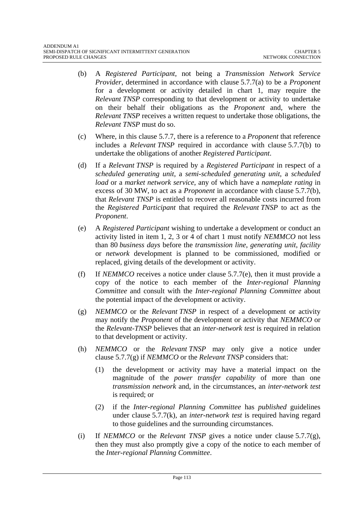- (b) A *Registered Participant*, not being a *Transmission Network Service Provider*, determined in accordance with clause 5.7.7(a) to be a *Proponent* for a development or activity detailed in chart 1, may require the *Relevant TNSP* corresponding to that development or activity to undertake on their behalf their obligations as the *Proponent* and, where the *Relevant TNSP* receives a written request to undertake those obligations, the *Relevant TNSP* must do so.
- (c) Where, in this clause 5.7.7, there is a reference to a *Proponent* that reference includes a *Relevant TNSP* required in accordance with clause 5.7.7(b) to undertake the obligations of another *Registered Participant*.
- (d) If a *Relevant TNSP* is required by a *Registered Participant* in respect of a *scheduled generating unit*, a *semi-scheduled generating unit*, a *scheduled load* or a *market network service*, any of which have a *nameplate rating* in excess of 30 MW, to act as a *Proponent* in accordance with clause 5.7.7(b), that *Relevant TNSP* is entitled to recover all reasonable costs incurred from the *Registered Participant* that required the *Relevant TNSP* to act as the *Proponent*.
- (e) A *Registered Participant* wishing to undertake a development or conduct an activity listed in item 1, 2, 3 or 4 of chart 1 must notify *NEMMCO* not less than 80 *business days* before the *transmission line*, *generating unit*, *facility* or *network* development is planned to be commissioned, modified or replaced, giving details of the development or activity.
- (f) If *NEMMCO* receives a notice under clause 5.7.7(e), then it must provide a copy of the notice to each member of the *Inter-regional Planning Committee* and consult with the *Inter-regional Planning Committee* about the potential impact of the development or activity.
- (g) *NEMMCO* or the *Relevant TNSP* in respect of a development or activity may notify the *Proponent* of the development or activity that *NEMMCO* or the *Relevant-TNSP* believes that an *inter-network test* is required in relation to that development or activity.
- (h) *NEMMCO* or the *Relevant TNSP* may only give a notice under clause 5.7.7(g) if *NEMMCO* or the *Relevant TNSP* considers that:
	- (1) the development or activity may have a material impact on the magnitude of the *power transfer capability* of more than one *transmission network* and, in the circumstances, an *inter-network test* is required; or
	- (2) if the *Inter-regional Planning Committee* has *published* guidelines under clause 5.7.7(k), an *inter-network test* is required having regard to those guidelines and the surrounding circumstances.
- (i) If *NEMMCO* or the *Relevant TNSP* gives a notice under clause 5.7.7(g), then they must also promptly give a copy of the notice to each member of the *Inter-regional Planning Committee*.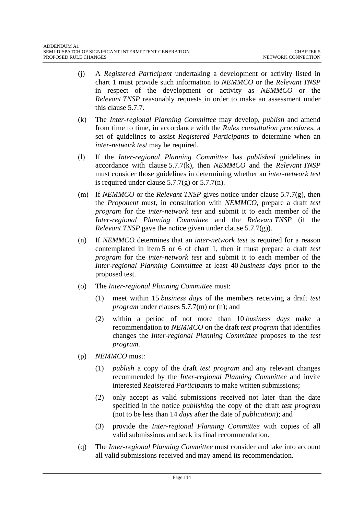- (j) A *Registered Participant* undertaking a development or activity listed in chart 1 must provide such information to *NEMMCO* or the *Relevant TNSP* in respect of the development or activity as *NEMMCO* or the *Relevant TNSP* reasonably requests in order to make an assessment under this clause 5.7.7.
- (k) The *Inter-regional Planning Committee* may develop, *publish* and amend from time to time, in accordance with the *Rules consultation procedures*, a set of guidelines to assist *Registered Participants* to determine when an *inter-network test* may be required.
- (l) If the *Inter-regional Planning Committee* has *published* guidelines in accordance with clause 5.7.7(k), then *NEMMCO* and the *Relevant TNSP* must consider those guidelines in determining whether an *inter-network test* is required under clause  $5.7.7(g)$  or  $5.7.7(n)$ .
- (m) If *NEMMCO* or the *Relevant TNSP* gives notice under clause 5.7.7(g), then the *Proponent* must, in consultation with *NEMMCO*, prepare a draft *test program* for the *inter-network test* and submit it to each member of the *Inter-regional Planning Committee* and the *Relevant TNSP* (if the *Relevant TNSP* gave the notice given under clause 5.7.7(g)).
- (n) If *NEMMCO* determines that an *inter-network test* is required for a reason contemplated in item 5 or 6 of chart 1, then it must prepare a draft *test program* for the *inter-network test* and submit it to each member of the *Inter-regional Planning Committee* at least 40 *business days* prior to the proposed test.
- (o) The *Inter-regional Planning Committee* must:
	- (1) meet within 15 *business days* of the members receiving a draft *test program* under clauses 5.7.7(m) or (n); and
	- (2) within a period of not more than 10 *business days* make a recommendation to *NEMMCO* on the draft *test program* that identifies changes the *Inter-regional Planning Committee* proposes to the *test program*.
- (p) *NEMMCO* must:
	- (1) *publish* a copy of the draft *test program* and any relevant changes recommended by the *Inter-regional Planning Committee* and invite interested *Registered Participants* to make written submissions;
	- (2) only accept as valid submissions received not later than the date specified in the notice *publishing* the copy of the draft *test program* (not to be less than 14 *days* after the date of *publication*); and
	- (3) provide the *Inter-regional Planning Committee* with copies of all valid submissions and seek its final recommendation.
- (q) The *Inter-regional Planning Committee* must consider and take into account all valid submissions received and may amend its recommendation.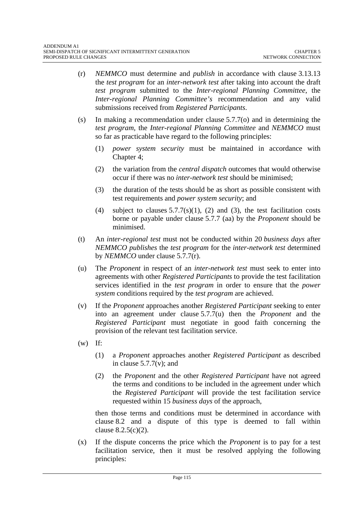- (r) *NEMMCO* must determine and *publish* in accordance with clause 3.13.13 the *test program* for an *inter-network test* after taking into account the draft *test program* submitted to the *Inter-regional Planning Committee*, the *Inter-regional Planning Committee's* recommendation and any valid submissions received from *Registered Participants*.
- (s) In making a recommendation under clause  $5.7.7(0)$  and in determining the *test program*, the *Inter-regional Planning Committee* and *NEMMCO* must so far as practicable have regard to the following principles:
	- (1) *power system security* must be maintained in accordance with Chapter 4;
	- (2) the variation from the *central dispatch* outcomes that would otherwise occur if there was no *inter-network test* should be minimised;
	- (3) the duration of the tests should be as short as possible consistent with test requirements and *power system security*; and
	- (4) subject to clauses  $5.7.7(s)(1)$ , (2) and (3), the test facilitation costs borne or payable under clause 5.7.7 (aa) by the *Proponent* should be minimised.
- (t) An *inter-regional test* must not be conducted within 20 *business days* after *NEMMCO publishes* the *test program* for the *inter-network test* determined by *NEMMCO* under clause 5.7.7(r).
- (u) The *Proponent* in respect of an *inter-network test* must seek to enter into agreements with other *Registered Participants* to provide the test facilitation services identified in the *test program* in order to ensure that the *power system* conditions required by the *test program* are achieved.
- (v) If the *Proponent* approaches another *Registered Participant* seeking to enter into an agreement under clause 5.7.7(u) then the *Proponent* and the *Registered Participant* must negotiate in good faith concerning the provision of the relevant test facilitation service.
- $(w)$  If:
	- (1) a *Proponent* approaches another *Registered Participant* as described in clause  $5.7.7(v)$ ; and
	- (2) the *Proponent* and the other *Registered Participant* have not agreed the terms and conditions to be included in the agreement under which the *Registered Participant* will provide the test facilitation service requested within 15 *business days* of the approach,

then those terms and conditions must be determined in accordance with clause 8.2 and a dispute of this type is deemed to fall within clause 8.2.5(c)(2).

(x) If the dispute concerns the price which the *Proponent* is to pay for a test facilitation service, then it must be resolved applying the following principles: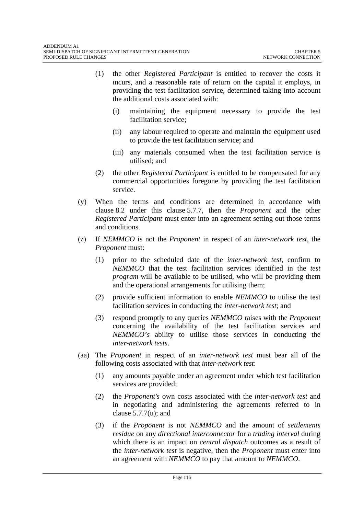- (1) the other *Registered Participant* is entitled to recover the costs it incurs, and a reasonable rate of return on the capital it employs, in providing the test facilitation service, determined taking into account the additional costs associated with:
	- (i) maintaining the equipment necessary to provide the test facilitation service;
	- (ii) any labour required to operate and maintain the equipment used to provide the test facilitation service; and
	- (iii) any materials consumed when the test facilitation service is utilised; and
- (2) the other *Registered Participant* is entitled to be compensated for any commercial opportunities foregone by providing the test facilitation service.
- (y) When the terms and conditions are determined in accordance with clause 8.2 under this clause 5.7.7, then the *Proponent* and the other *Registered Participant* must enter into an agreement setting out those terms and conditions.
- (z) If *NEMMCO* is not the *Proponent* in respect of an *inter-network test*, the *Proponent* must:
	- (1) prior to the scheduled date of the *inter-network test*, confirm to *NEMMCO* that the test facilitation services identified in the *test program* will be available to be utilised, who will be providing them and the operational arrangements for utilising them;
	- (2) provide sufficient information to enable *NEMMCO* to utilise the test facilitation services in conducting the *inter-network test*; and
	- (3) respond promptly to any queries *NEMMCO* raises with the *Proponent* concerning the availability of the test facilitation services and *NEMMCO's* ability to utilise those services in conducting the *inter-network tests*.
- (aa) The *Proponent* in respect of an *inter-network test* must bear all of the following costs associated with that *inter-network test*:
	- (1) any amounts payable under an agreement under which test facilitation services are provided;
	- (2) the *Proponent's* own costs associated with the *inter-network test* and in negotiating and administering the agreements referred to in clause  $5.7.7(u)$ ; and
	- (3) if the *Proponent* is not *NEMMCO* and the amount of *settlements residue* on any *directional interconnector* for a *trading interval* during which there is an impact on *central dispatch* outcomes as a result of the *inter-network test* is negative, then the *Proponent* must enter into an agreement with *NEMMCO* to pay that amount to *NEMMCO*.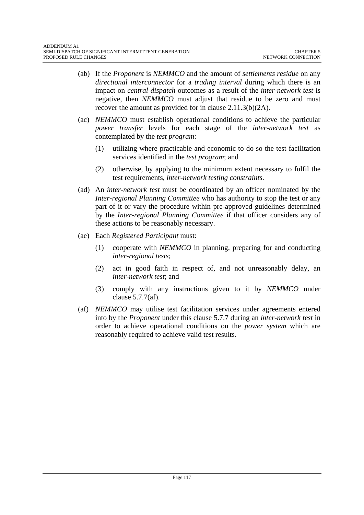- (ab) If the *Proponent* is *NEMMCO* and the amount of *settlements residue* on any *directional interconnector* for a *trading interval* during which there is an impact on *central dispatch* outcomes as a result of the *inter-network test* is negative, then *NEMMCO* must adjust that residue to be zero and must recover the amount as provided for in clause 2.11.3(b)(2A).
- (ac) *NEMMCO* must establish operational conditions to achieve the particular *power transfer* levels for each stage of the *inter-network test* as contemplated by the *test program*:
	- (1) utilizing where practicable and economic to do so the test facilitation services identified in the *test program*; and
	- (2) otherwise, by applying to the minimum extent necessary to fulfil the test requirements, *inter-network testing constraints*.
- (ad) An *inter-network test* must be coordinated by an officer nominated by the *Inter-regional Planning Committee* who has authority to stop the test or any part of it or vary the procedure within pre-approved guidelines determined by the *Inter-regional Planning Committee* if that officer considers any of these actions to be reasonably necessary.
- (ae) Each *Registered Participant* must:
	- (1) cooperate with *NEMMCO* in planning, preparing for and conducting *inter-regional tests*;
	- (2) act in good faith in respect of, and not unreasonably delay, an *inter-network test*; and
	- (3) comply with any instructions given to it by *NEMMCO* under clause 5.7.7(af).
- (af) *NEMMCO* may utilise test facilitation services under agreements entered into by the *Proponent* under this clause 5.7.7 during an *inter-network test* in order to achieve operational conditions on the *power system* which are reasonably required to achieve valid test results.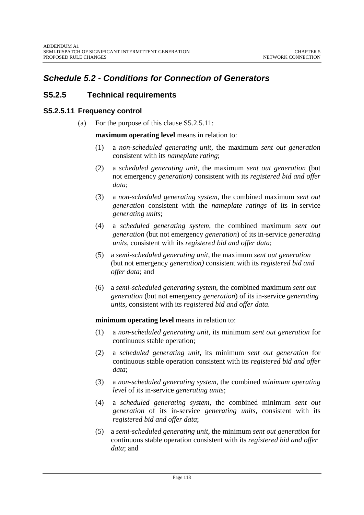## *Schedule 5.2 - Conditions for Connection of Generators*

## **S5.2.5 Technical requirements**

### **S5.2.5.11 Frequency control**

(a) For the purpose of this clause S5.2.5.11:

**maximum operating level** means in relation to:

- (1) a *non-scheduled generating unit*, the maximum *sent out generation*  consistent with its *nameplate rating*;
- (2) a *scheduled generating unit*, the maximum *sent out generation* (but not emergency *generation)* consistent with its *registered bid and offer data*;
- (3) a *non-scheduled generating system*, the combined maximum *sent out generation* consistent with the *nameplate ratings* of its in-service *generating units*;
- (4) a *scheduled generating system*, the combined maximum *sent out generation* (but not emergency *generation*) of its in-service *generating units*, consistent with its *registered bid and offer data*;
- (5) a *semi-scheduled generating unit*, the maximum *sent out generation* (but not emergency *generation)* consistent with its *registered bid and offer data*; and
- (6) a *semi-scheduled generating system*, the combined maximum *sent out generation* (but not emergency *generation*) of its in-service *generating units,* consistent with its *registered bid and offer data*.

### **minimum operating level** means in relation to:

- (1) a *non-scheduled generating unit*, its minimum *sent out generation* for continuous stable operation;
- (2) a *scheduled generating unit*, its minimum *sent out generation* for continuous stable operation consistent with its *registered bid and offer data*;
- (3) a *non-scheduled generating system*, the combined *minimum operating level* of its in-service *generating units*;
- (4) a *scheduled generating system*, the combined minimum *sent out generation* of its in-service *generating units*, consistent with its *registered bid and offer data*;
- (5) a *semi-scheduled generating unit*, the minimum *sent out generation* for continuous stable operation consistent with its *registered bid and offer data*; and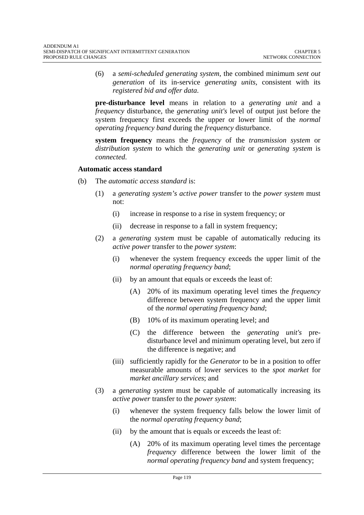(6) a *semi-scheduled generating system*, the combined minimum *sent out generation* of its in-service *generating units,* consistent with its *registered bid and offer data*.

**pre-disturbance level** means in relation to a *generating unit* and a *frequency* disturbance, the *generating unit's* level of output just before the system frequency first exceeds the upper or lower limit of the *normal operating frequency band* during the *frequency* disturbance.

**system frequency** means the *frequency* of the *transmission system* or *distribution system* to which the *generating unit* or *generating system* is *connected*.

#### **Automatic access standard**

- (b) The *automatic access standard* is:
	- (1) a *generating system's active power* transfer to the *power system* must not:
		- (i) increase in response to a rise in system frequency; or
		- (ii) decrease in response to a fall in system frequency;
	- (2) a *generating system* must be capable of automatically reducing its *active power* transfer to the *power system*:
		- (i) whenever the system frequency exceeds the upper limit of the *normal operating frequency band*;
		- (ii) by an amount that equals or exceeds the least of:
			- (A) 20% of its maximum operating level times the *frequency*  difference between system frequency and the upper limit of the *normal operating frequency band*;
			- (B) 10% of its maximum operating level; and
			- (C) the difference between the *generating unit's* predisturbance level and minimum operating level, but zero if the difference is negative; and
		- (iii) sufficiently rapidly for the *Generator* to be in a position to offer measurable amounts of lower services to the *spot market* for *market ancillary services*; and
	- (3) a *generating system* must be capable of automatically increasing its *active power* transfer to the *power system*:
		- (i) whenever the system frequency falls below the lower limit of the *normal operating frequency band*;
		- (ii) by the amount that is equals or exceeds the least of:
			- (A) 20% of its maximum operating level times the percentage *frequency* difference between the lower limit of the *normal operating frequency band* and system frequency;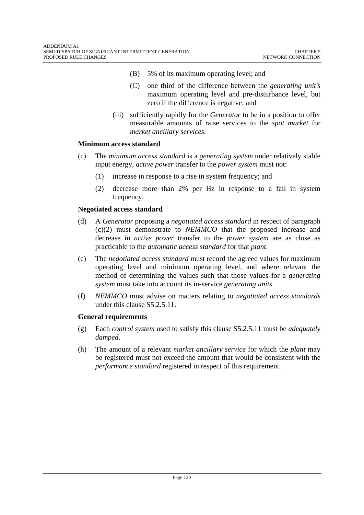- (B) 5% of its maximum operating level; and
- (C) one third of the difference between the *generating unit's*  maximum operating level and pre-disturbance level, but zero if the difference is negative; and
- (iii) sufficiently rapidly for the *Generator* to be in a position to offer measurable amounts of raise services to the *spot market* for *market ancillary services*.

#### **Minimum access standard**

- (c) The *minimum access standard* is a *generating system* under relatively stable input energy, *active power* transfer to the *power system* must not:
	- (1) increase in response to a rise in system frequency; and
	- (2) decrease more than 2% per Hz in response to a fall in system frequency.

#### **Negotiated access standard**

- (d) A *Generator* proposing a *negotiated access standard* in respect of paragraph (c)(2) must demonstrate to *NEMMCO* that the proposed increase and decrease in *active power* transfer to the *power system* are as close as practicable to the *automatic access standard* for that *plant*.
- (e) The *negotiated access standard* must record the agreed values for maximum operating level and minimum operating level, and where relevant the method of determining the values such that those values for a *generating system* must take into account its in-service *generating units*.
- (f) *NEMMCO* must advise on matters relating to *negotiated access standards*  under this clause S5.2.5.11.

### **General requirements**

- (g) Each *control system* used to satisfy this clause S5.2.5.11 must be *adequately damped*.
- (h) The amount of a relevant *market ancillary service* for which the *plant* may be registered must not exceed the amount that would be consistent with the *performance standard* registered in respect of this requirement.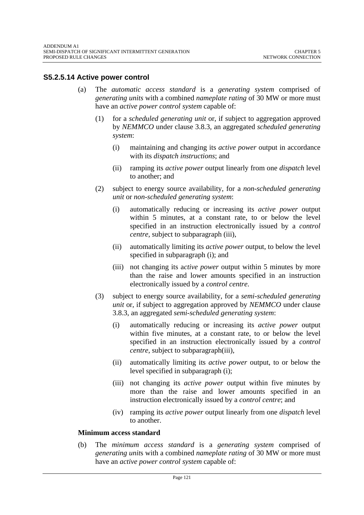### **S5.2.5.14 Active power control**

- (a) The *automatic access standard* is a *generating system* comprised of *generating units* with a combined *nameplate rating* of 30 MW or more must have an *active power control system* capable of:
	- (1) for a *scheduled generating unit* or, if subject to aggregation approved by *NEMMCO* under clause 3.8.3, an aggregated *scheduled generating system*:
		- (i) maintaining and changing its *active power* output in accordance with its *dispatch instructions*; and
		- (ii) ramping its *active power* output linearly from one *dispatch* level to another; and
	- (2) subject to energy source availability, for a *non-scheduled generating unit* or *non-scheduled generating system*:
		- (i) automatically reducing or increasing its *active power* output within 5 minutes, at a constant rate, to or below the level specified in an instruction electronically issued by a *control centre*, subject to subparagraph (iii),
		- (ii) automatically limiting its *active power* output, to below the level specified in subparagraph (i); and
		- (iii) not changing its a*ctive power* output within 5 minutes by more than the raise and lower amounts specified in an instruction electronically issued by a *control centre*.
	- (3) subject to energy source availability, for a *semi-scheduled generating unit* or, if subject to aggregation approved by *NEMMCO* under clause 3.8.3, an aggregated *semi-scheduled generating system*:
		- (i) automatically reducing or increasing its *active power* output within five minutes, at a constant rate, to or below the level specified in an instruction electronically issued by a *control centre*, subject to subparagraph(iii),
		- (ii) automatically limiting its *active power* output, to or below the level specified in subparagraph (i);
		- (iii) not changing its *active power* output within five minutes by more than the raise and lower amounts specified in an instruction electronically issued by a *control centre*; and
		- (iv) ramping its *active power* output linearly from one *dispatch* level to another.

#### **Minimum access standard**

(b) The *minimum access standard* is a *generating system* comprised of *generating unit*s with a combined *nameplate rating* of 30 MW or more must have an *active power control system* capable of: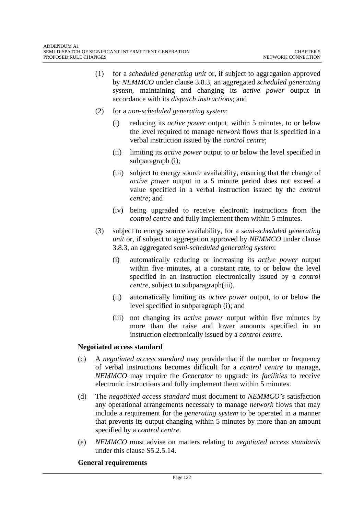- (1) for a *scheduled generating unit* or, if subject to aggregation approved by *NEMMCO* under clause 3.8.3, an aggregated *scheduled generating system,* maintaining and changing its *active power* output in accordance with its *dispatch instructions*; and
- (2) for a *non-scheduled generating system*:
	- (i) reducing its *active power* output, within 5 minutes, to or below the level required to manage *network* flows that is specified in a verbal instruction issued by the *control centre*;
	- (ii) limiting its *active power* output to or below the level specified in subparagraph (i);
	- (iii) subject to energy source availability, ensuring that the change of *active power* output in a 5 minute period does not exceed a value specified in a verbal instruction issued by the *control centre*; and
	- (iv) being upgraded to receive electronic instructions from the *control centre* and fully implement them within 5 minutes.
- (3) subject to energy source availability, for a *semi-scheduled generating unit* or, if subject to aggregation approved by *NEMMCO* under clause 3.8.3, an aggregated *semi-scheduled generating system*:
	- (i) automatically reducing or increasing its *active power* output within five minutes, at a constant rate, to or below the level specified in an instruction electronically issued by a *control centre*, subject to subparagraph(iii),
	- (ii) automatically limiting its *active power* output, to or below the level specified in subparagraph (i); and
	- (iii) not changing its *active power* output within five minutes by more than the raise and lower amounts specified in an instruction electronically issued by a *control centre*.

#### **Negotiated access standard**

- (c) A *negotiated access standard* may provide that if the number or frequency of verbal instructions becomes difficult for a *control centre* to manage, *NEMMCO* may require the *Generator* to upgrade its *facilities* to receive electronic instructions and fully implement them within 5 minutes.
- (d) The *negotiated access standard* must document to *NEMMCO's* satisfaction any operational arrangements necessary to manage *network* flows that may include a requirement for the *generating system* to be operated in a manner that prevents its output changing within 5 minutes by more than an amount specified by a *control centre*.
- (e) *NEMMCO* must advise on matters relating to *negotiated access standards*  under this clause S5.2.5.14.

#### **General requirements**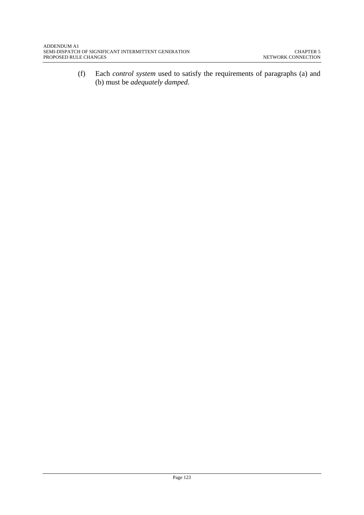(f) Each *control system* used to satisfy the requirements of paragraphs (a) and (b) must be *adequately damped*.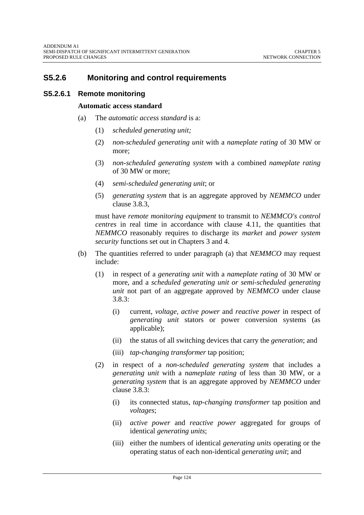## **S5.2.6 Monitoring and control requirements**

### **S5.2.6.1 Remote monitoring**

#### **Automatic access standard**

- (a) The *automatic access standard* is a:
	- (1) *scheduled generating unit;*
	- (2) *non-scheduled generating unit* with a *nameplate rating* of 30 MW or more;
	- (3) *non-scheduled generating system* with a combined *nameplate rating*  of 30 MW or more;
	- (4) *semi-scheduled generating unit*; or
	- (5) *generating system* that is an aggregate approved by *NEMMCO* under clause 3.8.3*,*

must have *remote monitoring equipment* to transmit to *NEMMCO's control centres* in real time in accordance with clause 4.11, the quantities that *NEMMCO* reasonably requires to discharge its *market* and *power system security* functions set out in Chapters 3 and 4.

- (b) The quantities referred to under paragraph (a) that *NEMMCO* may request include:
	- (1) in respect of a *generating unit* with a *nameplate rating* of 30 MW or more, and a *scheduled generating unit or semi-scheduled generating unit* not part of an aggregate approved by *NEMMCO* under clause 3.8.3:
		- (i) current, *voltage*, *active power* and *reactive power* in respect of *generating unit* stators or power conversion systems (as applicable);
		- (ii) the status of all switching devices that carry the *generation*; and
		- (iii) *tap-changing transformer* tap position;
	- (2) in respect of a *non-scheduled generating system* that includes a *generating unit* with a *nameplate rating* of less than 30 MW, or a *generating system* that is an aggregate approved by *NEMMCO* under clause 3.8.3:
		- (i) its connected status, *tap-changing transformer* tap position and *voltages*;
		- (ii) *active power* and *reactive power* aggregated for groups of identical *generating units*;
		- (iii) either the numbers of identical *generating units* operating or the operating status of each non-identical *generating unit*; and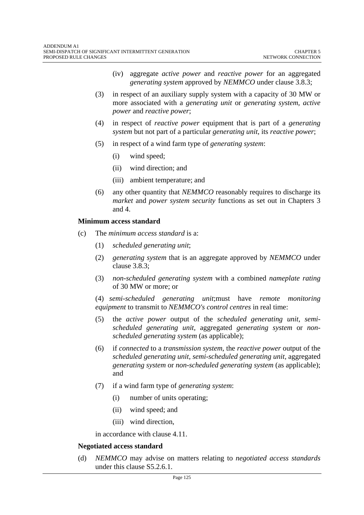- (iv) aggregate *active power* and *reactive power* for an aggregated *generating system* approved by *NEMMCO* under clause 3.8.3;
- (3) in respect of an auxiliary supply system with a capacity of 30 MW or more associated with a *generating unit* or *generating system*, *active power* and *reactive power*;
- (4) in respect of *reactive power* equipment that is part of a *generating system* but not part of a particular *generating unit*, its *reactive power*;
- (5) in respect of a wind farm type of *generating system*:
	- (i) wind speed;
	- (ii) wind direction; and
	- (iii) ambient temperature; and
- (6) any other quantity that *NEMMCO* reasonably requires to discharge its *market* and *power system security* functions as set out in Chapters 3 and 4.

#### **Minimum access standard**

- (c) The *minimum access standard* is a:
	- (1) *scheduled generating unit*;
	- (2) *generating system* that is an aggregate approved by *NEMMCO* under clause 3.8.3;
	- (3) *non-scheduled generating system* with a combined *nameplate rating*  of 30 MW or more; or

(4) *semi-scheduled generating unit*;must have *remote monitoring equipment* to transmit to *NEMMCO's control centres* in real time:

- (5) the *active power* output of the *scheduled generating unit*, *semischeduled generating unit,* aggregated *generating system* or *nonscheduled generating system* (as applicable);
- (6) if *connected* to a *transmission system*, the *reactive power* output of the *scheduled generating unit*, *semi-scheduled generating unit,* aggregated *generating system* or *non-scheduled generating system* (as applicable); and
- (7) if a wind farm type of *generating system*:
	- (i) number of units operating;
	- (ii) wind speed; and
	- (iii) wind direction,

in accordance with clause 4.11.

#### **Negotiated access standard**

(d) *NEMMCO* may advise on matters relating to *negotiated access standards*  under this clause S5.2.6.1.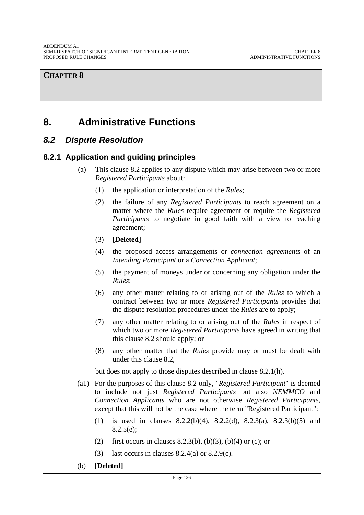# **8. Administrative Functions**

## *8.2 Dispute Resolution*

## **8.2.1 Application and guiding principles**

- (a) This clause 8.2 applies to any dispute which may arise between two or more *Registered Participants* about:
	- (1) the application or interpretation of the *Rules*;
	- (2) the failure of any *Registered Participants* to reach agreement on a matter where the *Rules* require agreement or require the *Registered Participants* to negotiate in good faith with a view to reaching agreement;
	- (3) **[Deleted]**
	- (4) the proposed access arrangements or *connection agreements* of an *Intending Participant* or a *Connection Applicant*;
	- (5) the payment of moneys under or concerning any obligation under the *Rules*;
	- (6) any other matter relating to or arising out of the *Rules* to which a contract between two or more *Registered Participants* provides that the dispute resolution procedures under the *Rules* are to apply;
	- (7) any other matter relating to or arising out of the *Rules* in respect of which two or more *Registered Participants* have agreed in writing that this clause 8.2 should apply; or
	- (8) any other matter that the *Rules* provide may or must be dealt with under this clause 8.2,

but does not apply to those disputes described in clause 8.2.1(h).

- (a1) For the purposes of this clause 8.2 only, "*Registered Participant*" is deemed to include not just *Registered Participants* but also *NEMMCO* and *Connection Applicants* who are not otherwise *Registered Participants*, except that this will not be the case where the term "Registered Participant":
	- (1) is used in clauses 8.2.2(b)(4), 8.2.2(d), 8.2.3(a), 8.2.3(b)(5) and 8.2.5(e);
	- (2) first occurs in clauses 8.2.3(b), (b)(3), (b)(4) or (c); or
	- (3) last occurs in clauses  $8.2.4(a)$  or  $8.2.9(c)$ .
- (b) **[Deleted]**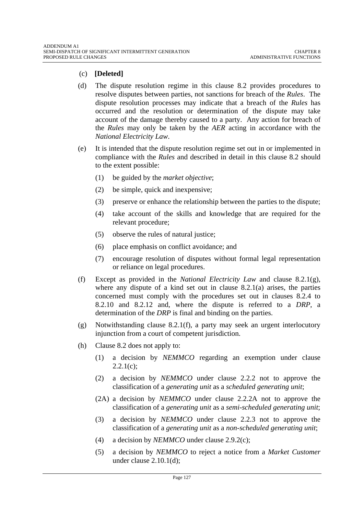### (c) **[Deleted]**

- (d) The dispute resolution regime in this clause 8.2 provides procedures to resolve disputes between parties, not sanctions for breach of the *Rules*. The dispute resolution processes may indicate that a breach of the *Rules* has occurred and the resolution or determination of the dispute may take account of the damage thereby caused to a party. Any action for breach of the *Rules* may only be taken by the *AER* acting in accordance with the *National Electricity Law*.
- (e) It is intended that the dispute resolution regime set out in or implemented in compliance with the *Rules* and described in detail in this clause 8.2 should to the extent possible:
	- (1) be guided by the *market objective*;
	- (2) be simple, quick and inexpensive;
	- (3) preserve or enhance the relationship between the parties to the dispute;
	- (4) take account of the skills and knowledge that are required for the relevant procedure;
	- (5) observe the rules of natural justice;
	- (6) place emphasis on conflict avoidance; and
	- (7) encourage resolution of disputes without formal legal representation or reliance on legal procedures.
- (f) Except as provided in the *National Electricity Law* and clause 8.2.1(g), where any dispute of a kind set out in clause  $8.2.1(a)$  arises, the parties concerned must comply with the procedures set out in clauses 8.2.4 to 8.2.10 and 8.2.12 and, where the dispute is referred to a *DRP*, a determination of the *DRP* is final and binding on the parties.
- (g) Notwithstanding clause 8.2.1(f), a party may seek an urgent interlocutory injunction from a court of competent jurisdiction.
- (h) Clause 8.2 does not apply to:
	- (1) a decision by *NEMMCO* regarding an exemption under clause  $2.2.1(c);$
	- (2) a decision by *NEMMCO* under clause 2.2.2 not to approve the classification of a *generating unit* as a *scheduled generating unit*;
	- (2A) a decision by *NEMMCO* under clause 2.2.2A not to approve the classification of a *generating unit* as a *semi-scheduled generating unit*;
	- (3) a decision by *NEMMCO* under clause 2.2.3 not to approve the classification of a *generating unit* as a *non-scheduled generating unit*;
	- (4) a decision by *NEMMCO* under clause 2.9.2(c);
	- (5) a decision by *NEMMCO* to reject a notice from a *Market Customer* under clause 2.10.1(d);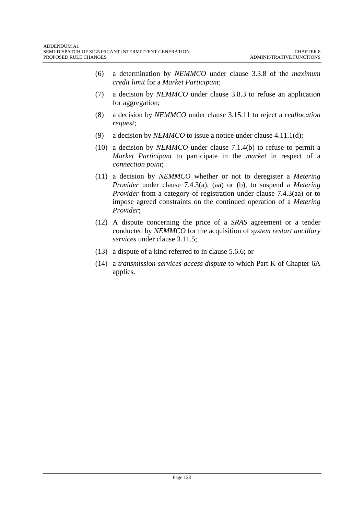- (6) a determination by *NEMMCO* under clause 3.3.8 of the *maximum credit limit* for a *Market Participant*;
- (7) a decision by *NEMMCO* under clause 3.8.3 to refuse an application for aggregation;
- (8) a decision by *NEMMCO* under clause 3.15.11 to reject a *reallocation request*;
- (9) a decision by *NEMMCO* to issue a notice under clause 4.11.1(d);
- (10) a decision by *NEMMCO* under clause 7.1.4(b) to refuse to permit a *Market Participant* to participate in the *market* in respect of a *connection point*;
- (11) a decision by *NEMMCO* whether or not to deregister a *Metering Provider* under clause 7.4.3(a), (aa) or (b), to suspend a *Metering Provider* from a category of registration under clause 7.4.3(aa) or to impose agreed constraints on the continued operation of a *Metering Provider*;
- (12) A dispute concerning the price of a *SRAS* agreement or a tender conducted by *NEMMCO* for the acquisition of *system restart ancillary services* under clause 3.11.5;
- (13) a dispute of a kind referred to in clause 5.6.6; or
- (14) a *transmission services access dispute* to which Part K of Chapter 6A applies.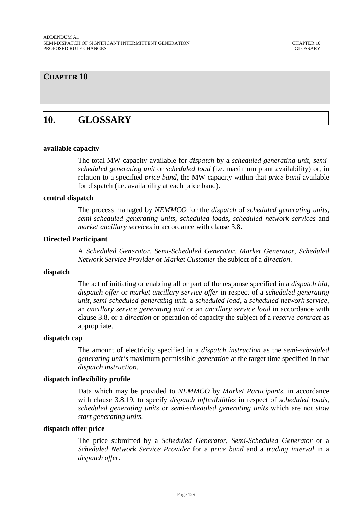# **10. GLOSSARY**

#### **available capacity**

The total MW capacity available for *dispatch* by a *scheduled generating unit*, *semischeduled generating unit* or *scheduled load* (i.e. maximum plant availability) or, in relation to a specified *price band*, the MW capacity within that *price band* available for dispatch (i.e. availability at each price band).

#### **central dispatch**

The process managed by *NEMMCO* for the *dispatch* of *scheduled generating units, semi-scheduled generating units, scheduled loads, scheduled network services* and *market ancillary services* in accordance with clause 3.8.

#### **Directed Participant**

A *Scheduled Generator*, *Semi-Scheduled Generator, Market Generator*, *Scheduled Network Service Provider* or *Market Customer* the subject of a *direction*.

#### **dispatch**

The act of initiating or enabling all or part of the response specified in a *dispatch bid*, *dispatch offer* or *market ancillary service offer* in respect of a *scheduled generating unit, semi-scheduled generating unit,* a *scheduled load,* a *scheduled network service*, an *ancillary service generating unit* or an *ancillary service load* in accordance with clause 3.8, or a *direction* or operation of capacity the subject of a *reserve contract* as appropriate.

#### **dispatch cap**

The amount of electricity specified in a *dispatch instruction* as the *semi-scheduled generating unit's* maximum permissible *generation* at the target time specified in that *dispatch instruction*.

#### **dispatch inflexibility profile**

Data which may be provided to *NEMMCO* by *Market Participants,* in accordance with clause 3.8.19, to specify *dispatch inflexibilities* in respect of *scheduled loads, scheduled generating units* or *semi-scheduled generating units* which are not *slow start generating units*.

#### **dispatch offer price**

The price submitted by a *Scheduled Generator*, *Semi-Scheduled Generator* or a *Scheduled Network Service Provider* for a *price band* and a *trading interval* in a *dispatch offer*.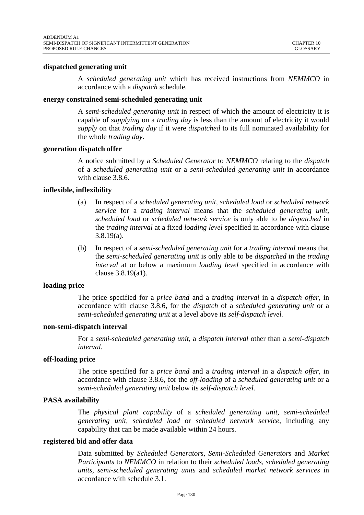#### **dispatched generating unit**

A *scheduled generating unit* which has received instructions from *NEMMCO* in accordance with a *dispatch* schedule.

#### **energy constrained semi-scheduled generating unit**

A *semi-scheduled generating unit* in respect of which the amount of electricity it is capable of *supplying* on a *trading day* is less than the amount of electricity it would *supply* on that *trading day* if it were *dispatched* to its full nominated availability for the whole *trading day*.

#### **generation dispatch offer**

A notice submitted by a *Scheduled Generator* to *NEMMCO* relating to the *dispatch* of a *scheduled generating unit* or a *semi-scheduled generating unit* in accordance with clause 3.8.6.

#### **inflexible, inflexibility**

- (a) In respect of a *scheduled generating unit, scheduled load* or *scheduled network service* for a *trading interval* means that the *scheduled generating unit, scheduled load* or *scheduled network service* is only able to be *dispatched* in the *trading interval* at a fixed *loading level* specified in accordance with clause 3.8.19(a).
- (b) In respect of a *semi-scheduled generating unit* for a *trading interval* means that the *semi-scheduled generating unit* is only able to be *dispatched* in the *trading interval* at or below a maximum *loading level* specified in accordance with clause 3.8.19(a1).

#### **loading price**

The price specified for a *price band* and a *trading interval* in a *dispatch offer,* in accordance with clause 3.8.6, for the *dispatch* of a *scheduled generating unit* or a *semi-scheduled generating unit* at a level above its *self-dispatch level.* 

#### **non-semi-dispatch interval**

For a *semi-scheduled generating unit*, a *dispatch interval* other than a *semi-dispatch interval*.

#### **off-loading price**

The price specified for a *price band* and a *trading interval* in a *dispatch offer,* in accordance with clause 3.8.6, for the *off-loading* of a *scheduled generating unit* or a *semi-scheduled generating unit* below its *self-dispatch level.* 

#### **PASA availability**

The *physical plant capability* of a *scheduled generating unit*, *semi-scheduled generating unit, scheduled load* or *scheduled network service*, including any capability that can be made available within 24 hours.

#### **registered bid and offer data**

Data submitted by *Scheduled Generators*, *Semi-Scheduled Generators* and *Market Participants* to *NEMMCO* in relation to their *scheduled loads, scheduled generating units, semi-scheduled generating units* and *scheduled market network services* in accordance with schedule 3.1.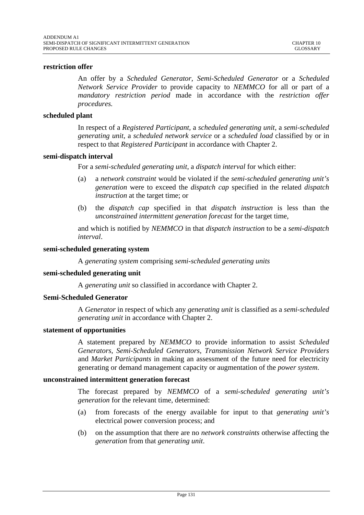#### **restriction offer**

An offer by a *Scheduled Generator*, *Semi-Scheduled Generator* or a *Scheduled Network Service Provider* to provide capacity to *NEMMCO* for all or part of a *mandatory restriction period* made in accordance with the *restriction offer procedures.* 

#### **scheduled plant**

In respect of a *Registered Participant,* a *scheduled generating unit*, a *semi-scheduled generating unit*, a *scheduled network service* or a *scheduled load* classified by or in respect to that *Registered Participant* in accordance with Chapter 2.

#### **semi-dispatch interval**

For a *semi-scheduled generating unit*, a *dispatch interval* for which either:

- (a) a *network constraint* would be violated if the *semi-scheduled generating unit's generation* were to exceed the *dispatch cap* specified in the related *dispatch instruction* at the target time; or
- (b) the *dispatch cap* specified in that *dispatch instruction* is less than the *unconstrained intermittent generation forecast* for the target time,

and which is notified by *NEMMCO* in that *dispatch instruction* to be a *semi-dispatch interval*.

#### **semi-scheduled generating system**

A *generating system* comprising *semi-scheduled generating units*

#### **semi-scheduled generating unit**

A *generating unit* so classified in accordance with Chapter 2.

#### **Semi-Scheduled Generator**

A *Generator* in respect of which any *generating unit* is classified as a *semi-scheduled generating unit* in accordance with Chapter 2.

#### **statement of opportunities**

A statement prepared by *NEMMCO* to provide information to assist *Scheduled Generators*, *Semi-Scheduled Generators*, *Transmission Network Service Providers*  and *Market Participants* in making an assessment of the future need for electricity generating or demand management capacity or augmentation of the *power system*.

#### **unconstrained intermittent generation forecast**

The forecast prepared by *NEMMCO* of a *semi-scheduled generating unit's generation* for the relevant time, determined:

- (a) from forecasts of the energy available for input to that *generating unit's* electrical power conversion process; and
- (b) on the assumption that there are no *network constraints* otherwise affecting the *generation* from that *generating unit*.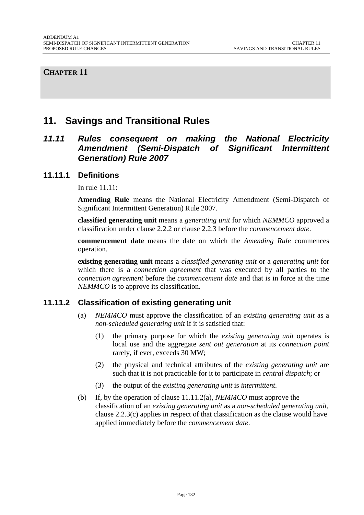# **11. Savings and Transitional Rules**

## *11.11 Rules consequent on making the National Electricity Amendment (Semi-Dispatch of Significant Intermittent Generation) Rule 2007*

### **11.11.1 Definitions**

In rule 11.11:

**Amending Rule** means the National Electricity Amendment (Semi-Dispatch of Significant Intermittent Generation) Rule 2007.

**classified generating unit** means a *generating unit* for which *NEMMCO* approved a classification under clause 2.2.2 or clause 2.2.3 before the *commencement date*.

**commencement date** means the date on which the *Amending Rule* commences operation.

**existing generating unit** means a *classified generating unit* or a *generating unit* for which there is a *connection agreement* that was executed by all parties to the *connection agreement* before the *commencement date* and that is in force at the time *NEMMCO* is to approve its classification.

### **11.11.2 Classification of existing generating unit**

- (a) *NEMMCO* must approve the classification of an *existing generating unit* as a *non-scheduled generating unit* if it is satisfied that:
	- (1) the primary purpose for which the *existing generating unit* operates is local use and the aggregate *sent out generation* at its *connection point* rarely, if ever, exceeds 30 MW;
	- (2) the physical and technical attributes of the *existing generating unit* are such that it is not practicable for it to participate in *central dispatch*; or
	- (3) the output of the *existing generating unit* is *intermittent*.
- (b) If, by the operation of clause 11.11.2(a), *NEMMCO* must approve the classification of an *existing generating unit* as a *non-scheduled generating unit*, clause 2.2.3(c) applies in respect of that classification as the clause would have applied immediately before the *commencement date*.